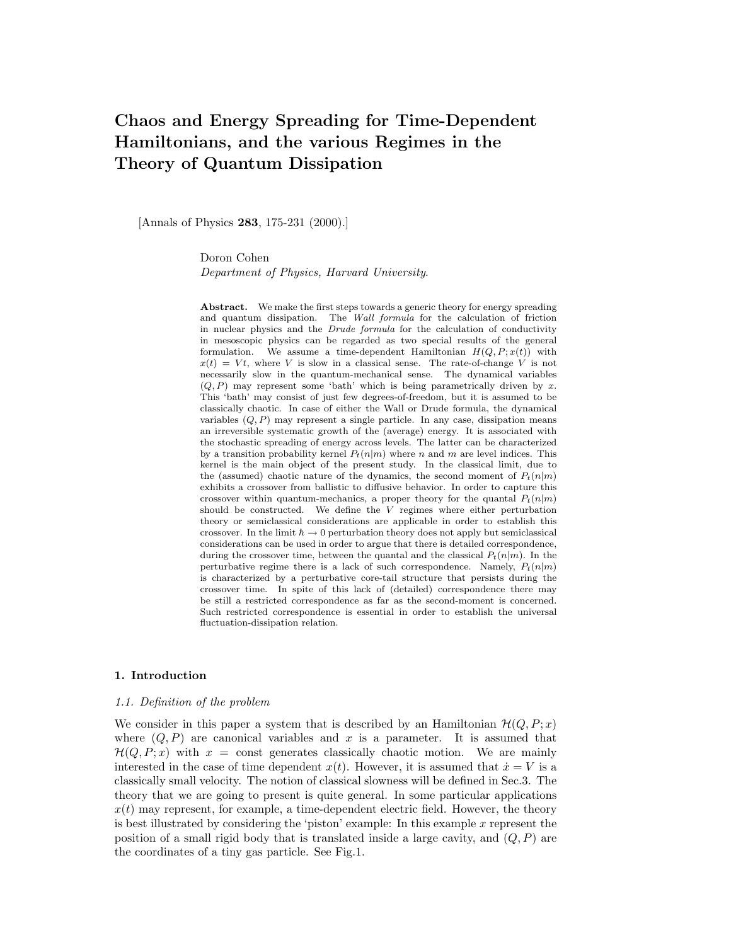# Chaos and Energy Spreading for Time-Dependent Hamiltonians, and the various Regimes in the Theory of Quantum Dissipation

[Annals of Physics 283, 175-231 (2000).]

Doron Cohen Department of Physics, Harvard University.

Abstract. We make the first steps towards a generic theory for energy spreading and quantum dissipation. The Wall formula for the calculation of friction in nuclear physics and the Drude formula for the calculation of conductivity in mesoscopic physics can be regarded as two special results of the general formulation. We assume a time-dependent Hamiltonian  $H(Q, P; x(t))$  with  $x(t) = Vt$ , where V is slow in a classical sense. The rate-of-change V is not necessarily slow in the quantum-mechanical sense. The dynamical variables  $(Q, P)$  may represent some 'bath' which is being parametrically driven by x. This 'bath' may consist of just few degrees-of-freedom, but it is assumed to be classically chaotic. In case of either the Wall or Drude formula, the dynamical variables  $(Q, P)$  may represent a single particle. In any case, dissipation means an irreversible systematic growth of the (average) energy. It is associated with the stochastic spreading of energy across levels. The latter can be characterized by a transition probability kernel  $P_t(n|m)$  where n and m are level indices. This kernel is the main object of the present study. In the classical limit, due to the (assumed) chaotic nature of the dynamics, the second moment of  $P_t(n|m)$ exhibits a crossover from ballistic to diffusive behavior. In order to capture this crossover within quantum-mechanics, a proper theory for the quantal  $P_t(n|m)$ should be constructed. We define the  $V$  regimes where either perturbation theory or semiclassical considerations are applicable in order to establish this crossover. In the limit  $\hbar \rightarrow 0$  perturbation theory does not apply but semiclassical considerations can be used in order to argue that there is detailed correspondence, during the crossover time, between the quantal and the classical  $P_t(n|m)$ . In the perturbative regime there is a lack of such correspondence. Namely,  $P_t(n|m)$ is characterized by a perturbative core-tail structure that persists during the crossover time. In spite of this lack of (detailed) correspondence there may be still a restricted correspondence as far as the second-moment is concerned. Such restricted correspondence is essential in order to establish the universal fluctuation-dissipation relation.

# 1. Introduction

# 1.1. Definition of the problem

We consider in this paper a system that is described by an Hamiltonian  $\mathcal{H}(Q, P; x)$ where  $(Q, P)$  are canonical variables and x is a parameter. It is assumed that  $\mathcal{H}(Q, P; x)$  with  $x = \text{const}$  generates classically chaotic motion. We are mainly interested in the case of time dependent  $x(t)$ . However, it is assumed that  $\dot{x} = V$  is a classically small velocity. The notion of classical slowness will be defined in Sec.3. The theory that we are going to present is quite general. In some particular applications  $x(t)$  may represent, for example, a time-dependent electric field. However, the theory is best illustrated by considering the 'piston' example: In this example  $x$  represent the position of a small rigid body that is translated inside a large cavity, and  $(Q, P)$  are the coordinates of a tiny gas particle. See Fig.1.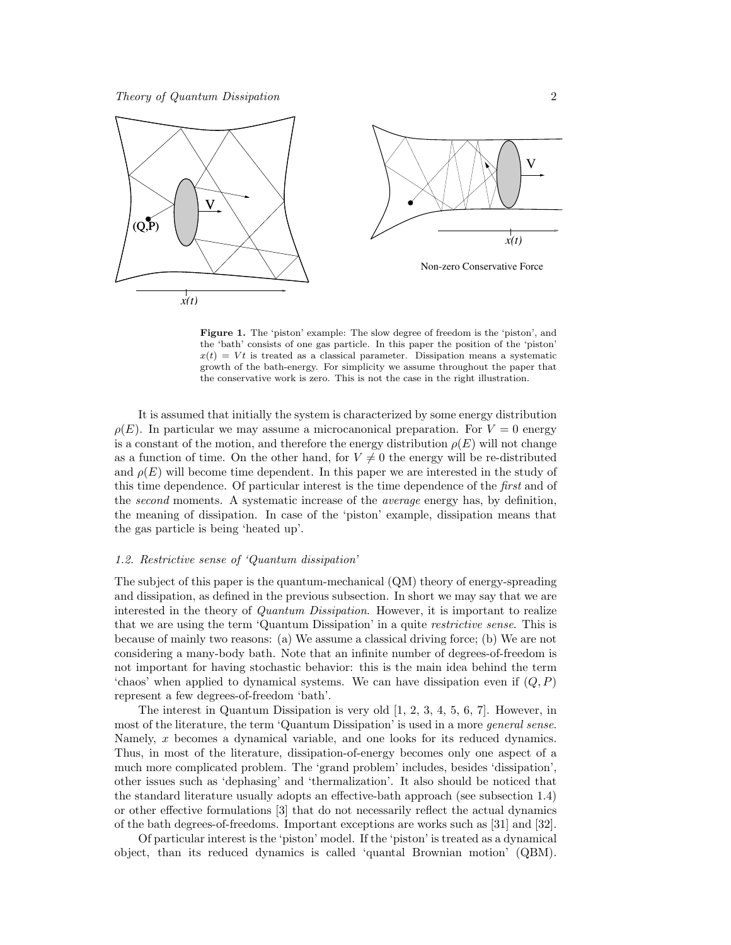

Figure 1. The 'piston' example: The slow degree of freedom is the 'piston', and the 'bath' consists of one gas particle. In this paper the position of the 'piston'  $x(t) = Vt$  is treated as a classical parameter. Dissipation means a systematic growth of the bath-energy. For simplicity we assume throughout the paper that the conservative work is zero. This is not the case in the right illustration.

It is assumed that initially the system is characterized by some energy distribution  $\rho(E)$ . In particular we may assume a microcanonical preparation. For  $V = 0$  energy is a constant of the motion, and therefore the energy distribution  $\rho(E)$  will not change as a function of time. On the other hand, for  $V \neq 0$  the energy will be re-distributed and  $\rho(E)$  will become time dependent. In this paper we are interested in the study of this time dependence. Of particular interest is the time dependence of the *first* and of the *second* moments. A systematic increase of the *average* energy has, by definition, the meaning of dissipation. In case of the 'piston' example, dissipation means that the gas particle is being 'heated up'.

# 1.2. Restrictive sense of 'Quantum dissipation'

The subject of this paper is the quantum-mechanical (QM) theory of energy-spreading and dissipation, as defined in the previous subsection. In short we may say that we are interested in the theory of *Quantum Dissipation*. However, it is important to realize that we are using the term 'Quantum Dissipation' in a quite *restrictive sense*. This is because of mainly two reasons: (a) We assume a classical driving force; (b) We are not considering a many-body bath. Note that an infinite number of degrees-of-freedom is not important for having stochastic behavior: this is the main idea behind the term 'chaos' when applied to dynamical systems. We can have dissipation even if  $(Q, P)$ represent a few degrees-of-freedom 'bath'.

The interest in Quantum Dissipation is very old [1, 2, 3, 4, 5, 6, 7]. However, in most of the literature, the term 'Quantum Dissipation' is used in a more *general sense*. Namely, x becomes a dynamical variable, and one looks for its reduced dynamics. Thus, in most of the literature, dissipation-of-energy becomes only one aspect of a much more complicated problem. The 'grand problem' includes, besides 'dissipation', other issues such as 'dephasing' and 'thermalization'. It also should be noticed that the standard literature usually adopts an effective-bath approach (see subsection 1.4) or other effective formulations [3] that do not necessarily reflect the actual dynamics of the bath degrees-of-freedoms. Important exceptions are works such as [31] and [32].

Of particular interest is the 'piston' model. If the 'piston' is treated as a dynamical object, than its reduced dynamics is called 'quantal Brownian motion' (QBM).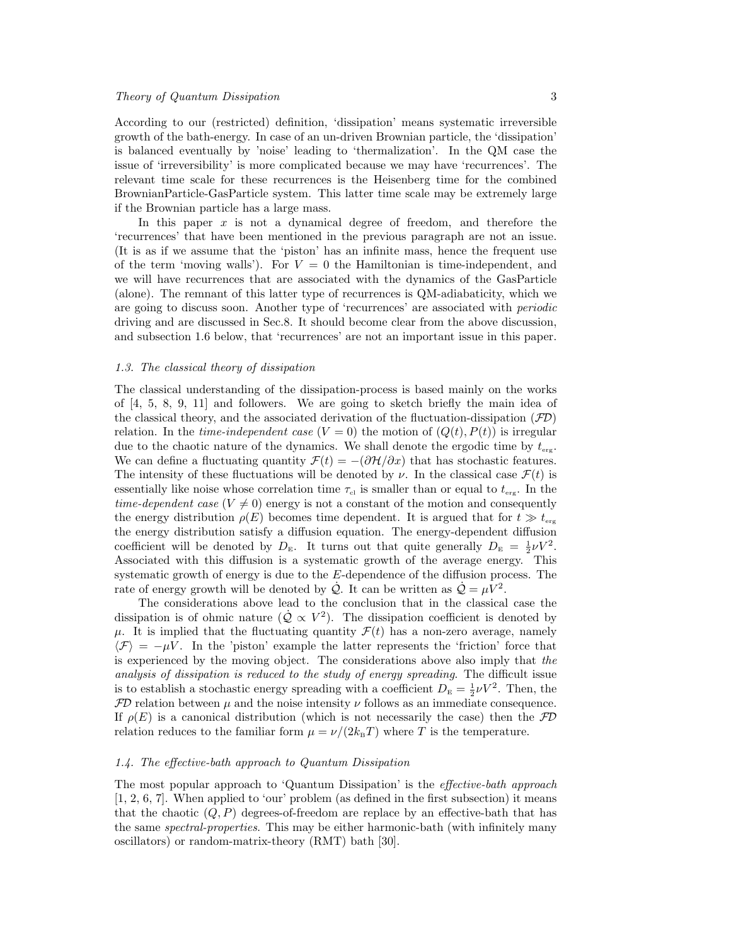According to our (restricted) definition, 'dissipation' means systematic irreversible growth of the bath-energy. In case of an un-driven Brownian particle, the 'dissipation' is balanced eventually by 'noise' leading to 'thermalization'. In the QM case the issue of 'irreversibility' is more complicated because we may have 'recurrences'. The relevant time scale for these recurrences is the Heisenberg time for the combined BrownianParticle-GasParticle system. This latter time scale may be extremely large if the Brownian particle has a large mass.

In this paper  $x$  is not a dynamical degree of freedom, and therefore the 'recurrences' that have been mentioned in the previous paragraph are not an issue. (It is as if we assume that the 'piston' has an infinite mass, hence the frequent use of the term 'moving walls'). For  $V = 0$  the Hamiltonian is time-independent, and we will have recurrences that are associated with the dynamics of the GasParticle (alone). The remnant of this latter type of recurrences is QM-adiabaticity, which we are going to discuss soon. Another type of 'recurrences' are associated with periodic driving and are discussed in Sec.8. It should become clear from the above discussion, and subsection 1.6 below, that 'recurrences' are not an important issue in this paper.

#### 1.3. The classical theory of dissipation

The classical understanding of the dissipation-process is based mainly on the works of [4, 5, 8, 9, 11] and followers. We are going to sketch briefly the main idea of the classical theory, and the associated derivation of the fluctuation-dissipation  $(\mathcal{FD})$ relation. In the *time-independent case*  $(V = 0)$  the motion of  $(Q(t), P(t))$  is irregular due to the chaotic nature of the dynamics. We shall denote the ergodic time by  $t_{\text{ere}}$ . We can define a fluctuating quantity  $\mathcal{F}(t) = -(\partial \mathcal{H}/\partial x)$  that has stochastic features. The intensity of these fluctuations will be denoted by  $\nu$ . In the classical case  $\mathcal{F}(t)$  is essentially like noise whose correlation time  $\tau_{\rm cl}$  is smaller than or equal to  $t_{\rm erg}$ . In the time-dependent case  $(V \neq 0)$  energy is not a constant of the motion and consequently the energy distribution  $\rho(E)$  becomes time dependent. It is argued that for  $t \gg t_{\text{erg}}$ the energy distribution satisfy a diffusion equation. The energy-dependent diffusion coefficient will be denoted by  $D_{\rm E}$ . It turns out that quite generally  $D_{\rm E} = \frac{1}{2} \nu V^2$ . Associated with this diffusion is a systematic growth of the average energy. This systematic growth of energy is due to the E-dependence of the diffusion process. The rate of energy growth will be denoted by  $\dot{Q}$ . It can be written as  $\dot{Q} = \mu V^2$ .

The considerations above lead to the conclusion that in the classical case the dissipation is of ohmic nature  $(\dot{Q} \propto V^2)$ . The dissipation coefficient is denoted by  $\mu$ . It is implied that the fluctuating quantity  $\mathcal{F}(t)$  has a non-zero average, namely  $\langle \mathcal{F} \rangle = -\mu V$ . In the 'piston' example the latter represents the 'friction' force that is experienced by the moving object. The considerations above also imply that the analysis of dissipation is reduced to the study of energy spreading. The difficult issue is to establish a stochastic energy spreading with a coefficient  $D_{\rm E} = \frac{1}{2} \nu V^2$ . Then, the  $FD$  relation between  $\mu$  and the noise intensity  $\nu$  follows as an immediate consequence. If  $\rho(E)$  is a canonical distribution (which is not necessarily the case) then the FD relation reduces to the familiar form  $\mu = \nu/(2k_BT)$  where T is the temperature.

# 1.4. The effective-bath approach to Quantum Dissipation

The most popular approach to 'Quantum Dissipation' is the effective-bath approach [1, 2, 6, 7]. When applied to 'our' problem (as defined in the first subsection) it means that the chaotic  $(Q, P)$  degrees-of-freedom are replace by an effective-bath that has the same *spectral-properties*. This may be either harmonic-bath (with infinitely many oscillators) or random-matrix-theory (RMT) bath [30].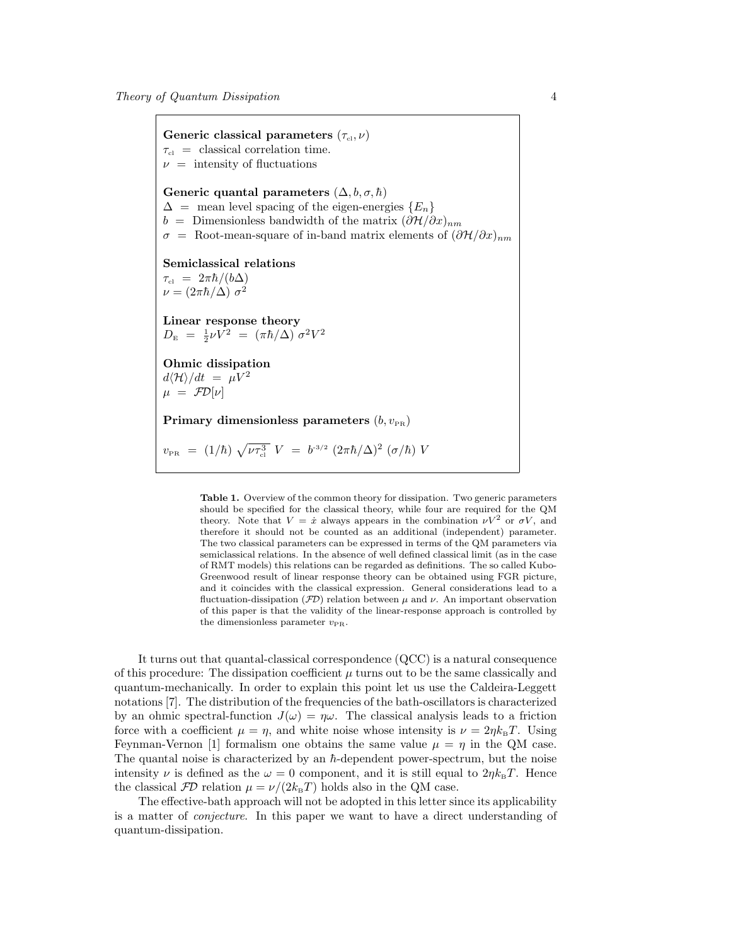Generic classical parameters  $(\tau_{\text{cl}}, \nu)$  $\tau_{\rm cl}$  = classical correlation time.  $\nu$  = intensity of fluctuations Generic quantal parameters  $(\Delta, b, \sigma, \hbar)$  $\Delta$  = mean level spacing of the eigen-energies  $\{E_n\}$ b = Dimensionless bandwidth of the matrix  $(\partial \mathcal{H}/\partial x)_{nm}$  $\sigma = \text{Root-mean-square of in-band matrix elements of } (\partial \mathcal{H}/\partial x)_{nm}$ Semiclassical relations  $\tau_{\text{\tiny cl}} \; = \; 2\pi\hbar/(b\Delta)$  $\nu = (2\pi\hbar/\Delta) \sigma^2$ Linear response theory  $D_{\rm E}$  =  $\frac{1}{2}\nu V^2$  =  $(\pi\hbar/\Delta) \sigma^2 V^2$ Ohmic dissipation  $d\langle H \rangle/dt = \mu V^2$  $\mu = \mathcal{F}D[\nu]$ Primary dimensionless parameters  $(b, v_{PR})$  $v_{\rm PR}$  = (1/ $\hbar$ )  $\sqrt{\nu \tau_{\rm cl}^3}$   $V$  =  $b^{\text{-3/2}}$   $(2 \pi \hbar / \Delta)^2$   $(\sigma / \hbar)$   $V$ 

> Table 1. Overview of the common theory for dissipation. Two generic parameters should be specified for the classical theory, while four are required for the QM theory. Note that  $V = \dot{x}$  always appears in the combination  $\nu V^2$  or  $\sigma V$ , and therefore it should not be counted as an additional (independent) parameter. The two classical parameters can be expressed in terms of the QM parameters via semiclassical relations. In the absence of well defined classical limit (as in the case of RMT models) this relations can be regarded as definitions. The so called Kubo-Greenwood result of linear response theory can be obtained using FGR picture, and it coincides with the classical expression. General considerations lead to a fluctuation-dissipation ( $\mathcal{FD}$ ) relation between  $\mu$  and  $\nu$ . An important observation of this paper is that the validity of the linear-response approach is controlled by the dimensionless parameter  $v_{PR}$ .

It turns out that quantal-classical correspondence (QCC) is a natural consequence of this procedure: The dissipation coefficient  $\mu$  turns out to be the same classically and quantum-mechanically. In order to explain this point let us use the Caldeira-Leggett notations [7]. The distribution of the frequencies of the bath-oscillators is characterized by an ohmic spectral-function  $J(\omega) = \eta \omega$ . The classical analysis leads to a friction force with a coefficient  $\mu = \eta$ , and white noise whose intensity is  $\nu = 2\eta k_{\rm B}T$ . Using Feynman-Vernon [1] formalism one obtains the same value  $\mu = \eta$  in the QM case. The quantal noise is characterized by an  $\hbar$ -dependent power-spectrum, but the noise intensity  $\nu$  is defined as the  $\omega = 0$  component, and it is still equal to  $2\eta k_{\text{B}}T$ . Hence the classical  $FD$  relation  $\mu = \nu/(2k_BT)$  holds also in the QM case.

The effective-bath approach will not be adopted in this letter since its applicability is a matter of conjecture. In this paper we want to have a direct understanding of quantum-dissipation.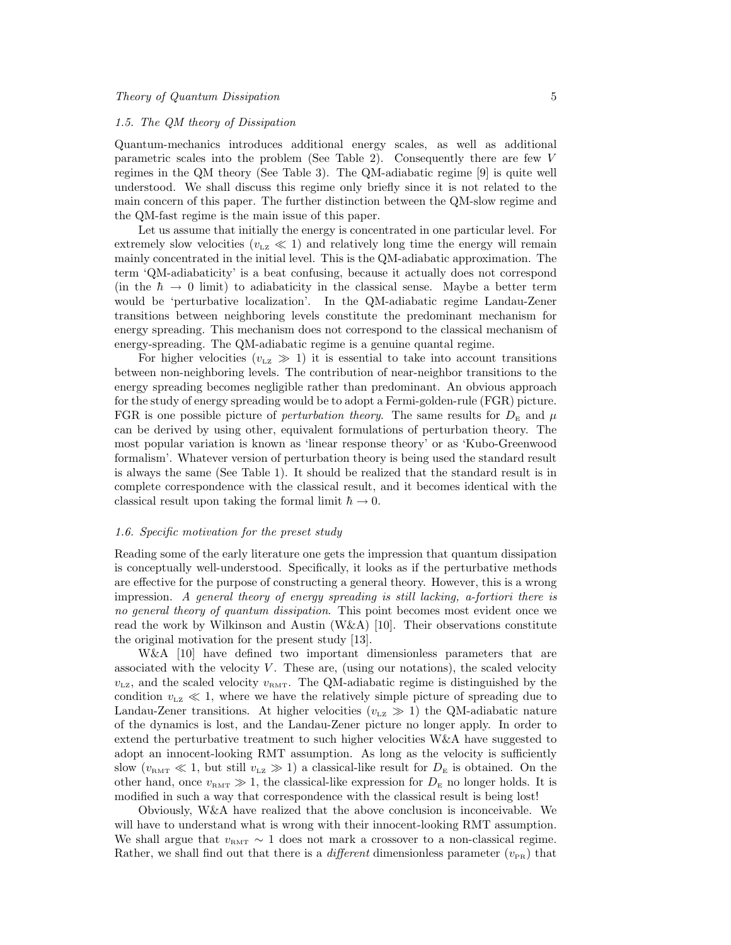#### 1.5. The QM theory of Dissipation

Quantum-mechanics introduces additional energy scales, as well as additional parametric scales into the problem (See Table 2). Consequently there are few V regimes in the QM theory (See Table 3). The QM-adiabatic regime [9] is quite well understood. We shall discuss this regime only briefly since it is not related to the main concern of this paper. The further distinction between the QM-slow regime and the QM-fast regime is the main issue of this paper.

Let us assume that initially the energy is concentrated in one particular level. For extremely slow velocities ( $v_{\text{LZ}} \ll 1$ ) and relatively long time the energy will remain mainly concentrated in the initial level. This is the QM-adiabatic approximation. The term 'QM-adiabaticity' is a beat confusing, because it actually does not correspond (in the  $\hbar \rightarrow 0$  limit) to adiabaticity in the classical sense. Maybe a better term would be 'perturbative localization'. In the QM-adiabatic regime Landau-Zener transitions between neighboring levels constitute the predominant mechanism for energy spreading. This mechanism does not correspond to the classical mechanism of energy-spreading. The QM-adiabatic regime is a genuine quantal regime.

For higher velocities ( $v_{\text{LZ}} \gg 1$ ) it is essential to take into account transitions between non-neighboring levels. The contribution of near-neighbor transitions to the energy spreading becomes negligible rather than predominant. An obvious approach for the study of energy spreading would be to adopt a Fermi-golden-rule (FGR) picture. FGR is one possible picture of *perturbation theory*. The same results for  $D<sub>E</sub>$  and  $\mu$ can be derived by using other, equivalent formulations of perturbation theory. The most popular variation is known as 'linear response theory' or as 'Kubo-Greenwood formalism'. Whatever version of perturbation theory is being used the standard result is always the same (See Table 1). It should be realized that the standard result is in complete correspondence with the classical result, and it becomes identical with the classical result upon taking the formal limit  $\hbar \rightarrow 0$ .

# 1.6. Specific motivation for the preset study

Reading some of the early literature one gets the impression that quantum dissipation is conceptually well-understood. Specifically, it looks as if the perturbative methods are effective for the purpose of constructing a general theory. However, this is a wrong impression. A general theory of energy spreading is still lacking, a-fortiori there is no general theory of quantum dissipation. This point becomes most evident once we read the work by Wilkinson and Austin (W&A) [10]. Their observations constitute the original motivation for the present study [13].

W&A [10] have defined two important dimensionless parameters that are associated with the velocity  $V$ . These are, (using our notations), the scaled velocity  $v_{\text{LZ}}$ , and the scaled velocity  $v_{\text{RMT}}$ . The QM-adiabatic regime is distinguished by the condition  $v_{\text{Lz}} \ll 1$ , where we have the relatively simple picture of spreading due to Landau-Zener transitions. At higher velocities ( $v_{\text{Lz}} \gg 1$ ) the QM-adiabatic nature of the dynamics is lost, and the Landau-Zener picture no longer apply. In order to extend the perturbative treatment to such higher velocities W&A have suggested to adopt an innocent-looking RMT assumption. As long as the velocity is sufficiently slow  $(v<sub>RMT</sub> \ll 1,$  but still  $v<sub>LZ</sub> \gg 1)$  a classical-like result for  $D<sub>E</sub>$  is obtained. On the other hand, once  $v_{RMT} \gg 1$ , the classical-like expression for  $D_{E}$  no longer holds. It is modified in such a way that correspondence with the classical result is being lost!

Obviously, W&A have realized that the above conclusion is inconceivable. We will have to understand what is wrong with their innocent-looking RMT assumption. We shall argue that  $v_{\text{RMT}} \sim 1$  does not mark a crossover to a non-classical regime. Rather, we shall find out that there is a *different* dimensionless parameter  $(v_{PR})$  that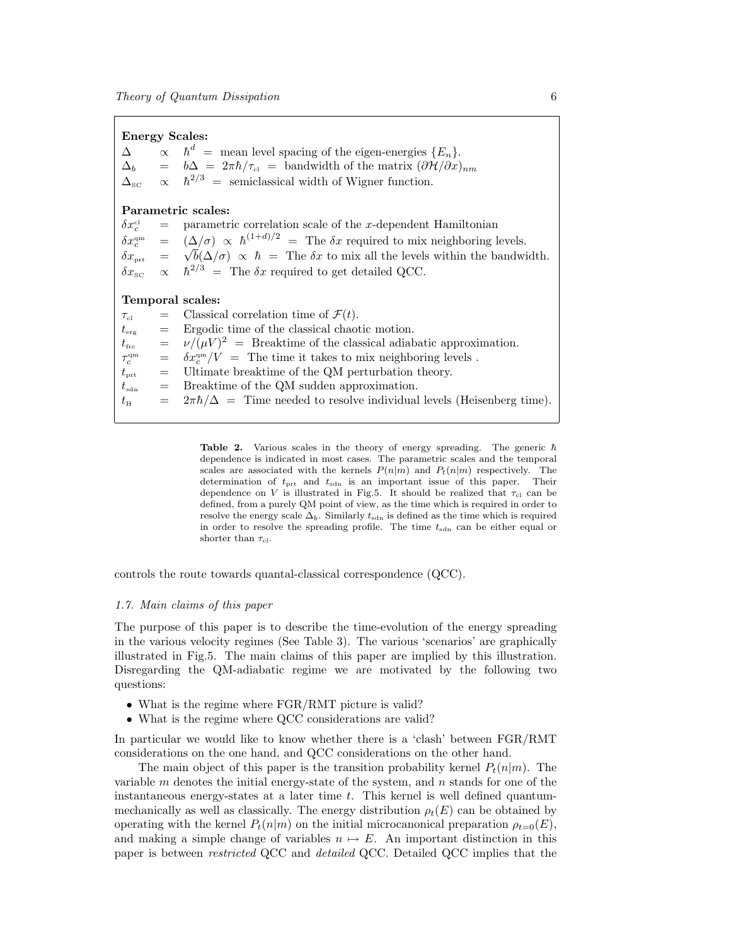| <b>Energy Scales:</b> |                                   |                                                                                                                                    |  |
|-----------------------|-----------------------------------|------------------------------------------------------------------------------------------------------------------------------------|--|
| $\Delta$              |                                   | $\propto$ $\hbar^d$ = mean level spacing of the eigen-energies $\{E_n\}.$                                                          |  |
|                       |                                   | $\Delta_b$ = $b\Delta = 2\pi\hbar/\tau_{\rm cl}$ = bandwidth of the matrix $(\partial \mathcal{H}/\partial x)_{nm}$                |  |
|                       |                                   | $\Delta_{\rm sc}$ $\propto \hbar^{2/3}$ = semiclassical width of Wigner function.                                                  |  |
| Parametric scales:    |                                   |                                                                                                                                    |  |
|                       |                                   | $\delta x_c^{\text{cl}}$ = parametric correlation scale of the x-dependent Hamiltonian                                             |  |
|                       |                                   | $\delta x_c^{\rm qm}$ = $(\Delta/\sigma) \propto \hbar^{(1+d)/2}$ = The $\delta x$ required to mix neighboring levels.             |  |
|                       |                                   | $\delta x_{\text{prt}} = \sqrt{b}(\Delta/\sigma) \propto \hbar = \text{The } \delta x$ to mix all the levels within the bandwidth. |  |
|                       |                                   | $\delta x_{\rm sc}$ $\propto$ $\hbar^{2/3}$ = The $\delta x$ required to get detailed QCC.                                         |  |
| Temporal scales:      |                                   |                                                                                                                                    |  |
| $\tau_{\rm el}$       |                                   | $=$ Classical correlation time of $\mathcal{F}(t)$ .                                                                               |  |
| $t_{\rm erg}$         | $\displaystyle \qquad \qquad =$   | Ergodic time of the classical chaotic motion.                                                                                      |  |
| $t_{\rm frc}$         | $\hspace{1.6cm} = \hspace{1.6cm}$ | $\nu/(\mu V)^2$ = Breaktime of the classical adiabatic approximation.                                                              |  |
| $\tau_c^{\rm qm}$     | $=$                               | $\delta x_c^{\rm qm}/V =$ The time it takes to mix neighboring levels.                                                             |  |
| $t_{\rm prt}$         | $\!\!\!=\!\!\!\!$                 | Ultimate breaktime of the QM perturbation theory.                                                                                  |  |
| $t_{\rm sdn}$         | $\displaystyle \qquad \qquad =$   | Breaktime of the QM sudden approximation.                                                                                          |  |
| $t_{\rm H}$           | $=$                               | $2\pi\hbar/\Delta$ = Time needed to resolve individual levels (Heisenberg time).                                                   |  |

Table 2. Various scales in the theory of energy spreading. The generic  $\hbar$ dependence is indicated in most cases. The parametric scales and the temporal scales are associated with the kernels  $P(n|m)$  and  $P_t(n|m)$  respectively. The determination of  $t_{\text{prt}}$  and  $t_{\text{sdn}}$  is an important issue of this paper. Their dependence on V is illustrated in Fig.5. It should be realized that  $\tau_{\rm cl}$  can be defined, from a purely QM point of view, as the time which is required in order to resolve the energy scale  $\Delta_b$ . Similarly  $t_{\text{sdn}}$  is defined as the time which is required in order to resolve the spreading profile. The time  $t_{\text{sdn}}$  can be either equal or shorter than  $\tau_{\text{cl}}$ .

controls the route towards quantal-classical correspondence (QCC).

# 1.7. Main claims of this paper

The purpose of this paper is to describe the time-evolution of the energy spreading in the various velocity regimes (See Table 3). The various 'scenarios' are graphically illustrated in Fig.5. The main claims of this paper are implied by this illustration. Disregarding the QM-adiabatic regime we are motivated by the following two questions:

- What is the regime where  $FGR/RMT$  picture is valid?
- What is the regime where QCC considerations are valid?

In particular we would like to know whether there is a 'clash' between FGR/RMT considerations on the one hand, and QCC considerations on the other hand.

The main object of this paper is the transition probability kernel  $P_t(n|m)$ . The variable  $m$  denotes the initial energy-state of the system, and  $n$  stands for one of the instantaneous energy-states at a later time  $t$ . This kernel is well defined quantummechanically as well as classically. The energy distribution  $\rho_t(E)$  can be obtained by operating with the kernel  $P_t(n|m)$  on the initial microcanonical preparation  $\rho_{t=0}(E)$ , and making a simple change of variables  $n \mapsto E$ . An important distinction in this paper is between *restricted* QCC and *detailed* QCC. Detailed QCC implies that the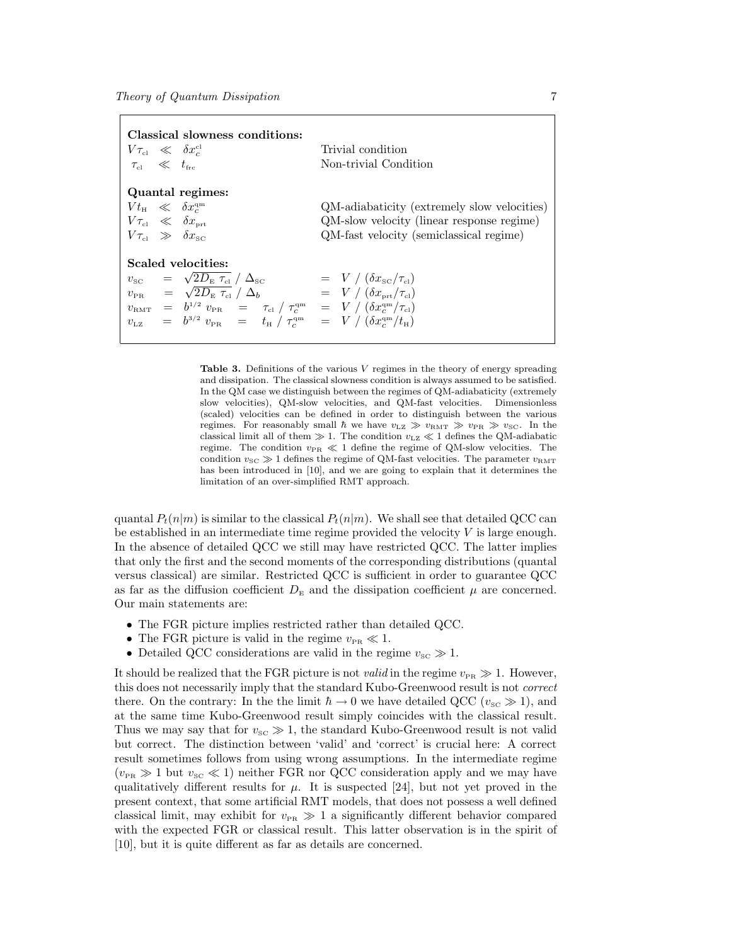| Classical slowness conditions:<br>$V\tau_{\rm cl} \ll \delta x_c^{\rm cl}$<br>$\tau_{\rm cl} \ll t_{\rm frc}$                                                                                                                                                                                                                                                                        | Trivial condition<br>Non-trivial Condition                                                                                          |
|--------------------------------------------------------------------------------------------------------------------------------------------------------------------------------------------------------------------------------------------------------------------------------------------------------------------------------------------------------------------------------------|-------------------------------------------------------------------------------------------------------------------------------------|
| Quantal regimes:<br>$Vt_{\rm H} \ll \delta x_c^{\rm qm}$<br>$V\tau_{\rm cl} \ll \delta x_{\rm \scriptscriptstyle{ort}}$<br>$V\tau_{\rm cl} \gg \delta x_{\rm sc}$                                                                                                                                                                                                                    | QM-adiabaticity (extremely slow velocities)<br>QM-slow velocity (linear response regime)<br>QM-fast velocity (semiclassical regime) |
| Scaled velocities:<br>$v_{\rm sc}$ = $\sqrt{2D_{\rm E} \tau_{\rm cl}}/\Delta_{\rm sc}$<br>$v_{\rm PR}$ = $\sqrt{2D_{\rm E} \tau_{\rm cl}}/\Delta_b$<br>$v_{\rm{RMT}}$ = $b^{1/2} v_{\rm{PR}}$ = $\tau_{\rm{cl}} / \tau_{\rm{c}}^{\rm{qm}}$ = $V / (\delta x_{\rm{c}}^{\rm{qm}} / \tau_{\rm{cl}})$<br>$v_{LZ}$ = $b^{3/2} v_{PR}$ = $t_H / \tau_c^{qm}$ = $V / (\delta x_c^{qm}/t_H)$ | $= V / (\delta x_{\rm sc}/\tau_{\rm el})$<br>$= V / (\delta x_{\text{prt}} / \tau_{\text{cl}})$                                     |

**Table 3.** Definitions of the various  $V$  regimes in the theory of energy spreading and dissipation. The classical slowness condition is always assumed to be satisfied. In the QM case we distinguish between the regimes of QM-adiabaticity (extremely slow velocities), QM-slow velocities, and QM-fast velocities. Dimensionless (scaled) velocities can be defined in order to distinguish between the various regimes. For reasonably small  $\hbar$  we have  $v_{\text{LZ}} \gg v_{\text{RMT}} \gg v_{\text{PR}} \gg v_{\text{SC}}$ . In the classical limit all of them  $\gg 1$ . The condition  $v_{\text{LZ}} \ll 1$  defines the QM-adiabatic regime. The condition  $v_{\text{PR}} \ll 1$  define the regime of QM-slow velocities. The condition  $v_{SC} \gg 1$  defines the regime of QM-fast velocities. The parameter  $v_{RMT}$ has been introduced in [10], and we are going to explain that it determines the limitation of an over-simplified RMT approach.

quantal  $P_t(n|m)$  is similar to the classical  $P_t(n|m)$ . We shall see that detailed QCC can be established in an intermediate time regime provided the velocity  $V$  is large enough. In the absence of detailed QCC we still may have restricted QCC. The latter implies that only the first and the second moments of the corresponding distributions (quantal versus classical) are similar. Restricted QCC is sufficient in order to guarantee QCC as far as the diffusion coefficient  $D<sub>E</sub>$  and the dissipation coefficient  $\mu$  are concerned. Our main statements are:

- The FGR picture implies restricted rather than detailed QCC.
- The FGR picture is valid in the regime  $v_{PR} \ll 1$ .
- Detailed QCC considerations are valid in the regime  $v_{\text{sc}} \gg 1$ .

It should be realized that the FGR picture is not *valid* in the regime  $v_{PR} \gg 1$ . However, this does not necessarily imply that the standard Kubo-Greenwood result is not correct there. On the contrary: In the the limit  $\hbar \to 0$  we have detailed QCC ( $v_{SC} \gg 1$ ), and at the same time Kubo-Greenwood result simply coincides with the classical result. Thus we may say that for  $v_{\rm SC} \gg 1$ , the standard Kubo-Greenwood result is not valid but correct. The distinction between 'valid' and 'correct' is crucial here: A correct result sometimes follows from using wrong assumptions. In the intermediate regime  $(v_{PR} \gg 1$  but  $v_{SC} \ll 1$ ) neither FGR nor QCC consideration apply and we may have qualitatively different results for  $\mu$ . It is suspected [24], but not yet proved in the present context, that some artificial RMT models, that does not possess a well defined classical limit, may exhibit for  $v_{PR} \gg 1$  a significantly different behavior compared with the expected FGR or classical result. This latter observation is in the spirit of [10], but it is quite different as far as details are concerned.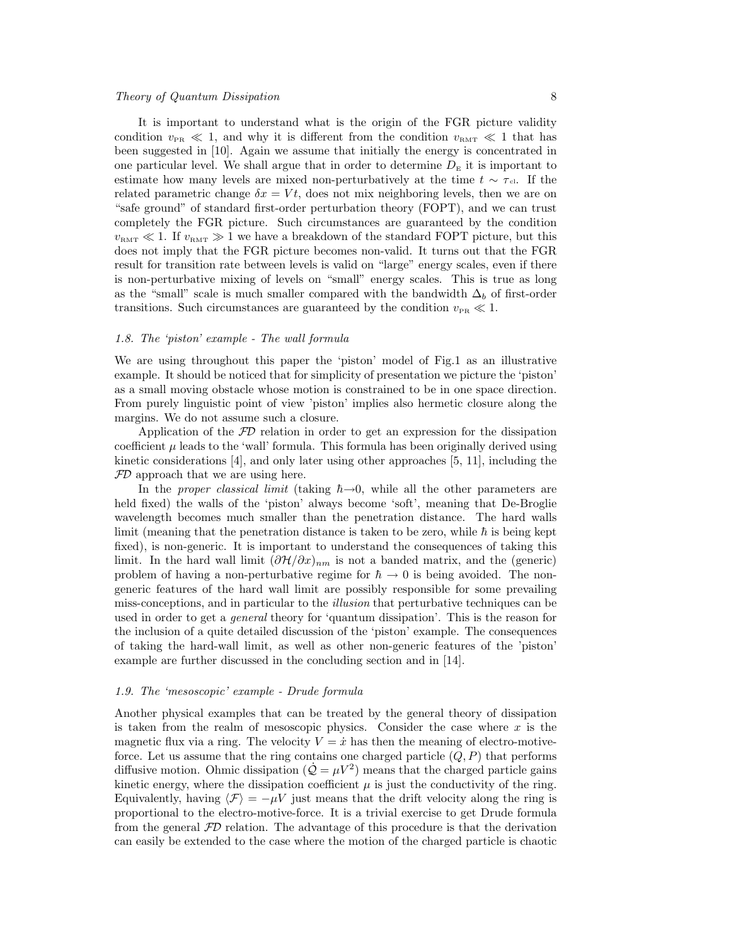# Theory of Quantum Dissipation 8

It is important to understand what is the origin of the FGR picture validity condition  $v_{PR} \ll 1$ , and why it is different from the condition  $v_{RMT} \ll 1$  that has been suggested in [10]. Again we assume that initially the energy is concentrated in one particular level. We shall argue that in order to determine  $D<sub>E</sub>$  it is important to estimate how many levels are mixed non-perturbatively at the time  $t \sim \tau_{cl}$ . If the related parametric change  $\delta x = Vt$ , does not mix neighboring levels, then we are on "safe ground" of standard first-order perturbation theory (FOPT), and we can trust completely the FGR picture. Such circumstances are guaranteed by the condition  $v_{\text{RMT}} \ll 1$ . If  $v_{\text{RMT}} \gg 1$  we have a breakdown of the standard FOPT picture, but this does not imply that the FGR picture becomes non-valid. It turns out that the FGR result for transition rate between levels is valid on "large" energy scales, even if there is non-perturbative mixing of levels on "small" energy scales. This is true as long as the "small" scale is much smaller compared with the bandwidth  $\Delta_b$  of first-order transitions. Such circumstances are guaranteed by the condition  $v_{PR} \ll 1$ .

# 1.8. The 'piston' example - The wall formula

We are using throughout this paper the 'piston' model of Fig.1 as an illustrative example. It should be noticed that for simplicity of presentation we picture the 'piston' as a small moving obstacle whose motion is constrained to be in one space direction. From purely linguistic point of view 'piston' implies also hermetic closure along the margins. We do not assume such a closure.

Application of the  $FD$  relation in order to get an expression for the dissipation coefficient  $\mu$  leads to the 'wall' formula. This formula has been originally derived using kinetic considerations [4], and only later using other approaches [5, 11], including the  $FD$  approach that we are using here.

In the proper classical limit (taking  $\hbar \rightarrow 0$ , while all the other parameters are held fixed) the walls of the 'piston' always become 'soft', meaning that De-Broglie wavelength becomes much smaller than the penetration distance. The hard walls limit (meaning that the penetration distance is taken to be zero, while  $\hbar$  is being kept fixed), is non-generic. It is important to understand the consequences of taking this limit. In the hard wall limit  $(\partial \mathcal{H}/\partial x)_{nm}$  is not a banded matrix, and the (generic) problem of having a non-perturbative regime for  $\hbar \to 0$  is being avoided. The nongeneric features of the hard wall limit are possibly responsible for some prevailing miss-conceptions, and in particular to the *illusion* that perturbative techniques can be used in order to get a *general* theory for 'quantum dissipation'. This is the reason for the inclusion of a quite detailed discussion of the 'piston' example. The consequences of taking the hard-wall limit, as well as other non-generic features of the 'piston' example are further discussed in the concluding section and in [14].

# 1.9. The 'mesoscopic' example - Drude formula

Another physical examples that can be treated by the general theory of dissipation is taken from the realm of mesoscopic physics. Consider the case where  $x$  is the magnetic flux via a ring. The velocity  $V = \dot{x}$  has then the meaning of electro-motiveforce. Let us assume that the ring contains one charged particle  $(Q, P)$  that performs diffusive motion. Ohmic dissipation  $(\dot{Q} = \mu V^2)$  means that the charged particle gains kinetic energy, where the dissipation coefficient  $\mu$  is just the conductivity of the ring. Equivalently, having  $\langle \mathcal{F} \rangle = -\mu V$  just means that the drift velocity along the ring is proportional to the electro-motive-force. It is a trivial exercise to get Drude formula from the general  $FD$  relation. The advantage of this procedure is that the derivation can easily be extended to the case where the motion of the charged particle is chaotic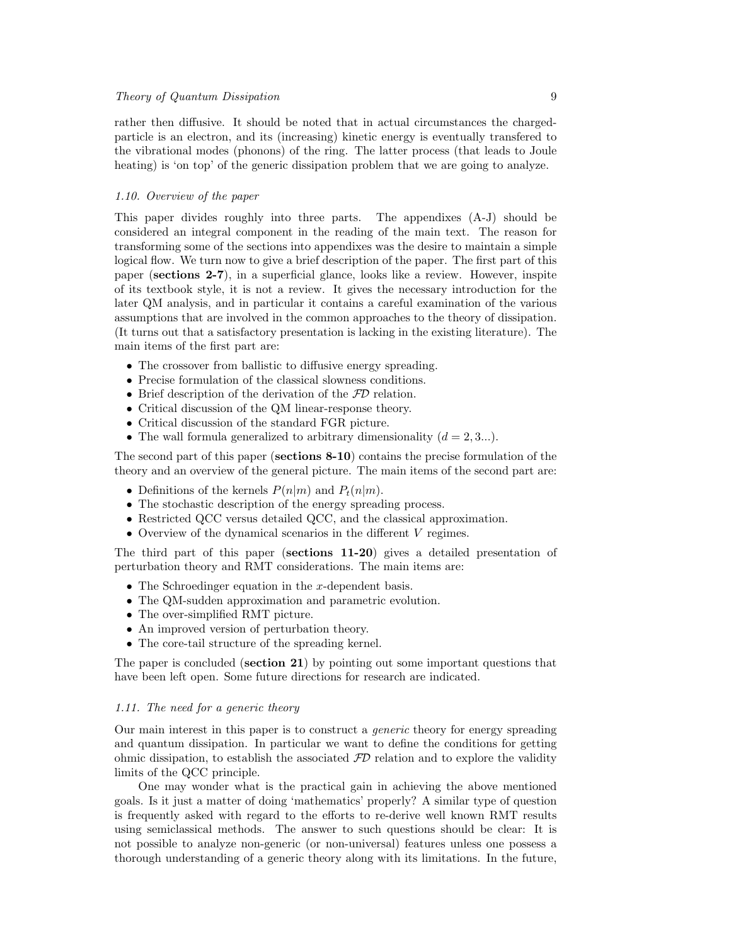rather then diffusive. It should be noted that in actual circumstances the chargedparticle is an electron, and its (increasing) kinetic energy is eventually transfered to the vibrational modes (phonons) of the ring. The latter process (that leads to Joule heating) is 'on top' of the generic dissipation problem that we are going to analyze.

# 1.10. Overview of the paper

This paper divides roughly into three parts. The appendixes (A-J) should be considered an integral component in the reading of the main text. The reason for transforming some of the sections into appendixes was the desire to maintain a simple logical flow. We turn now to give a brief description of the paper. The first part of this paper (sections 2-7), in a superficial glance, looks like a review. However, inspite of its textbook style, it is not a review. It gives the necessary introduction for the later QM analysis, and in particular it contains a careful examination of the various assumptions that are involved in the common approaches to the theory of dissipation. (It turns out that a satisfactory presentation is lacking in the existing literature). The main items of the first part are:

- The crossover from ballistic to diffusive energy spreading.
- Precise formulation of the classical slowness conditions.
- Brief description of the derivation of the  $FD$  relation.
- Critical discussion of the QM linear-response theory.
- Critical discussion of the standard FGR picture.
- The wall formula generalized to arbitrary dimensionality  $(d = 2, 3...).$

The second part of this paper (sections  $8-10$ ) contains the precise formulation of the theory and an overview of the general picture. The main items of the second part are:

- Definitions of the kernels  $P(n|m)$  and  $P_t(n|m)$ .
- The stochastic description of the energy spreading process.
- Restricted QCC versus detailed QCC, and the classical approximation.
- Overview of the dynamical scenarios in the different V regimes.

The third part of this paper (sections 11-20) gives a detailed presentation of perturbation theory and RMT considerations. The main items are:

- The Schroedinger equation in the  $x$ -dependent basis.
- The QM-sudden approximation and parametric evolution.
- The over-simplified RMT picture.
- An improved version of perturbation theory.
- The core-tail structure of the spreading kernel.

The paper is concluded (section 21) by pointing out some important questions that have been left open. Some future directions for research are indicated.

# 1.11. The need for a generic theory

Our main interest in this paper is to construct a generic theory for energy spreading and quantum dissipation. In particular we want to define the conditions for getting ohmic dissipation, to establish the associated  $FD$  relation and to explore the validity limits of the QCC principle.

One may wonder what is the practical gain in achieving the above mentioned goals. Is it just a matter of doing 'mathematics' properly? A similar type of question is frequently asked with regard to the efforts to re-derive well known RMT results using semiclassical methods. The answer to such questions should be clear: It is not possible to analyze non-generic (or non-universal) features unless one possess a thorough understanding of a generic theory along with its limitations. In the future,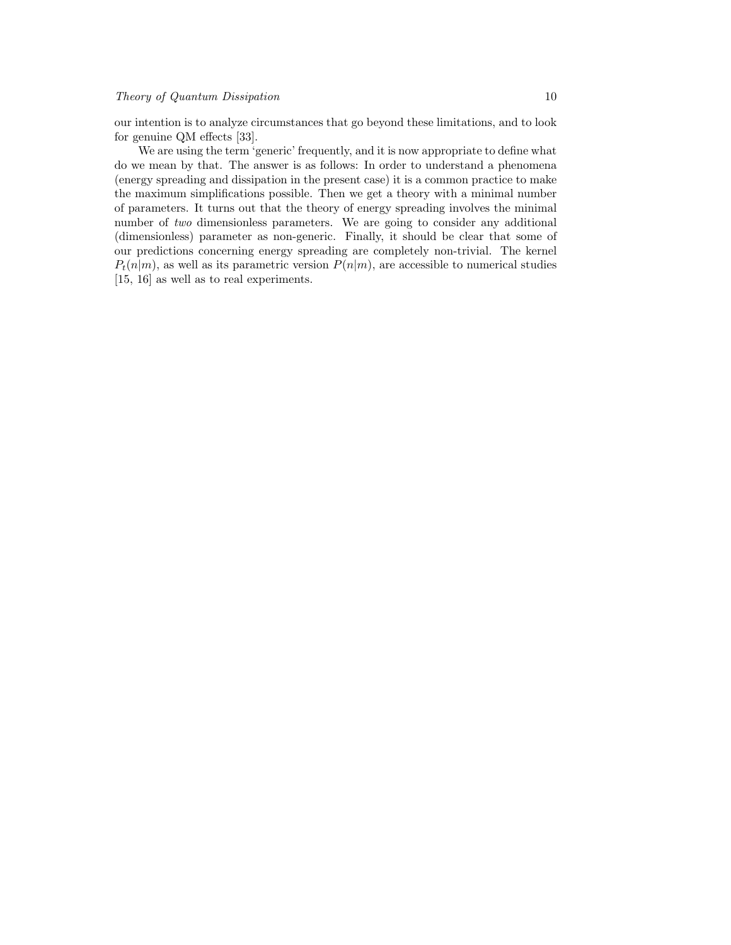our intention is to analyze circumstances that go beyond these limitations, and to look for genuine QM effects [33].

We are using the term 'generic' frequently, and it is now appropriate to define what do we mean by that. The answer is as follows: In order to understand a phenomena (energy spreading and dissipation in the present case) it is a common practice to make the maximum simplifications possible. Then we get a theory with a minimal number of parameters. It turns out that the theory of energy spreading involves the minimal number of two dimensionless parameters. We are going to consider any additional (dimensionless) parameter as non-generic. Finally, it should be clear that some of our predictions concerning energy spreading are completely non-trivial. The kernel  $P_t(n|m)$ , as well as its parametric version  $P(n|m)$ , are accessible to numerical studies [15, 16] as well as to real experiments.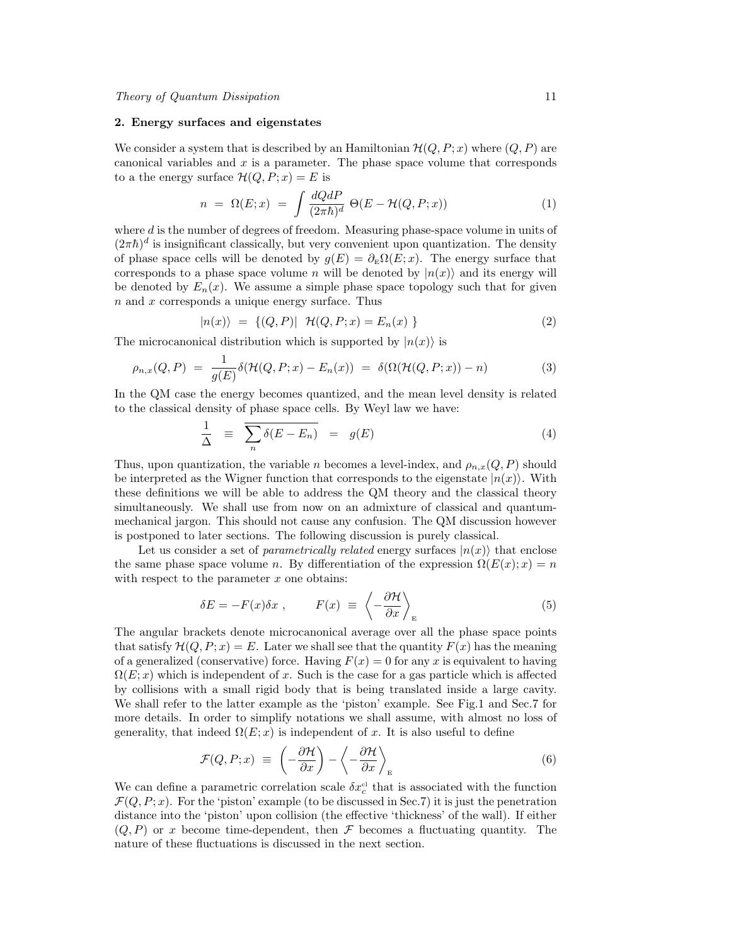#### 2. Energy surfaces and eigenstates

We consider a system that is described by an Hamiltonian  $\mathcal{H}(Q, P; x)$  where  $(Q, P)$  are canonical variables and  $x$  is a parameter. The phase space volume that corresponds to a the energy surface  $\mathcal{H}(Q, P; x) = E$  is

$$
n = \Omega(E; x) = \int \frac{dQdP}{(2\pi\hbar)^d} \Theta(E - \mathcal{H}(Q, P; x)) \tag{1}
$$

where  $d$  is the number of degrees of freedom. Measuring phase-space volume in units of  $(2\pi\hbar)^d$  is insignificant classically, but very convenient upon quantization. The density of phase space cells will be denoted by  $g(E) = \partial_E \Omega(E; x)$ . The energy surface that corresponds to a phase space volume n will be denoted by  $|n(x)\rangle$  and its energy will be denoted by  $E_n(x)$ . We assume a simple phase space topology such that for given  $n$  and  $x$  corresponds a unique energy surface. Thus

$$
|n(x)\rangle = \{(Q, P)| \mathcal{H}(Q, P; x) = E_n(x) \}
$$
 (2)

The microcanonical distribution which is supported by  $|n(x)\rangle$  is

$$
\rho_{n,x}(Q,P) = \frac{1}{g(E)} \delta(\mathcal{H}(Q,P;x) - E_n(x)) = \delta(\Omega(\mathcal{H}(Q,P;x)) - n) \tag{3}
$$

In the QM case the energy becomes quantized, and the mean level density is related to the classical density of phase space cells. By Weyl law we have:

$$
\frac{1}{\Delta} \equiv \overline{\sum_{n} \delta(E - E_n)} = g(E) \tag{4}
$$

Thus, upon quantization, the variable n becomes a level-index, and  $\rho_{n,x}(Q, P)$  should be interpreted as the Wigner function that corresponds to the eigenstate  $|n(x)\rangle$ . With these definitions we will be able to address the QM theory and the classical theory simultaneously. We shall use from now on an admixture of classical and quantummechanical jargon. This should not cause any confusion. The QM discussion however is postponed to later sections. The following discussion is purely classical.

Let us consider a set of *parametrically related* energy surfaces  $|n(x)\rangle$  that enclose the same phase space volume n. By differentiation of the expression  $\Omega(E(x); x) = n$ with respect to the parameter  $x$  one obtains:

$$
\delta E = -F(x)\delta x , \qquad F(x) \equiv \left\langle -\frac{\partial \mathcal{H}}{\partial x} \right\rangle_{E} \tag{5}
$$

The angular brackets denote microcanonical average over all the phase space points that satisfy  $\mathcal{H}(Q, P; x) = E$ . Later we shall see that the quantity  $F(x)$  has the meaning of a generalized (conservative) force. Having  $F(x) = 0$  for any x is equivalent to having  $\Omega(E; x)$  which is independent of x. Such is the case for a gas particle which is affected by collisions with a small rigid body that is being translated inside a large cavity. We shall refer to the latter example as the 'piston' example. See Fig.1 and Sec.7 for more details. In order to simplify notations we shall assume, with almost no loss of generality, that indeed  $\Omega(E; x)$  is independent of x. It is also useful to define

$$
\mathcal{F}(Q, P; x) \equiv \left(-\frac{\partial \mathcal{H}}{\partial x}\right) - \left\langle -\frac{\partial \mathcal{H}}{\partial x}\right\rangle_{E} \tag{6}
$$

We can define a parametric correlation scale  $\delta x_c^{\text{cl}}$  that is associated with the function  $\mathcal{F}(Q, P; x)$ . For the 'piston' example (to be discussed in Sec.7) it is just the penetration distance into the 'piston' upon collision (the effective 'thickness' of the wall). If either  $(Q, P)$  or x become time-dependent, then F becomes a fluctuating quantity. The nature of these fluctuations is discussed in the next section.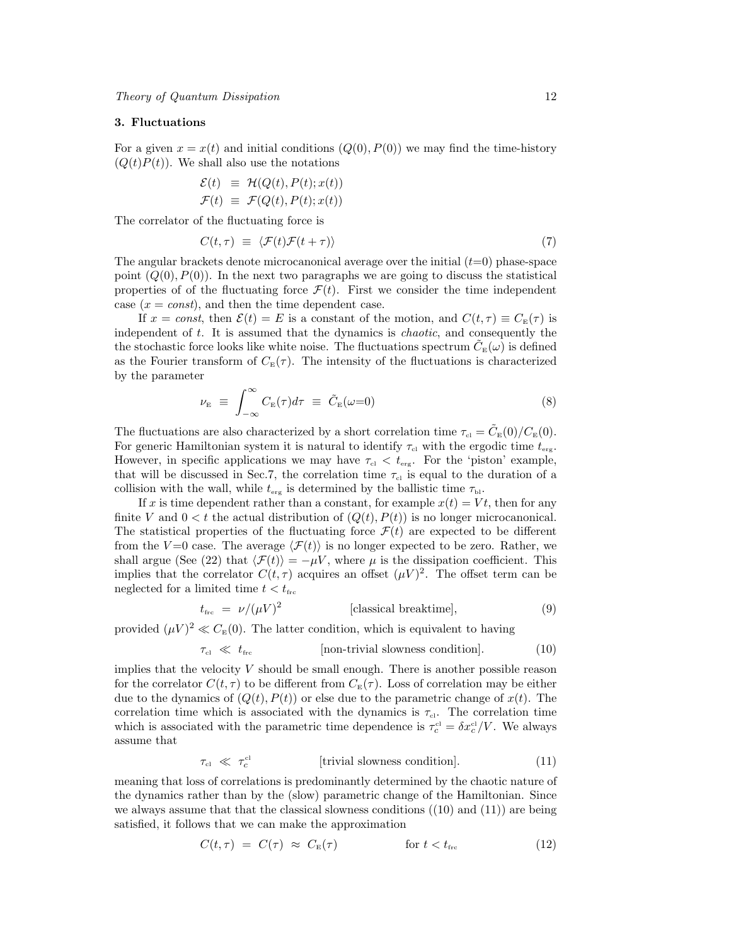# 3. Fluctuations

For a given  $x = x(t)$  and initial conditions  $(Q(0), P(0))$  we may find the time-history  $(Q(t)P(t))$ . We shall also use the notations

$$
\mathcal{E}(t) \equiv \mathcal{H}(Q(t), P(t); x(t))
$$
  

$$
\mathcal{F}(t) \equiv \mathcal{F}(Q(t), P(t); x(t))
$$

The correlator of the fluctuating force is

$$
C(t,\tau) \equiv \langle \mathcal{F}(t)\mathcal{F}(t+\tau) \rangle \tag{7}
$$

The angular brackets denote microcanonical average over the initial  $(t=0)$  phase-space point  $(Q(0), P(0))$ . In the next two paragraphs we are going to discuss the statistical properties of of the fluctuating force  $\mathcal{F}(t)$ . First we consider the time independent case  $(x = const)$ , and then the time dependent case.

If  $x = const$ , then  $\mathcal{E}(t) = E$  is a constant of the motion, and  $C(t, \tau) \equiv C_{\mathbb{E}}(\tau)$  is independent of  $t$ . It is assumed that the dynamics is *chaotic*, and consequently the the stochastic force looks like white noise. The fluctuations spectrum  $\tilde{C}_{\text{\tiny E}}(\omega)$  is defined as the Fourier transform of  $C_{\rm E}(\tau)$ . The intensity of the fluctuations is characterized by the parameter

$$
\nu_{\rm E} \equiv \int_{-\infty}^{\infty} C_{\rm E}(\tau) d\tau \equiv \tilde{C}_{\rm E}(\omega=0) \tag{8}
$$

The fluctuations are also characterized by a short correlation time  $\tau_{\rm cl} = \tilde{C}_{\rm E}(0)/C_{\rm E}(0)$ . For generic Hamiltonian system it is natural to identify  $\tau_{\rm cl}$  with the ergodic time  $t_{\rm erg}$ . However, in specific applications we may have  $\tau_{\text{cl}} < t_{\text{erg}}$ . For the 'piston' example, that will be discussed in Sec.7, the correlation time  $\tau_{\rm cl}$  is equal to the duration of a collision with the wall, while  $t_{\text{erg}}$  is determined by the ballistic time  $\tau_{\text{bl}}$ .

If x is time dependent rather than a constant, for example  $x(t) = Vt$ , then for any finite V and  $0 < t$  the actual distribution of  $(Q(t), P(t))$  is no longer microcanonical. The statistical properties of the fluctuating force  $\mathcal{F}(t)$  are expected to be different from the V=0 case. The average  $\langle \mathcal{F}(t) \rangle$  is no longer expected to be zero. Rather, we shall argue (See (22) that  $\langle \mathcal{F}(t)\rangle = -\mu V$ , where  $\mu$  is the dissipation coefficient. This implies that the correlator  $C(t, \tau)$  acquires an offset  $(\mu V)^2$ . The offset term can be neglected for a limited time  $t < t_{\text{frc}}$ 

$$
t_{\rm fre} = \nu / (\mu V)^2
$$
 [classical breakthrough, (9)

provided  $(\mu V)^2 \ll C_E(0)$ . The latter condition, which is equivalent to having

$$
\tau_{\rm cl} \ll t_{\rm frc}
$$
 [non-trivial slowness condition]. (10)

implies that the velocity  $V$  should be small enough. There is another possible reason for the correlator  $C(t, \tau)$  to be different from  $C_{\text{E}}(\tau)$ . Loss of correlation may be either due to the dynamics of  $(Q(t), P(t))$  or else due to the parametric change of  $x(t)$ . The correlation time which is associated with the dynamics is  $\tau_{\text{cl}}$ . The correlation time which is associated with the parametric time dependence is  $\tau_c^{\text{cl}} = \delta x_c^{\text{cl}}/V$ . We always assume that

$$
\tau_{\rm cl} \ll \tau_c^{\rm cl} \qquad \qquad [\text{trivial slowness condition}]. \tag{11}
$$

meaning that loss of correlations is predominantly determined by the chaotic nature of the dynamics rather than by the (slow) parametric change of the Hamiltonian. Since we always assume that that the classical slowness conditions  $((10)$  and  $(11))$  are being satisfied, it follows that we can make the approximation

$$
C(t,\tau) = C(\tau) \approx C_{\rm E}(\tau) \qquad \qquad \text{for } t < t_{\rm fre}
$$
 (12)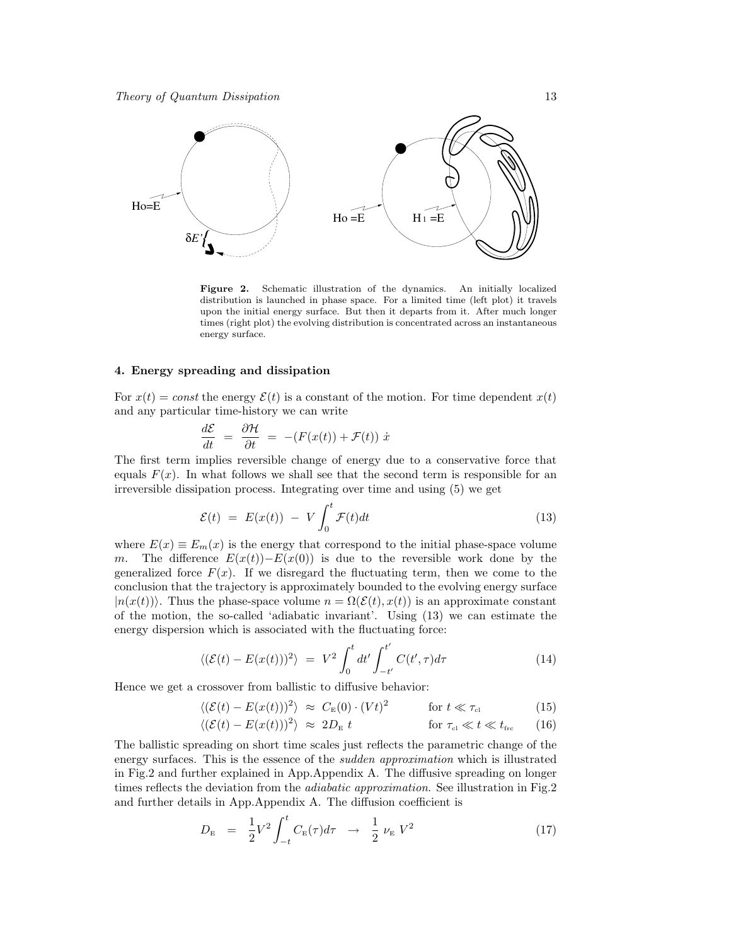

Figure 2. Schematic illustration of the dynamics. An initially localized distribution is launched in phase space. For a limited time (left plot) it travels upon the initial energy surface. But then it departs from it. After much longer times (right plot) the evolving distribution is concentrated across an instantaneous energy surface.

#### 4. Energy spreading and dissipation

For  $x(t) = const$  the energy  $\mathcal{E}(t)$  is a constant of the motion. For time dependent  $x(t)$ and any particular time-history we can write

$$
\frac{d\mathcal{E}}{dt} = \frac{\partial \mathcal{H}}{\partial t} = -(F(x(t)) + \mathcal{F}(t)) \dot{x}
$$

The first term implies reversible change of energy due to a conservative force that equals  $F(x)$ . In what follows we shall see that the second term is responsible for an irreversible dissipation process. Integrating over time and using (5) we get

$$
\mathcal{E}(t) = E(x(t)) - V \int_0^t \mathcal{F}(t) dt
$$
\n(13)

where  $E(x) \equiv E_m(x)$  is the energy that correspond to the initial phase-space volume m. The difference  $E(x(t)) - E(x(0))$  is due to the reversible work done by the generalized force  $F(x)$ . If we disregard the fluctuating term, then we come to the conclusion that the trajectory is approximately bounded to the evolving energy surface  $|n(x(t))\rangle$ . Thus the phase-space volume  $n = \Omega(\mathcal{E}(t), x(t))$  is an approximate constant of the motion, the so-called 'adiabatic invariant'. Using (13) we can estimate the energy dispersion which is associated with the fluctuating force:

$$
\langle (\mathcal{E}(t) - E(x(t)))^2 \rangle = V^2 \int_0^t dt' \int_{-t'}^{t'} C(t', \tau) d\tau
$$
\n(14)

Hence we get a crossover from ballistic to diffusive behavior:

$$
\langle (\mathcal{E}(t) - E(x(t)))^2 \rangle \approx C_{\text{E}}(0) \cdot (Vt)^2 \qquad \text{for } t \ll \tau_{\text{cl}} \tag{15}
$$

$$
\langle (\mathcal{E}(t) - E(x(t)))^2 \rangle \approx 2D_{\rm E} t \qquad \text{for } \tau_{\rm cl} \ll t \ll t_{\rm frc} \qquad (16)
$$

The ballistic spreading on short time scales just reflects the parametric change of the energy surfaces. This is the essence of the *sudden approximation* which is illustrated in Fig.2 and further explained in App.Appendix A. The diffusive spreading on longer times reflects the deviation from the *adiabatic approximation*. See illustration in Fig.2 and further details in App.Appendix A. The diffusion coefficient is

$$
D_{\rm E} = \frac{1}{2} V^2 \int_{-t}^{t} C_{\rm E}(\tau) d\tau \to \frac{1}{2} \nu_{\rm E} V^2 \tag{17}
$$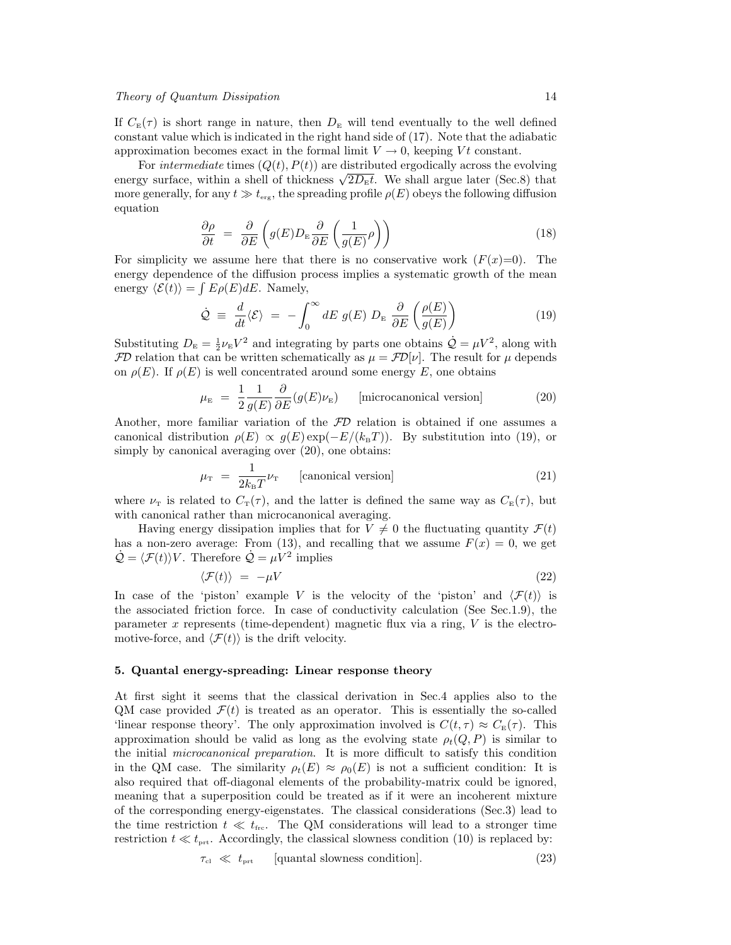If  $C_{\rm E}(\tau)$  is short range in nature, then  $D_{\rm E}$  will tend eventually to the well defined constant value which is indicated in the right hand side of (17). Note that the adiabatic approximation becomes exact in the formal limit  $V \to 0$ , keeping Vt constant.

For *intermediate* times  $(Q(t), P(t))$  are distributed ergodically across the evolving For *intermeatate* times  $(Q(t), F(t))$  are distributed ergodically across the evolving<br>energy surface, within a shell of thickness  $\sqrt{2D_{\rm E}t}$ . We shall argue later (Sec.8) that more generally, for any  $t \gg t_{\text{erg}}$ , the spreading profile  $\rho(E)$  obeys the following diffusion equation

$$
\frac{\partial \rho}{\partial t} = \frac{\partial}{\partial E} \left( g(E) D_{\rm E} \frac{\partial}{\partial E} \left( \frac{1}{g(E)} \rho \right) \right) \tag{18}
$$

For simplicity we assume here that there is no conservative work  $(F(x)=0)$ . The energy dependence of the diffusion process implies a systematic growth of the mean energy  $\langle \mathcal{E}(t) \rangle = \int E \rho(E) dE$ . Namely,

$$
\dot{\mathcal{Q}} = \frac{d}{dt} \langle \mathcal{E} \rangle = - \int_0^\infty dE \ g(E) \ D_{\rm E} \ \frac{\partial}{\partial E} \left( \frac{\rho(E)}{g(E)} \right) \tag{19}
$$

Substituting  $D_{\rm E} = \frac{1}{2} \nu_{\rm E} V^2$  and integrating by parts one obtains  $\dot{Q} = \mu V^2$ , along with  $FD$  relation that can be written schematically as  $\mu = FD[\nu]$ . The result for  $\mu$  depends on  $\rho(E)$ . If  $\rho(E)$  is well concentrated around some energy E, one obtains

$$
\mu_{\rm E} = \frac{1}{2} \frac{1}{g(E)} \frac{\partial}{\partial E} (g(E)\nu_{\rm E}) \qquad \text{[microcanonical version]} \tag{20}
$$

Another, more familiar variation of the  $FD$  relation is obtained if one assumes a canonical distribution  $\rho(E) \propto q(E) \exp(-E/(k_B T))$ . By substitution into (19), or simply by canonical averaging over  $(20)$ , one obtains:

$$
\mu_{\rm T} = \frac{1}{2k_{\rm B}T} \nu_{\rm T} \qquad \text{[canonical version]} \tag{21}
$$

where  $\nu_{\rm T}$  is related to  $C_{\rm T}(\tau)$ , and the latter is defined the same way as  $C_{\rm E}(\tau)$ , but with canonical rather than microcanonical averaging.

Having energy dissipation implies that for  $V \neq 0$  the fluctuating quantity  $\mathcal{F}(t)$ has a non-zero average: From (13), and recalling that we assume  $F(x) = 0$ , we get  $\dot{\mathcal{Q}} = \langle \mathcal{F}(t) \rangle V$ . Therefore  $\dot{\mathcal{Q}} = \mu V^2$  implies

$$
\langle \mathcal{F}(t) \rangle = -\mu V \tag{22}
$$

In case of the 'piston' example V is the velocity of the 'piston' and  $\langle \mathcal{F}(t) \rangle$  is the associated friction force. In case of conductivity calculation (See Sec.1.9), the parameter x represents (time-dependent) magnetic flux via a ring,  $V$  is the electromotive-force, and  $\langle \mathcal{F}(t) \rangle$  is the drift velocity.

#### 5. Quantal energy-spreading: Linear response theory

At first sight it seems that the classical derivation in Sec.4 applies also to the QM case provided  $\mathcal{F}(t)$  is treated as an operator. This is essentially the so-called 'linear response theory'. The only approximation involved is  $C(t, \tau) \approx C_{\rm E}(\tau)$ . This approximation should be valid as long as the evolving state  $\rho_t(Q, P)$  is similar to the initial microcanonical preparation. It is more difficult to satisfy this condition in the QM case. The similarity  $\rho_t(E) \approx \rho_0(E)$  is not a sufficient condition: It is also required that off-diagonal elements of the probability-matrix could be ignored, meaning that a superposition could be treated as if it were an incoherent mixture of the corresponding energy-eigenstates. The classical considerations (Sec.3) lead to the time restriction  $t \ll t_{\text{frc}}$ . The QM considerations will lead to a stronger time restriction  $t \ll t_{\text{prt}}$ . Accordingly, the classical slowness condition (10) is replaced by:

$$
\tau_{\rm cl} \ll t_{\rm prt} \qquad \text{[quantal slowness condition]}.
$$
\n(23)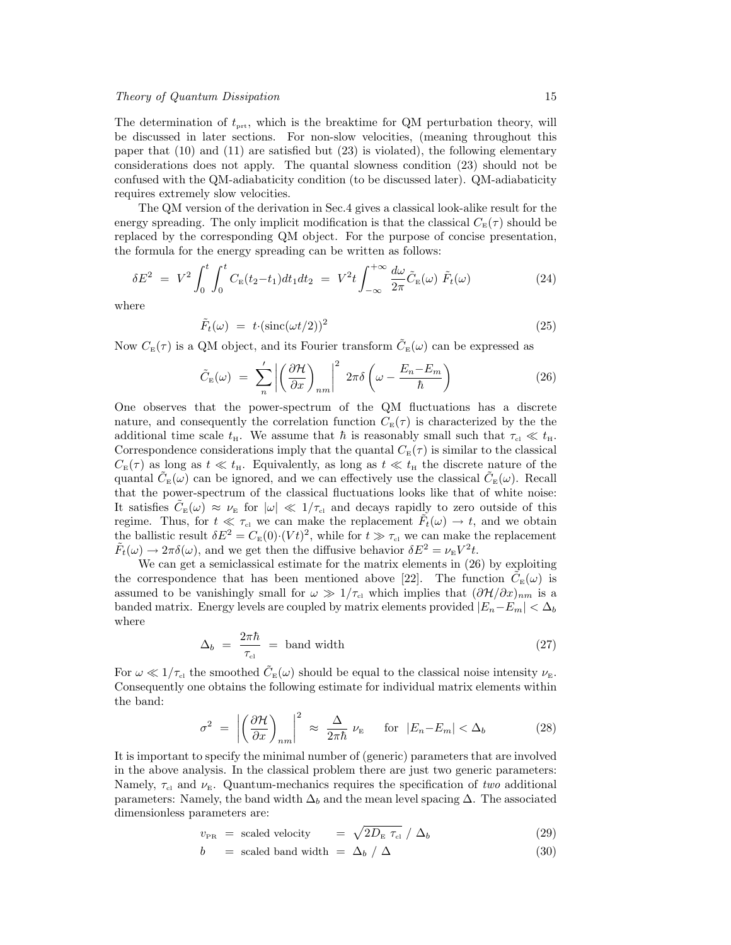The determination of  $t_{\text{prt}}$ , which is the breaktime for QM perturbation theory, will be discussed in later sections. For non-slow velocities, (meaning throughout this paper that (10) and (11) are satisfied but (23) is violated), the following elementary considerations does not apply. The quantal slowness condition (23) should not be confused with the QM-adiabaticity condition (to be discussed later). QM-adiabaticity requires extremely slow velocities.

The QM version of the derivation in Sec.4 gives a classical look-alike result for the energy spreading. The only implicit modification is that the classical  $C_{\rm E}(\tau)$  should be replaced by the corresponding QM object. For the purpose of concise presentation, the formula for the energy spreading can be written as follows:

$$
\delta E^2 = V^2 \int_0^t \int_0^t C_{\rm E}(t_2 - t_1) dt_1 dt_2 = V^2 t \int_{-\infty}^{+\infty} \frac{d\omega}{2\pi} \tilde{C}_{\rm E}(\omega) \ \tilde{F}_t(\omega) \tag{24}
$$

where

$$
\tilde{F}_t(\omega) = t \cdot (\text{sinc}(\omega t/2))^2 \tag{25}
$$

Now  $C_{\text{\tiny E}}(\tau)$  is a QM object, and its Fourier transform  $\tilde{C}_{\text{\tiny E}}(\omega)$  can be expressed as

$$
\tilde{C}_{\rm E}(\omega) = \sum_{n}^{\prime} \left| \left( \frac{\partial \mathcal{H}}{\partial x} \right)_{nm} \right|^{2} 2\pi \delta \left( \omega - \frac{E_{n} - E_{m}}{\hbar} \right)
$$
\n(26)

One observes that the power-spectrum of the QM fluctuations has a discrete nature, and consequently the correlation function  $C_{\text{E}}(\tau)$  is characterized by the the additional time scale  $t_{\rm H}$ . We assume that  $\hbar$  is reasonably small such that  $\tau_{\rm cl} \ll t_{\rm H}$ . Correspondence considerations imply that the quantal  $C_{\rm E}(\tau)$  is similar to the classical  $C_{\rm E}(\tau)$  as long as  $t \ll t_{\rm H}$ . Equivalently, as long as  $t \ll t_{\rm H}$  the discrete nature of the quantal  $\tilde{C}_{E}(\omega)$  can be ignored, and we can effectively use the classical  $\tilde{C}_{E}(\omega)$ . Recall that the power-spectrum of the classical fluctuations looks like that of white noise: It satisfies  $\tilde{C}_{E}(\omega) \approx \nu_{E}$  for  $|\omega| \ll 1/\tau_{c1}$  and decays rapidly to zero outside of this regime. Thus, for  $t \ll \tau_{\text{cl}}$  we can make the replacement  $\tilde{F}_t(\omega) \to t$ , and we obtain the ballistic result  $\delta E^2 = C_{\rm E}(0) \cdot (V t)^2$ , while for  $t \gg \tau_{\rm cl}$  we can make the replacement  $\tilde{F}_t(\omega) \to 2\pi \delta(\omega)$ , and we get then the diffusive behavior  $\delta E^2 = \nu_{\rm E} V^2 t$ .

We can get a semiclassical estimate for the matrix elements in (26) by exploiting the correspondence that has been mentioned above [22]. The function  $\tilde{C}_{\text{\tiny E}}(\omega)$  is assumed to be vanishingly small for  $\omega \gg 1/\tau_{\rm cl}$  which implies that  $(\partial \mathcal{H}/\partial x)_{nm}$  is a banded matrix. Energy levels are coupled by matrix elements provided  $|E_n-E_m| < \Delta_b$ where

$$
\Delta_b = \frac{2\pi\hbar}{\tau_{\text{cl}}} = \text{band width} \tag{27}
$$

For  $\omega \ll 1/\tau_{\rm cl}$  the smoothed  $\tilde{C}_{\rm E}(\omega)$  should be equal to the classical noise intensity  $\nu_{\rm E}$ . Consequently one obtains the following estimate for individual matrix elements within the band:

$$
\sigma^2 = \left| \left( \frac{\partial \mathcal{H}}{\partial x} \right)_{nm} \right|^2 \approx \frac{\Delta}{2\pi\hbar} \nu_{\rm E} \quad \text{for } |E_n - E_m| < \Delta_b \tag{28}
$$

It is important to specify the minimal number of (generic) parameters that are involved in the above analysis. In the classical problem there are just two generic parameters: Namely,  $\tau_{\rm cl}$  and  $\nu_{\rm E}$ . Quantum-mechanics requires the specification of two additional parameters: Namely, the band width  $\Delta_b$  and the mean level spacing  $\Delta$ . The associated dimensionless parameters are:

$$
v_{\rm PR} = \text{scaled velocity} = \sqrt{2D_{\rm E} \tau_{\rm cl}} / \Delta_b \tag{29}
$$

$$
b = scaled band width = \Delta_b / \Delta \qquad (30)
$$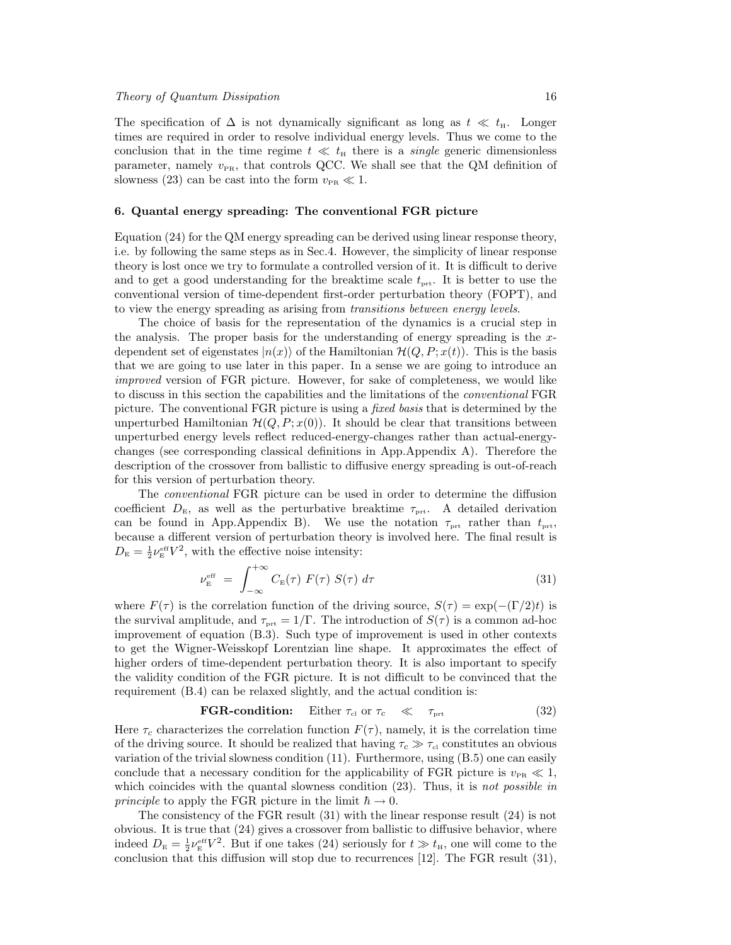The specification of  $\Delta$  is not dynamically significant as long as  $t \ll t_{\rm H}$ . Longer times are required in order to resolve individual energy levels. Thus we come to the conclusion that in the time regime  $t \ll t_{\text{H}}$  there is a *single* generic dimensionless parameter, namely  $v_{PR}$ , that controls QCC. We shall see that the QM definition of slowness (23) can be cast into the form  $v_{PR} \ll 1$ .

# 6. Quantal energy spreading: The conventional FGR picture

Equation (24) for the QM energy spreading can be derived using linear response theory, i.e. by following the same steps as in Sec.4. However, the simplicity of linear response theory is lost once we try to formulate a controlled version of it. It is difficult to derive and to get a good understanding for the breaktime scale  $t_{\text{pri}}$ . It is better to use the conventional version of time-dependent first-order perturbation theory (FOPT), and to view the energy spreading as arising from transitions between energy levels.

The choice of basis for the representation of the dynamics is a crucial step in the analysis. The proper basis for the understanding of energy spreading is the  $x$ dependent set of eigenstates  $|n(x)\rangle$  of the Hamiltonian  $\mathcal{H}(Q, P; x(t))$ . This is the basis that we are going to use later in this paper. In a sense we are going to introduce an improved version of FGR picture. However, for sake of completeness, we would like to discuss in this section the capabilities and the limitations of the conventional FGR picture. The conventional FGR picture is using a *fixed basis* that is determined by the unperturbed Hamiltonian  $\mathcal{H}(Q, P; x(0))$ . It should be clear that transitions between unperturbed energy levels reflect reduced-energy-changes rather than actual-energychanges (see corresponding classical definitions in App.Appendix A). Therefore the description of the crossover from ballistic to diffusive energy spreading is out-of-reach for this version of perturbation theory.

The conventional FGR picture can be used in order to determine the diffusion coefficient  $D_{\rm E}$ , as well as the perturbative breaktime  $\tau_{\rm prt}$ . A detailed derivation can be found in App.Appendix B). We use the notation  $\tau_{\text{prt}}$  rather than  $t_{\text{prt}}$ , because a different version of perturbation theory is involved here. The final result is  $D_{\rm E} = \frac{1}{2} \nu_{\rm E}^{\rm eff} V^2$ , with the effective noise intensity:

$$
\nu_{\rm E}^{\rm eff} = \int_{-\infty}^{+\infty} C_{\rm E}(\tau) F(\tau) S(\tau) d\tau \tag{31}
$$

where  $F(\tau)$  is the correlation function of the driving source,  $S(\tau) = \exp(-(\Gamma/2)t)$  is the survival amplitude, and  $\tau_{\text{net}} = 1/\Gamma$ . The introduction of  $S(\tau)$  is a common ad-hoc improvement of equation (B.3). Such type of improvement is used in other contexts to get the Wigner-Weisskopf Lorentzian line shape. It approximates the effect of higher orders of time-dependent perturbation theory. It is also important to specify the validity condition of the FGR picture. It is not difficult to be convinced that the requirement (B.4) can be relaxed slightly, and the actual condition is:

**FGR-condition:** Either 
$$
\tau_{\text{cl}}
$$
 or  $\tau_c \ll \tau_{\text{prt}}$  (32)

Here  $\tau_c$  characterizes the correlation function  $F(\tau)$ , namely, it is the correlation time of the driving source. It should be realized that having  $\tau_c \gg \tau_{\rm cl}$  constitutes an obvious variation of the trivial slowness condition (11). Furthermore, using (B.5) one can easily conclude that a necessary condition for the applicability of FGR picture is  $v_{PR} \ll 1$ , which coincides with the quantal slowness condition  $(23)$ . Thus, it is not possible in principle to apply the FGR picture in the limit  $\hbar \to 0$ .

The consistency of the FGR result (31) with the linear response result (24) is not obvious. It is true that (24) gives a crossover from ballistic to diffusive behavior, where indeed  $D_{\rm E} = \frac{1}{2} \nu_{\rm E}^{\rm eff} V^2$ . But if one takes (24) seriously for  $t \gg t_{\rm H}$ , one will come to the conclusion that this diffusion will stop due to recurrences [12]. The FGR result (31),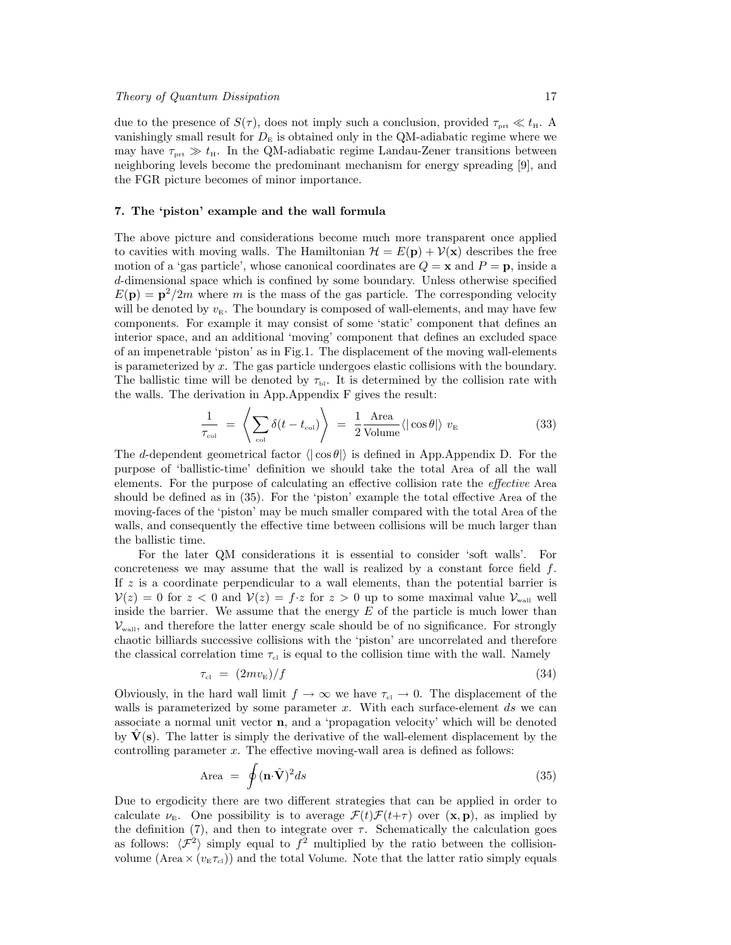due to the presence of  $S(\tau)$ , does not imply such a conclusion, provided  $\tau_{\text{prt}} \ll t_{\text{H}}$ . A vanishingly small result for  $D<sub>E</sub>$  is obtained only in the QM-adiabatic regime where we may have  $\tau_{\text{prt}} \gg t_{\text{H}}$ . In the QM-adiabatic regime Landau-Zener transitions between neighboring levels become the predominant mechanism for energy spreading [9], and the FGR picture becomes of minor importance.

# 7. The 'piston' example and the wall formula

The above picture and considerations become much more transparent once applied to cavities with moving walls. The Hamiltonian  $\mathcal{H} = E(\mathbf{p}) + \mathcal{V}(\mathbf{x})$  describes the free motion of a 'gas particle', whose canonical coordinates are  $Q = \mathbf{x}$  and  $P = \mathbf{p}$ , inside a d-dimensional space which is confined by some boundary. Unless otherwise specified  $E(\mathbf{p}) = \mathbf{p}^2/2m$  where m is the mass of the gas particle. The corresponding velocity will be denoted by  $v_{\rm E}$ . The boundary is composed of wall-elements, and may have few components. For example it may consist of some 'static' component that defines an interior space, and an additional 'moving' component that defines an excluded space of an impenetrable 'piston' as in Fig.1. The displacement of the moving wall-elements is parameterized by  $x$ . The gas particle undergoes elastic collisions with the boundary. The ballistic time will be denoted by  $\tau_{\text{bl}}$ . It is determined by the collision rate with the walls. The derivation in App.Appendix F gives the result:

$$
\frac{1}{\tau_{\text{col}}} = \left\langle \sum_{\text{col}} \delta(t - t_{\text{col}}) \right\rangle = \frac{1}{2} \frac{\text{Area}}{\text{Volume}} \langle |\cos \theta| \rangle v_{\text{E}}
$$
\n(33)

The d-dependent geometrical factor  $\langle \cdot | \cos \theta \rangle$  is defined in App.Appendix D. For the purpose of 'ballistic-time' definition we should take the total Area of all the wall elements. For the purpose of calculating an effective collision rate the effective Area should be defined as in (35). For the 'piston' example the total effective Area of the moving-faces of the 'piston' may be much smaller compared with the total Area of the walls, and consequently the effective time between collisions will be much larger than the ballistic time.

For the later QM considerations it is essential to consider 'soft walls'. For concreteness we may assume that the wall is realized by a constant force field  $f$ . If  $z$  is a coordinate perpendicular to a wall elements, than the potential barrier is  $\mathcal{V}(z) = 0$  for  $z < 0$  and  $\mathcal{V}(z) = f \cdot z$  for  $z > 0$  up to some maximal value  $\mathcal{V}_{\text{wall}}$  well inside the barrier. We assume that the energy  $E$  of the particle is much lower than  $\mathcal{V}_{\text{wall}}$ , and therefore the latter energy scale should be of no significance. For strongly chaotic billiards successive collisions with the 'piston' are uncorrelated and therefore the classical correlation time  $\tau_{\rm cl}$  is equal to the collision time with the wall. Namely

$$
\tau_{\rm cl} = (2mv_{\rm E})/f \tag{34}
$$

Obviously, in the hard wall limit  $f \to \infty$  we have  $\tau_{\rm cl} \to 0$ . The displacement of the walls is parameterized by some parameter  $x$ . With each surface-element  $ds$  we can associate a normal unit vector n, and a 'propagation velocity' which will be denoted by  $V(s)$ . The latter is simply the derivative of the wall-element displacement by the controlling parameter  $x$ . The effective moving-wall area is defined as follows:

$$
\text{Area} = \oint (\mathbf{n} \cdot \hat{\mathbf{V}})^2 ds \tag{35}
$$

Due to ergodicity there are two different strategies that can be applied in order to calculate  $\nu_{\text{E}}$ . One possibility is to average  $\mathcal{F}(t)\mathcal{F}(t+\tau)$  over  $(\mathbf{x}, \mathbf{p})$ , as implied by the definition (7), and then to integrate over  $\tau$ . Schematically the calculation goes as follows:  $\langle \mathcal{F}^2 \rangle$  simply equal to  $f^2$  multiplied by the ratio between the collisionvolume (Area  $\times (v_{E} \tau_{cl})$ ) and the total Volume. Note that the latter ratio simply equals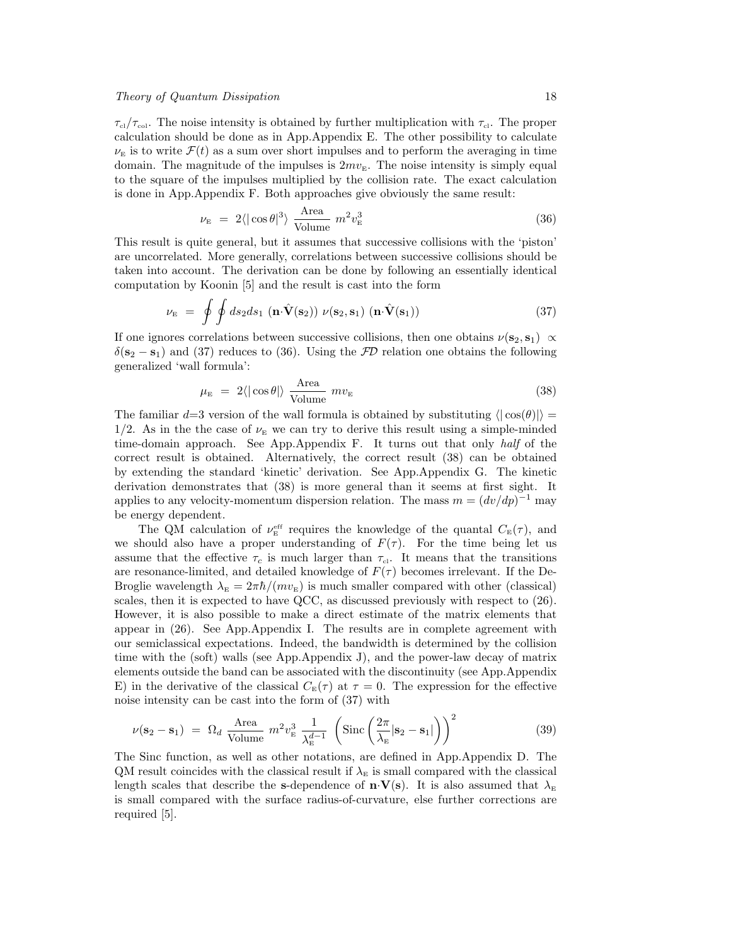# Theory of Quantum Dissipation 18

 $\tau_{\rm cl}/\tau_{\rm col}$ . The noise intensity is obtained by further multiplication with  $\tau_{\rm cl}$ . The proper calculation should be done as in App.Appendix E. The other possibility to calculate  $\nu_{\rm E}$  is to write  $\mathcal{F}(t)$  as a sum over short impulses and to perform the averaging in time domain. The magnitude of the impulses is  $2mv_E$ . The noise intensity is simply equal to the square of the impulses multiplied by the collision rate. The exact calculation is done in App.Appendix F. Both approaches give obviously the same result:

$$
\nu_{\rm E} = 2 \langle |\cos \theta|^3 \rangle \frac{\text{Area}}{\text{Volume}} m^2 v_{\rm E}^3 \tag{36}
$$

This result is quite general, but it assumes that successive collisions with the 'piston' are uncorrelated. More generally, correlations between successive collisions should be taken into account. The derivation can be done by following an essentially identical computation by Koonin [5] and the result is cast into the form

$$
\nu_{\rm E} = \oint \oint ds_2 ds_1 \left( \mathbf{n} \cdot \hat{\mathbf{V}}(\mathbf{s}_2) \right) \nu(\mathbf{s}_2, \mathbf{s}_1) \left( \mathbf{n} \cdot \hat{\mathbf{V}}(\mathbf{s}_1) \right) \tag{37}
$$

If one ignores correlations between successive collisions, then one obtains  $\nu(\mathbf{s}_2, \mathbf{s}_1) \propto$  $\delta(\mathbf{s}_2 - \mathbf{s}_1)$  and (37) reduces to (36). Using the  $\mathcal{FD}$  relation one obtains the following generalized 'wall formula':

$$
\mu_{\rm E} = 2 \langle |\cos \theta| \rangle \frac{\text{Area}}{\text{Volume}} \ m v_{\rm E}
$$
\n(38)

The familiar  $d=3$  version of the wall formula is obtained by substituting  $\langle |\cos(\theta)| \rangle =$  $1/2$ . As in the the case of  $\nu_{\rm E}$  we can try to derive this result using a simple-minded time-domain approach. See App.Appendix F. It turns out that only half of the correct result is obtained. Alternatively, the correct result (38) can be obtained by extending the standard 'kinetic' derivation. See App.Appendix G. The kinetic derivation demonstrates that (38) is more general than it seems at first sight. It applies to any velocity-momentum dispersion relation. The mass  $m = (dv/dp)^{-1}$  may be energy dependent.

The QM calculation of  $\nu_{\rm E}^{\rm eff}$  requires the knowledge of the quantal  $C_{\rm E}(\tau)$ , and we should also have a proper understanding of  $F(\tau)$ . For the time being let us assume that the effective  $\tau_c$  is much larger than  $\tau_{cl}$ . It means that the transitions are resonance-limited, and detailed knowledge of  $F(\tau)$  becomes irrelevant. If the De-Broglie wavelength  $\lambda_{\rm E} = 2\pi\hbar/(mv_{\rm E})$  is much smaller compared with other (classical) scales, then it is expected to have QCC, as discussed previously with respect to (26). However, it is also possible to make a direct estimate of the matrix elements that appear in (26). See App.Appendix I. The results are in complete agreement with our semiclassical expectations. Indeed, the bandwidth is determined by the collision time with the (soft) walls (see App.Appendix J), and the power-law decay of matrix elements outside the band can be associated with the discontinuity (see App.Appendix E) in the derivative of the classical  $C_{\rm E}(\tau)$  at  $\tau=0$ . The expression for the effective noise intensity can be cast into the form of (37) with

$$
\nu(\mathbf{s}_2 - \mathbf{s}_1) = \Omega_d \frac{\text{Area}}{\text{Volume}} m^2 v_{\text{E}}^3 \frac{1}{\lambda_{\text{E}}^{d-1}} \left( \text{Sinc} \left( \frac{2\pi}{\lambda_{\text{E}}} |\mathbf{s}_2 - \mathbf{s}_1| \right) \right)^2 \tag{39}
$$

The Sinc function, as well as other notations, are defined in App.Appendix D. The QM result coincides with the classical result if  $\lambda_{\rm E}$  is small compared with the classical length scales that describe the s-dependence of  $\mathbf{n} \cdot \mathbf{V}(\mathbf{s})$ . It is also assumed that  $\lambda_{\rm E}$ is small compared with the surface radius-of-curvature, else further corrections are required [5].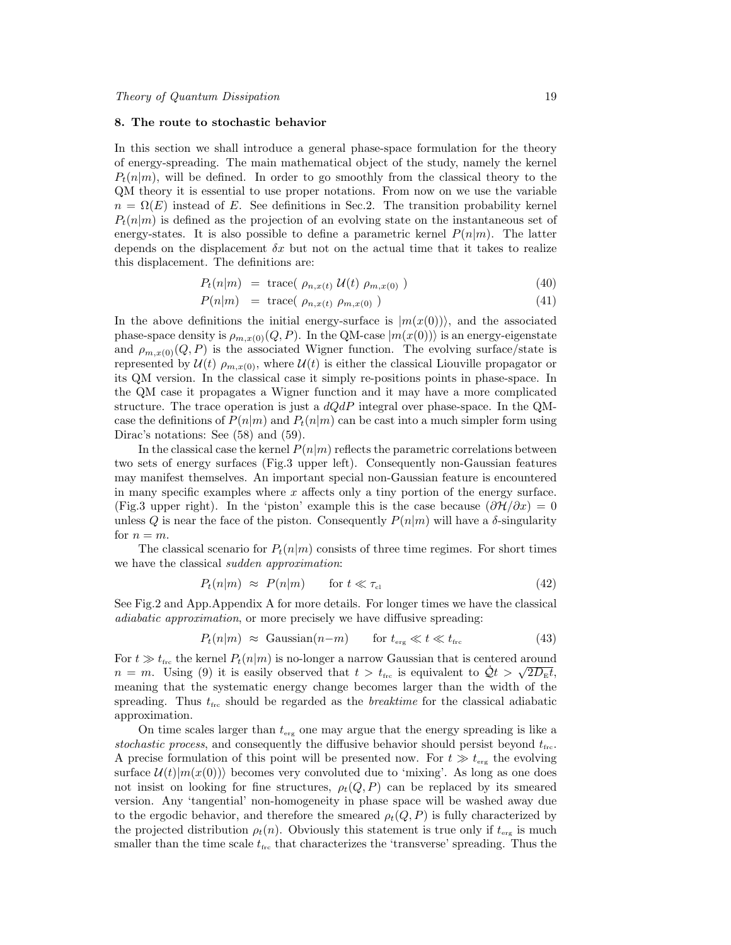#### 8. The route to stochastic behavior

In this section we shall introduce a general phase-space formulation for the theory of energy-spreading. The main mathematical object of the study, namely the kernel  $P_t(n|m)$ , will be defined. In order to go smoothly from the classical theory to the QM theory it is essential to use proper notations. From now on we use the variable  $n = \Omega(E)$  instead of E. See definitions in Sec.2. The transition probability kernel  $P_t(n|m)$  is defined as the projection of an evolving state on the instantaneous set of energy-states. It is also possible to define a parametric kernel  $P(n|m)$ . The latter depends on the displacement  $\delta x$  but not on the actual time that it takes to realize this displacement. The definitions are:

$$
P_t(n|m) = \text{trace}(\rho_{n,x(t)}\,\mathcal{U}(t)\,\rho_{m,x(0)})\tag{40}
$$

$$
P(n|m) = \text{trace}( \rho_{n,x(t)} \rho_{m,x(0)} ) \qquad (41)
$$

In the above definitions the initial energy-surface is  $|m(x(0))\rangle$ , and the associated phase-space density is  $\rho_{m,x(0)}(Q, P)$ . In the QM-case  $|m(x(0))\rangle$  is an energy-eigenstate and  $\rho_{m,x(0)}(Q, P)$  is the associated Wigner function. The evolving surface/state is represented by  $\mathcal{U}(t)$   $\rho_{m,x(0)}$ , where  $\mathcal{U}(t)$  is either the classical Liouville propagator or its QM version. In the classical case it simply re-positions points in phase-space. In the QM case it propagates a Wigner function and it may have a more complicated structure. The trace operation is just a  $dQdP$  integral over phase-space. In the QMcase the definitions of  $P(n|m)$  and  $P_t(n|m)$  can be cast into a much simpler form using Dirac's notations: See (58) and (59).

In the classical case the kernel  $P(n|m)$  reflects the parametric correlations between two sets of energy surfaces (Fig.3 upper left). Consequently non-Gaussian features may manifest themselves. An important special non-Gaussian feature is encountered in many specific examples where  $x$  affects only a tiny portion of the energy surface. (Fig.3 upper right). In the 'piston' example this is the case because  $(\partial \mathcal{H}/\partial x) = 0$ unless Q is near the face of the piston. Consequently  $P(n|m)$  will have a  $\delta$ -singularity for  $n = m$ .

The classical scenario for  $P_t(n|m)$  consists of three time regimes. For short times we have the classical sudden approximation:

$$
P_t(n|m) \approx P(n|m) \qquad \text{for } t \ll \tau_{\text{cl}} \tag{42}
$$

See Fig.2 and App.Appendix A for more details. For longer times we have the classical adiabatic approximation, or more precisely we have diffusive spreading:

$$
P_t(n|m) \approx \text{Gaussian}(n-m) \qquad \text{for } t_{\text{erg}} \ll t \ll t_{\text{frc}} \tag{43}
$$

For  $t \gg t_{\text{frc}}$  the kernel  $P_t(n|m)$  is no-longer a narrow Gaussian that is centered around For  $t \gg t_{\text{fre}}$  the kerner  $P_t(n|m)$  is no-longer a narrow Gaussian that is centered around  $n = m$ . Using (9) it is easily observed that  $t > t_{\text{fre}}$  is equivalent to  $\dot{Q}t > \sqrt{2D_{\text{E}}t}$ , meaning that the systematic energy change becomes larger than the width of the spreading. Thus  $t_{\text{frc}}$  should be regarded as the *breaktime* for the classical adiabatic approximation.

On time scales larger than  $t_{\text{erg}}$  one may argue that the energy spreading is like a stochastic process, and consequently the diffusive behavior should persist beyond  $t_{\text{frc}}$ . A precise formulation of this point will be presented now. For  $t \gg t_{\text{erg}}$  the evolving surface  $\mathcal{U}(t)|m(x(0))\rangle$  becomes very convoluted due to 'mixing'. As long as one does not insist on looking for fine structures,  $\rho_t(Q, P)$  can be replaced by its smeared version. Any 'tangential' non-homogeneity in phase space will be washed away due to the ergodic behavior, and therefore the smeared  $\rho_t(Q, P)$  is fully characterized by the projected distribution  $\rho_t(n)$ . Obviously this statement is true only if  $t_{\text{erg}}$  is much smaller than the time scale  $t_{\text{fre}}$  that characterizes the 'transverse' spreading. Thus the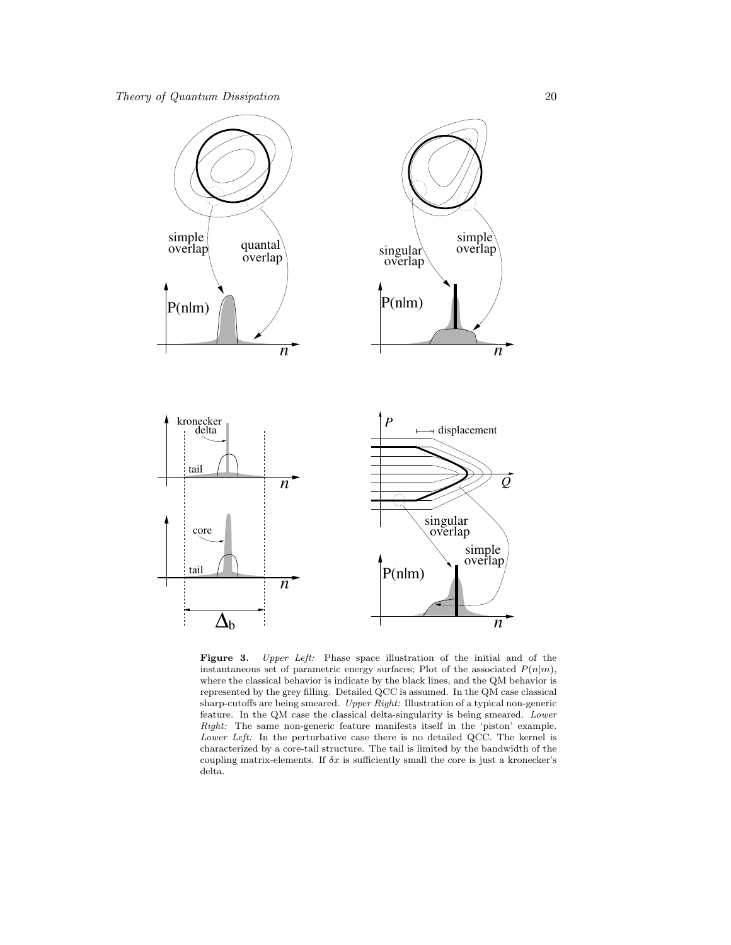

Figure 3. Upper Left: Phase space illustration of the initial and of the instantaneous set of parametric energy surfaces; Plot of the associated  $P(n|m)$ , where the classical behavior is indicate by the black lines, and the QM behavior is represented by the grey filling. Detailed QCC is assumed. In the QM case classical sharp-cutoffs are being smeared. Upper Right: Illustration of a typical non-generic feature. In the QM case the classical delta-singularity is being smeared. Lower Right: The same non-generic feature manifests itself in the 'piston' example. Lower Left: In the perturbative case there is no detailed QCC. The kernel is characterized by a core-tail structure. The tail is limited by the bandwidth of the coupling matrix-elements. If  $\delta x$  is sufficiently small the core is just a kronecker's delta.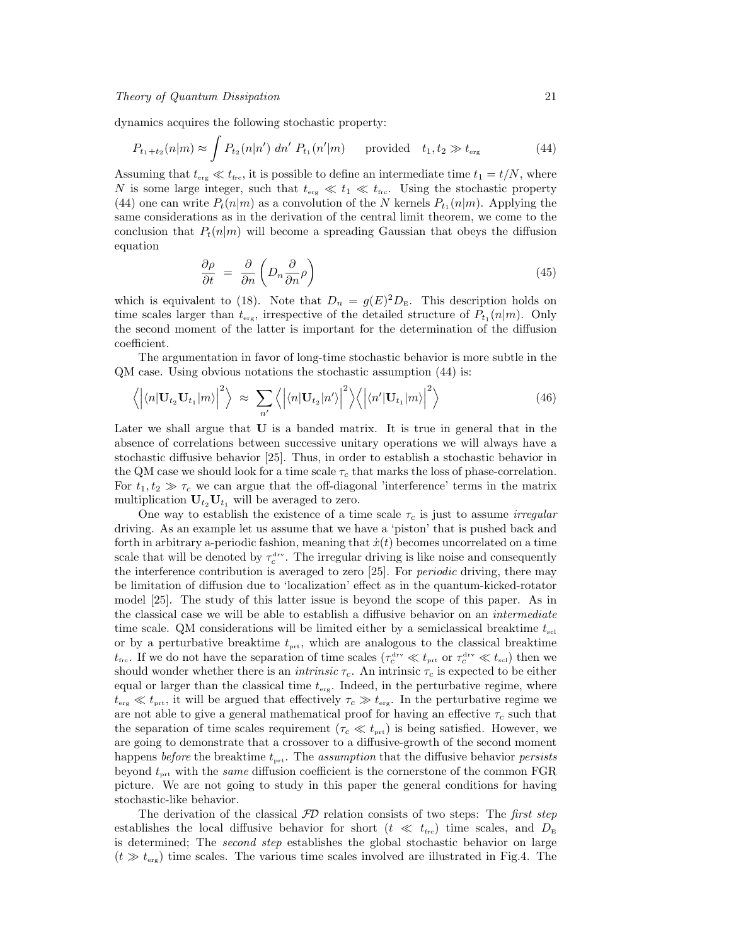dynamics acquires the following stochastic property:

$$
P_{t_1+t_2}(n|m) \approx \int P_{t_2}(n|n') \; dn' \; P_{t_1}(n'|m) \quad \text{provided} \quad t_1, t_2 \gg t_{\text{erg}} \tag{44}
$$

Assuming that  $t_{\text{erg}} \ll t_{\text{frc}}$ , it is possible to define an intermediate time  $t_1 = t/N$ , where N is some large integer, such that  $t_{\text{erg}} \ll t_1 \ll t_{\text{frc}}$ . Using the stochastic property (44) one can write  $P_t(n|m)$  as a convolution of the N kernels  $P_{t_1}(n|m)$ . Applying the same considerations as in the derivation of the central limit theorem, we come to the conclusion that  $P_t(n|m)$  will become a spreading Gaussian that obeys the diffusion equation

$$
\frac{\partial \rho}{\partial t} = \frac{\partial}{\partial n} \left( D_n \frac{\partial}{\partial n} \rho \right) \tag{45}
$$

which is equivalent to (18). Note that  $D_n = g(E)^2 D_{\rm E}$ . This description holds on time scales larger than  $t_{\text{erg}}$ , irrespective of the detailed structure of  $P_{t_1}(n|m)$ . Only the second moment of the latter is important for the determination of the diffusion coefficient.

The argumentation in favor of long-time stochastic behavior is more subtle in the QM case. Using obvious notations the stochastic assumption (44) is:

$$
\langle |\langle n|\mathbf{U}_{t_2}\mathbf{U}_{t_1}|m\rangle|^2 \rangle \approx \sum_{n'} \langle |\langle n|\mathbf{U}_{t_2}|n'\rangle|^2 \rangle \langle |\langle n'|\mathbf{U}_{t_1}|m\rangle|^2 \rangle \tag{46}
$$

Later we shall argue that U is a banded matrix. It is true in general that in the absence of correlations between successive unitary operations we will always have a stochastic diffusive behavior [25]. Thus, in order to establish a stochastic behavior in the QM case we should look for a time scale  $\tau_c$  that marks the loss of phase-correlation. For  $t_1, t_2 \gg \tau_c$  we can argue that the off-diagonal 'interference' terms in the matrix multiplication  $U_{t_2}U_{t_1}$  will be averaged to zero.

One way to establish the existence of a time scale  $\tau_c$  is just to assume *irregular* driving. As an example let us assume that we have a 'piston' that is pushed back and forth in arbitrary a-periodic fashion, meaning that  $\dot{x}(t)$  becomes uncorrelated on a time scale that will be denoted by  $\tau_c^{\text{drv}}$ . The irregular driving is like noise and consequently the interference contribution is averaged to zero [25]. For *periodic* driving, there may be limitation of diffusion due to 'localization' effect as in the quantum-kicked-rotator model [25]. The study of this latter issue is beyond the scope of this paper. As in the classical case we will be able to establish a diffusive behavior on an *intermediate* time scale. QM considerations will be limited either by a semiclassical breaktime  $t_{\text{sel}}$ or by a perturbative breaktime  $t_{\text{prt}}$ , which are analogous to the classical breaktime  $t_{\text{frc}}$ . If we do not have the separation of time scales  $(\tau_c^{\text{drv}} \ll t_{\text{prt}}$  or  $\tau_c^{\text{drv}} \ll t_{\text{sel}})$  then we should wonder whether there is an *intrinsic*  $\tau_c$ . An intrinsic  $\tau_c$  is expected to be either equal or larger than the classical time  $t_{\text{erg}}$ . Indeed, in the perturbative regime, where  $t_{\text{erg}} \ll t_{\text{prt}}$ , it will be argued that effectively  $\tau_c \gg t_{\text{erg}}$ . In the perturbative regime we are not able to give a general mathematical proof for having an effective  $\tau_c$  such that the separation of time scales requirement ( $\tau_c \ll t_{\text{prt}}$ ) is being satisfied. However, we are going to demonstrate that a crossover to a diffusive-growth of the second moment happens before the breaktime  $t_{\text{prt}}$ . The assumption that the diffusive behavior persists beyond  $t_{\text{ort}}$  with the *same* diffusion coefficient is the cornerstone of the common FGR picture. We are not going to study in this paper the general conditions for having stochastic-like behavior.

The derivation of the classical  $\mathcal{F}D$  relation consists of two steps: The first step establishes the local diffusive behavior for short ( $t \ll t_{\text{frc}}$ ) time scales, and  $D_{\text{E}}$ is determined; The *second step* establishes the global stochastic behavior on large  $(t \gg t_{\text{erg}})$  time scales. The various time scales involved are illustrated in Fig.4. The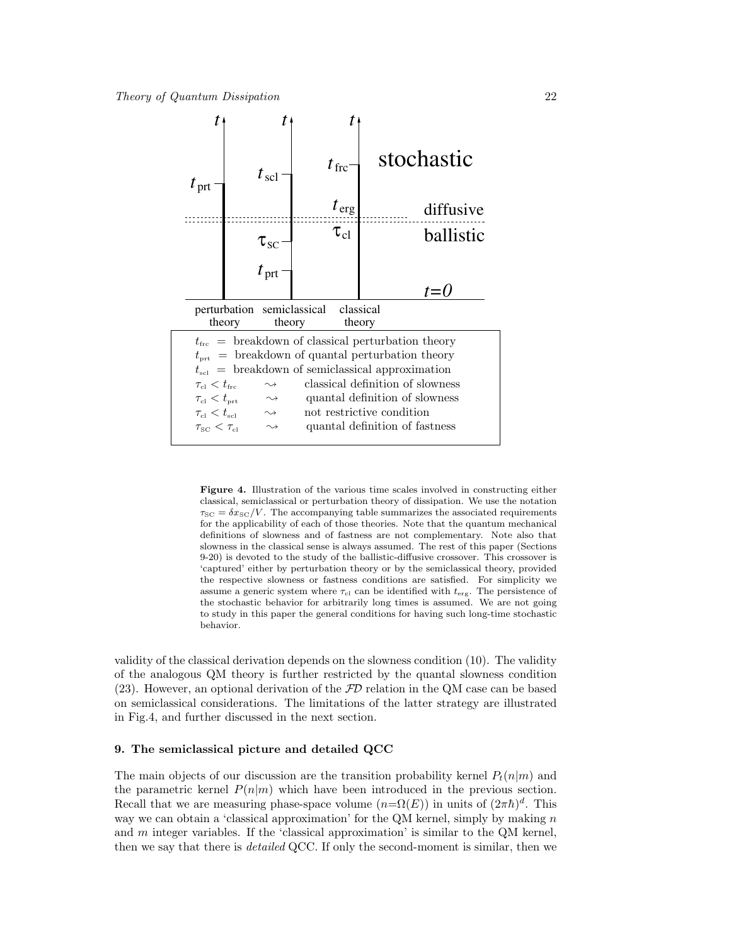

Figure 4. Illustration of the various time scales involved in constructing either classical, semiclassical or perturbation theory of dissipation. We use the notation  $\tau_{\text{SC}} = \delta x_{\text{SC}}/V$ . The accompanying table summarizes the associated requirements for the applicability of each of those theories. Note that the quantum mechanical definitions of slowness and of fastness are not complementary. Note also that slowness in the classical sense is always assumed. The rest of this paper (Sections 9-20) is devoted to the study of the ballistic-diffusive crossover. This crossover is 'captured' either by perturbation theory or by the semiclassical theory, provided the respective slowness or fastness conditions are satisfied. For simplicity we assume a generic system where  $\tau_{\text{cl}}$  can be identified with  $t_{\text{erg}}$ . The persistence of the stochastic behavior for arbitrarily long times is assumed. We are not going to study in this paper the general conditions for having such long-time stochastic behavior.

validity of the classical derivation depends on the slowness condition (10). The validity of the analogous QM theory is further restricted by the quantal slowness condition  $(23)$ . However, an optional derivation of the  $\mathcal{F}\mathcal{D}$  relation in the QM case can be based on semiclassical considerations. The limitations of the latter strategy are illustrated in Fig.4, and further discussed in the next section.

# 9. The semiclassical picture and detailed QCC

The main objects of our discussion are the transition probability kernel  $P_t(n|m)$  and the parametric kernel  $P(n|m)$  which have been introduced in the previous section. Recall that we are measuring phase-space volume  $(n=\Omega(E))$  in units of  $(2\pi\hbar)^d$ . This way we can obtain a 'classical approximation' for the QM kernel, simply by making  $n$ and  $m$  integer variables. If the 'classical approximation' is similar to the QM kernel, then we say that there is *detailed* QCC. If only the second-moment is similar, then we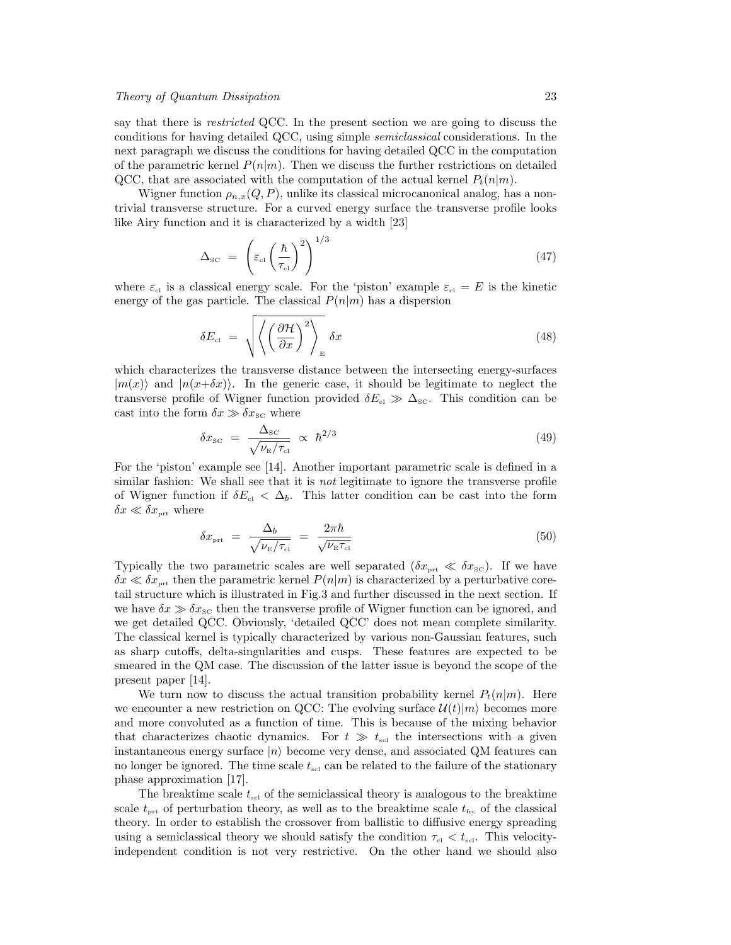say that there is *restricted* QCC. In the present section we are going to discuss the conditions for having detailed QCC, using simple semiclassical considerations. In the next paragraph we discuss the conditions for having detailed QCC in the computation of the parametric kernel  $P(n|m)$ . Then we discuss the further restrictions on detailed QCC, that are associated with the computation of the actual kernel  $P_t(n|m)$ .

Wigner function  $\rho_{n,x}(Q, P)$ , unlike its classical microcanonical analog, has a nontrivial transverse structure. For a curved energy surface the transverse profile looks like Airy function and it is characterized by a width [23]

$$
\Delta_{\rm SC} = \left(\varepsilon_{\rm cl} \left(\frac{\hbar}{\tau_{\rm cl}}\right)^2\right)^{1/3} \tag{47}
$$

where  $\varepsilon_{\text{cl}}$  is a classical energy scale. For the 'piston' example  $\varepsilon_{\text{cl}} = E$  is the kinetic energy of the gas particle. The classical  $P(n|m)$  has a dispersion

$$
\delta E_{\rm el} = \sqrt{\left\langle \left(\frac{\partial \mathcal{H}}{\partial x}\right)^2 \right\rangle_{\rm E}} \delta x \tag{48}
$$

which characterizes the transverse distance between the intersecting energy-surfaces  $|m(x)\rangle$  and  $|n(x+\delta x)\rangle$ . In the generic case, it should be legitimate to neglect the transverse profile of Wigner function provided  $\delta E_{\rm cl} \gg \Delta_{\rm sc}$ . This condition can be cast into the form  $\delta x \gg \delta x_{\rm SC}$  where

$$
\delta x_{\rm SC} = \frac{\Delta_{\rm SC}}{\sqrt{\nu_{\rm E}/\tau_{\rm cl}}} \propto \hbar^{2/3} \tag{49}
$$

For the 'piston' example see [14]. Another important parametric scale is defined in a similar fashion: We shall see that it is *not* legitimate to ignore the transverse profile of Wigner function if  $\delta E_{\rm cl} < \Delta_b$ . This latter condition can be cast into the form  $\delta x \ll \delta x_{\mbox{\tiny\rm prt}}$  where

$$
\delta x_{\rm pt} = \frac{\Delta_b}{\sqrt{\nu_{\rm E}/\tau_{\rm cl}}} = \frac{2\pi\hbar}{\sqrt{\nu_{\rm E}\tau_{\rm cl}}} \tag{50}
$$

Typically the two parametric scales are well separated  $(\delta x_{\text{prt}} \ll \delta x_{\text{sc}})$ . If we have  $\delta x \ll \delta x_{\text{prt}}$  then the parametric kernel  $P(n|m)$  is characterized by a perturbative coretail structure which is illustrated in Fig.3 and further discussed in the next section. If we have  $\delta x \gg \delta x_{\rm sc}$  then the transverse profile of Wigner function can be ignored, and we get detailed QCC. Obviously, 'detailed QCC' does not mean complete similarity. The classical kernel is typically characterized by various non-Gaussian features, such as sharp cutoffs, delta-singularities and cusps. These features are expected to be smeared in the QM case. The discussion of the latter issue is beyond the scope of the present paper [14].

We turn now to discuss the actual transition probability kernel  $P_t(n|m)$ . Here we encounter a new restriction on QCC: The evolving surface  $\mathcal{U}(t)|m\rangle$  becomes more and more convoluted as a function of time. This is because of the mixing behavior that characterizes chaotic dynamics. For  $t \gg t_{\text{sel}}$  the intersections with a given instantaneous energy surface  $|n\rangle$  become very dense, and associated QM features can no longer be ignored. The time scale  $t_{\rm scl}$  can be related to the failure of the stationary phase approximation [17].

The breaktime scale  $t_{\rm scl}$  of the semiclassical theory is analogous to the breaktime scale  $t_{\text{prt}}$  of perturbation theory, as well as to the breaktime scale  $t_{\text{frc}}$  of the classical theory. In order to establish the crossover from ballistic to diffusive energy spreading using a semiclassical theory we should satisfy the condition  $\tau_{\rm cl} < t_{\rm scl}$ . This velocityindependent condition is not very restrictive. On the other hand we should also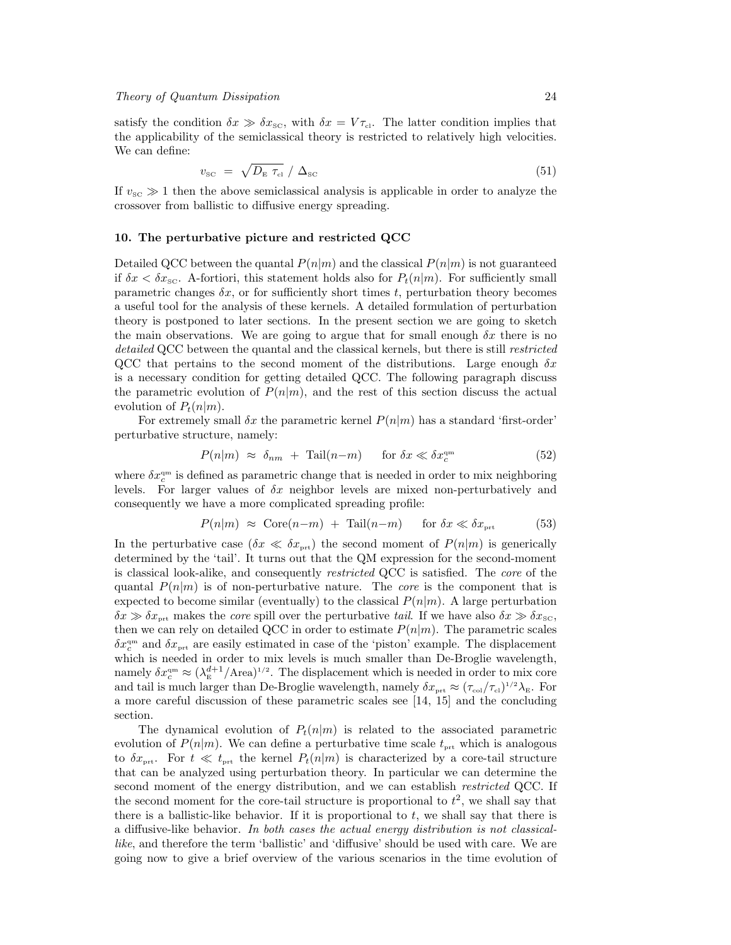satisfy the condition  $\delta x \gg \delta x_{\rm sc}$ , with  $\delta x = V \tau_{\rm cl}$ . The latter condition implies that the applicability of the semiclassical theory is restricted to relatively high velocities. We can define:

$$
v_{\rm sc} = \sqrt{D_{\rm E} \tau_{\rm cl}} / \Delta_{\rm sc} \tag{51}
$$

If  $v_{\rm{SC}} \gg 1$  then the above semiclassical analysis is applicable in order to analyze the crossover from ballistic to diffusive energy spreading.

# 10. The perturbative picture and restricted QCC

Detailed QCC between the quantal  $P(n|m)$  and the classical  $P(n|m)$  is not guaranteed if  $\delta x < \delta x_{\rm sc}$ . A-fortiori, this statement holds also for  $P_t(n|m)$ . For sufficiently small parametric changes  $\delta x$ , or for sufficiently short times t, perturbation theory becomes a useful tool for the analysis of these kernels. A detailed formulation of perturbation theory is postponed to later sections. In the present section we are going to sketch the main observations. We are going to argue that for small enough  $\delta x$  there is no detailed QCC between the quantal and the classical kernels, but there is still *restricted* QCC that pertains to the second moment of the distributions. Large enough  $\delta x$ is a necessary condition for getting detailed QCC. The following paragraph discuss the parametric evolution of  $P(n|m)$ , and the rest of this section discuss the actual evolution of  $P_t(n|m)$ .

For extremely small  $\delta x$  the parametric kernel  $P(n|m)$  has a standard 'first-order' perturbative structure, namely:

$$
P(n|m) \approx \delta_{nm} + \text{Tail}(n-m) \quad \text{for } \delta x \ll \delta x_c^{\text{qm}} \tag{52}
$$

where  $\delta x_c^{\text{qm}}$  is defined as parametric change that is needed in order to mix neighboring levels. For larger values of  $\delta x$  neighbor levels are mixed non-perturbatively and consequently we have a more complicated spreading profile:

$$
P(n|m) \approx \text{Core}(n-m) + \text{Tail}(n-m) \quad \text{for } \delta x \ll \delta x_{\text{prt}} \tag{53}
$$

In the perturbative case  $(\delta x \ll \delta x_{\text{prt}})$  the second moment of  $P(n|m)$  is generically determined by the 'tail'. It turns out that the QM expression for the second-moment is classical look-alike, and consequently *restricted* QCC is satisfied. The *core* of the quantal  $P(n|m)$  is of non-perturbative nature. The *core* is the component that is expected to become similar (eventually) to the classical  $P(n|m)$ . A large perturbation  $\delta x \gg \delta x_{\text{prt}}$  makes the *core* spill over the perturbative tail. If we have also  $\delta x \gg \delta x_{\text{sc}}$ , then we can rely on detailed QCC in order to estimate  $P(n|m)$ . The parametric scales  $\delta x_c^{\text{qm}}$  and  $\delta x_{\text{prt}}$  are easily estimated in case of the 'piston' example. The displacement which is needed in order to mix levels is much smaller than De-Broglie wavelength, namely  $\delta x_c^{\text{qm}} \approx (\lambda_{\text{E}}^{d+1}/\text{Area})^{1/2}$ . The displacement which is needed in order to mix core and tail is much larger than De-Broglie wavelength, namely  $\delta x_{\text{prt}} \approx (\tau_{\text{col}}/\tau_{\text{cl}})^{1/2} \lambda_{\text{E}}$ . For a more careful discussion of these parametric scales see [14, 15] and the concluding section.

The dynamical evolution of  $P_t(n|m)$  is related to the associated parametric evolution of  $P(n|m)$ . We can define a perturbative time scale  $t_{\text{prt}}$  which is analogous to  $\delta x_{\text{ort}}$ . For  $t \ll t_{\text{ort}}$  the kernel  $P_t(n|m)$  is characterized by a core-tail structure that can be analyzed using perturbation theory. In particular we can determine the second moment of the energy distribution, and we can establish *restricted* QCC. If the second moment for the core-tail structure is proportional to  $t^2$ , we shall say that there is a ballistic-like behavior. If it is proportional to  $t$ , we shall say that there is a diffusive-like behavior. In both cases the actual energy distribution is not classicallike, and therefore the term 'ballistic' and 'diffusive' should be used with care. We are going now to give a brief overview of the various scenarios in the time evolution of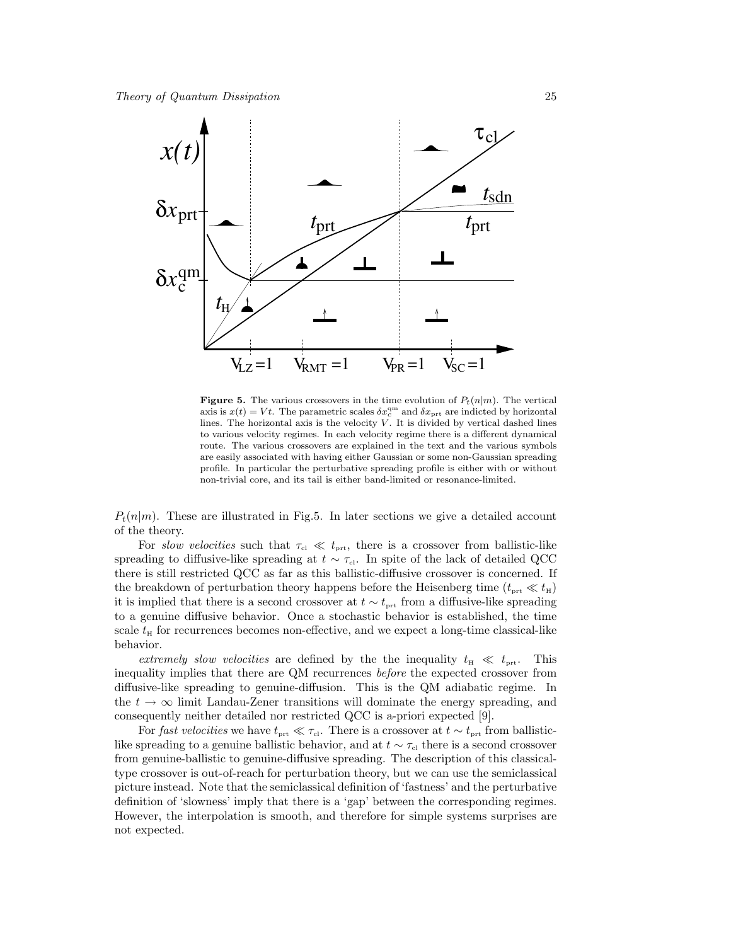

**Figure 5.** The various crossovers in the time evolution of  $P_t(n|m)$ . The vertical axis is  $x(t) = Vt$ . The parametric scales  $\delta x_c^{\text{qm}}$  and  $\delta x_{\text{prt}}$  are indicted by horizontal lines. The horizontal axis is the velocity  $V$ . It is divided by vertical dashed lines to various velocity regimes. In each velocity regime there is a different dynamical route. The various crossovers are explained in the text and the various symbols are easily associated with having either Gaussian or some non-Gaussian spreading profile. In particular the perturbative spreading profile is either with or without non-trivial core, and its tail is either band-limited or resonance-limited.

 $P_t(n|m)$ . These are illustrated in Fig.5. In later sections we give a detailed account of the theory.

For slow velocities such that  $\tau_{\text{cl}} \ll t_{\text{prt}}$ , there is a crossover from ballistic-like spreading to diffusive-like spreading at  $t \sim \tau_{\rm cl}$ . In spite of the lack of detailed QCC there is still restricted QCC as far as this ballistic-diffusive crossover is concerned. If the breakdown of perturbation theory happens before the Heisenberg time  $(t_{\text{ort}} \ll t_{\text{H}})$ it is implied that there is a second crossover at  $t \sim t_{\text{prt}}$  from a diffusive-like spreading to a genuine diffusive behavior. Once a stochastic behavior is established, the time scale  $t_H$  for recurrences becomes non-effective, and we expect a long-time classical-like behavior.

extremely slow velocities are defined by the the inequality  $t_{\rm H} \ll t_{\rm prt}$ . This inequality implies that there are QM recurrences before the expected crossover from diffusive-like spreading to genuine-diffusion. This is the QM adiabatic regime. In the  $t \to \infty$  limit Landau-Zener transitions will dominate the energy spreading, and consequently neither detailed nor restricted QCC is a-priori expected [9].

For fast velocities we have  $t_{\text{prt}} \ll \tau_{\text{cl}}$ . There is a crossover at  $t \sim t_{\text{prt}}$  from ballisticlike spreading to a genuine ballistic behavior, and at  $t \sim \tau_{c}$  there is a second crossover from genuine-ballistic to genuine-diffusive spreading. The description of this classicaltype crossover is out-of-reach for perturbation theory, but we can use the semiclassical picture instead. Note that the semiclassical definition of 'fastness' and the perturbative definition of 'slowness' imply that there is a 'gap' between the corresponding regimes. However, the interpolation is smooth, and therefore for simple systems surprises are not expected.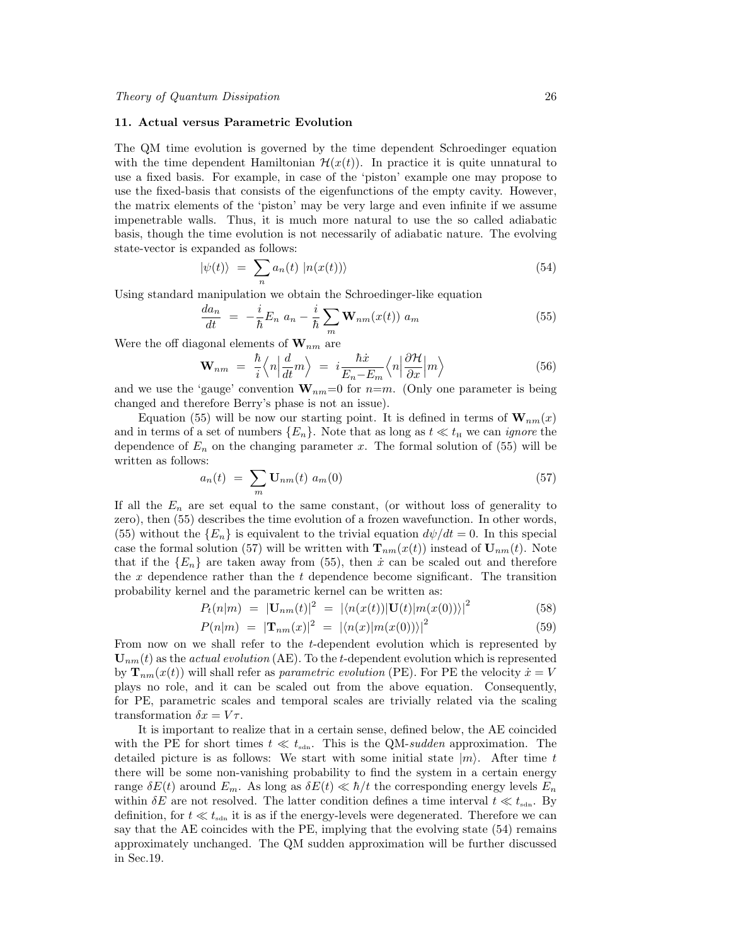# 11. Actual versus Parametric Evolution

The QM time evolution is governed by the time dependent Schroedinger equation with the time dependent Hamiltonian  $\mathcal{H}(x(t))$ . In practice it is quite unnatural to use a fixed basis. For example, in case of the 'piston' example one may propose to use the fixed-basis that consists of the eigenfunctions of the empty cavity. However, the matrix elements of the 'piston' may be very large and even infinite if we assume impenetrable walls. Thus, it is much more natural to use the so called adiabatic basis, though the time evolution is not necessarily of adiabatic nature. The evolving state-vector is expanded as follows:

$$
|\psi(t)\rangle = \sum_{n} a_n(t) |n(x(t))\rangle \tag{54}
$$

Using standard manipulation we obtain the Schroedinger-like equation

$$
\frac{da_n}{dt} = -\frac{i}{\hbar}E_n a_n - \frac{i}{\hbar}\sum_m \mathbf{W}_{nm}(x(t)) a_m \tag{55}
$$

Were the off diagonal elements of  $\mathbf{W}_{nm}$  are

$$
\mathbf{W}_{nm} = \frac{\hbar}{i} \left\langle n \Big| \frac{d}{dt} m \right\rangle = i \frac{\hbar \dot{x}}{E_n - E_m} \left\langle n \Big| \frac{\partial \mathcal{H}}{\partial x} \Big| m \right\rangle \tag{56}
$$

and we use the 'gauge' convention  $\mathbf{W}_{nm}=0$  for  $n=m$ . (Only one parameter is being changed and therefore Berry's phase is not an issue).

Equation (55) will be now our starting point. It is defined in terms of  $\mathbf{W}_{nm}(x)$ and in terms of a set of numbers  $\{E_n\}$ . Note that as long as  $t \ll t_H$  we can *ignore* the dependence of  $E_n$  on the changing parameter x. The formal solution of (55) will be written as follows:

$$
a_n(t) = \sum_m \mathbf{U}_{nm}(t) \ a_m(0) \tag{57}
$$

If all the  $E_n$  are set equal to the same constant, (or without loss of generality to zero), then (55) describes the time evolution of a frozen wavefunction. In other words, (55) without the  ${E_n}$  is equivalent to the trivial equation  $d\psi/dt = 0$ . In this special case the formal solution (57) will be written with  $\mathbf{T}_{nm}(x(t))$  instead of  $\mathbf{U}_{nm}(t)$ . Note that if the  ${E_n}$  are taken away from (55), then  $\dot{x}$  can be scaled out and therefore the x dependence rather than the t dependence become significant. The transition probability kernel and the parametric kernel can be written as:

$$
P_t(n|m) = |\mathbf{U}_{nm}(t)|^2 = |\langle n(x(t))|\mathbf{U}(t)|m(x(0))\rangle|^2 \tag{58}
$$

$$
P(n|m) = |\mathbf{T}_{nm}(x)|^2 = |\langle n(x)|m(x(0))\rangle|^2 \tag{59}
$$

From now on we shall refer to the t-dependent evolution which is represented by  $\mathbf{U}_{nm}(t)$  as the *actual evolution* (AE). To the t-dependent evolution which is represented by  $\mathbf{T}_{nm}(x(t))$  will shall refer as parametric evolution (PE). For PE the velocity  $\dot{x} = V$ plays no role, and it can be scaled out from the above equation. Consequently, for PE, parametric scales and temporal scales are trivially related via the scaling transformation  $\delta x = V\tau$ .

It is important to realize that in a certain sense, defined below, the AE coincided with the PE for short times  $t \ll t_{\text{sdn}}$ . This is the QM-sudden approximation. The detailed picture is as follows: We start with some initial state  $|m\rangle$ . After time t there will be some non-vanishing probability to find the system in a certain energy range  $\delta E(t)$  around  $E_m$ . As long as  $\delta E(t) \ll \hbar/t$  the corresponding energy levels  $E_n$ within  $\delta E$  are not resolved. The latter condition defines a time interval  $t \ll t_{\text{sdn}}$ . By definition, for  $t \ll t_{\text{sdn}}$  it is as if the energy-levels were degenerated. Therefore we can say that the AE coincides with the PE, implying that the evolving state (54) remains approximately unchanged. The QM sudden approximation will be further discussed in Sec.19.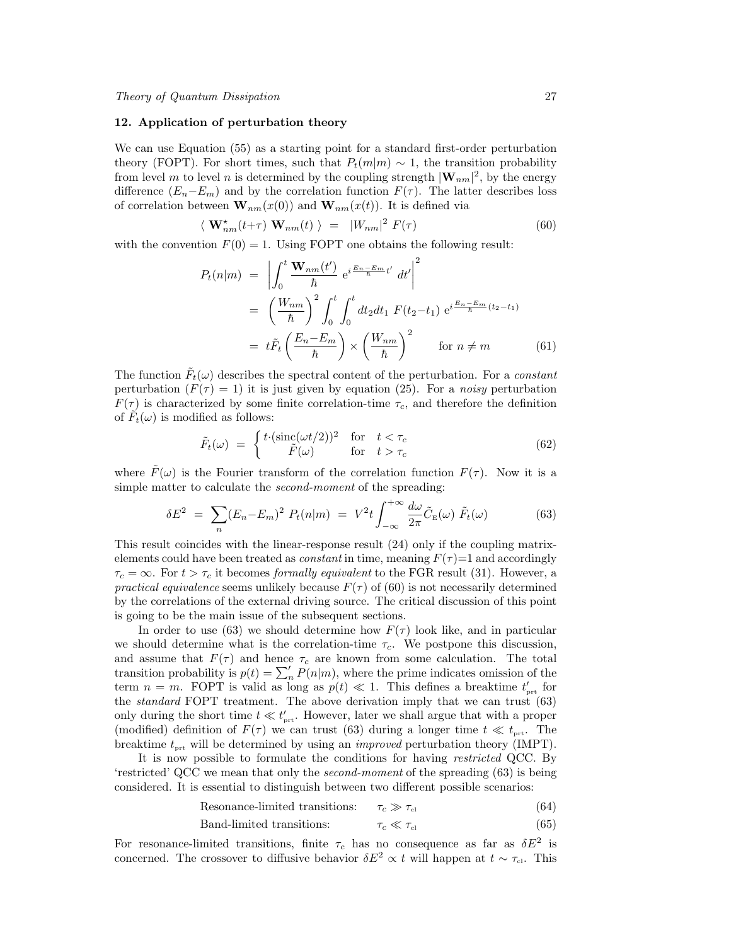#### 12. Application of perturbation theory

We can use Equation (55) as a starting point for a standard first-order perturbation theory (FOPT). For short times, such that  $P_t(m|m) \sim 1$ , the transition probability from level m to level n is determined by the coupling strength  $|\mathbf{W}_{nm}|^2$ , by the energy difference  $(E_n-E_m)$  and by the correlation function  $F(\tau)$ . The latter describes loss of correlation between  $\mathbf{W}_{nm}(x(0))$  and  $\mathbf{W}_{nm}(x(t))$ . It is defined via

$$
\langle \mathbf{W}_{nm}^{\star}(t+\tau) \mathbf{W}_{nm}(t) \rangle = |W_{nm}|^2 F(\tau)
$$
\n(60)

with the convention  $F(0) = 1$ . Using FOPT one obtains the following result:

$$
P_t(n|m) = \left| \int_0^t \frac{\mathbf{W}_{nm}(t')}{\hbar} e^{i\frac{E_n - E_m}{\hbar}t'} dt' \right|^2
$$
  

$$
= \left(\frac{W_{nm}}{\hbar}\right)^2 \int_0^t \int_0^t dt_2 dt_1 F(t_2 - t_1) e^{i\frac{E_n - E_m}{\hbar}(t_2 - t_1)}
$$
  

$$
= t\tilde{F}_t \left(\frac{E_n - E_m}{\hbar}\right) \times \left(\frac{W_{nm}}{\hbar}\right)^2 \quad \text{for } n \neq m \tag{61}
$$

The function  $\tilde{F}_t(\omega)$  describes the spectral content of the perturbation. For a *constant* perturbation  $(F(\tau) = 1)$  it is just given by equation (25). For a noisy perturbation  $F(\tau)$  is characterized by some finite correlation-time  $\tau_c$ , and therefore the definition of  $\tilde{F}_t(\omega)$  is modified as follows:

$$
\tilde{F}_t(\omega) = \begin{cases}\nt\cdot(\operatorname{sinc}(\omega t/2))^2 & \text{for } t < \tau_c \\
\tilde{F}(\omega) & \text{for } t > \tau_c\n\end{cases}
$$
\n(62)

where  $\tilde{F}(\omega)$  is the Fourier transform of the correlation function  $F(\tau)$ . Now it is a simple matter to calculate the *second-moment* of the spreading:

$$
\delta E^2 = \sum_n (E_n - E_m)^2 P_t(n|m) = V^2 t \int_{-\infty}^{+\infty} \frac{d\omega}{2\pi} \tilde{C}_{\mathcal{E}}(\omega) \tilde{F}_t(\omega) \tag{63}
$$

This result coincides with the linear-response result (24) only if the coupling matrixelements could have been treated as *constant* in time, meaning  $F(\tau)=1$  and accordingly  $\tau_c = \infty$ . For  $t > \tau_c$  it becomes formally equivalent to the FGR result (31). However, a practical equivalence seems unlikely because  $F(\tau)$  of (60) is not necessarily determined by the correlations of the external driving source. The critical discussion of this point is going to be the main issue of the subsequent sections.

In order to use (63) we should determine how  $F(\tau)$  look like, and in particular we should determine what is the correlation-time  $\tau_c$ . We postpone this discussion, and assume that  $F(\tau)$  and hence  $\tau_c$  are known from some calculation. The total transition probability is  $p(t) = \sum_{n=0}^{\infty} P(n|m)$ , where the prime indicates omission of the term  $n = m$ . FOPT is valid as long as  $p(t) \ll 1$ . This defines a breaktime  $t'_{\text{prt}}$  for the standard FOPT treatment. The above derivation imply that we can trust (63) only during the short time  $t \ll t'_{\text{prt}}$ . However, later we shall argue that with a proper (modified) definition of  $F(\tau)$  we can trust (63) during a longer time  $t \ll t_{\text{prt}}$ . The breaktime  $t_{\text{prt}}$  will be determined by using an *improved* perturbation theory (IMPT).

It is now possible to formulate the conditions for having restricted QCC. By 'restricted' QCC we mean that only the second-moment of the spreading (63) is being considered. It is essential to distinguish between two different possible scenarios:

Resonance-limited transitions:  $\tau_c \gg \tau_{\rm cl}$  (64)

$$
Band-limited transitions: \t\tau_c \ll \tau_{cl} \t\t(65)
$$

For resonance-limited transitions, finite  $\tau_c$  has no consequence as far as  $\delta E^2$  is concerned. The crossover to diffusive behavior  $\delta E^2 \propto t$  will happen at  $t \sim \tau_{c}$ . This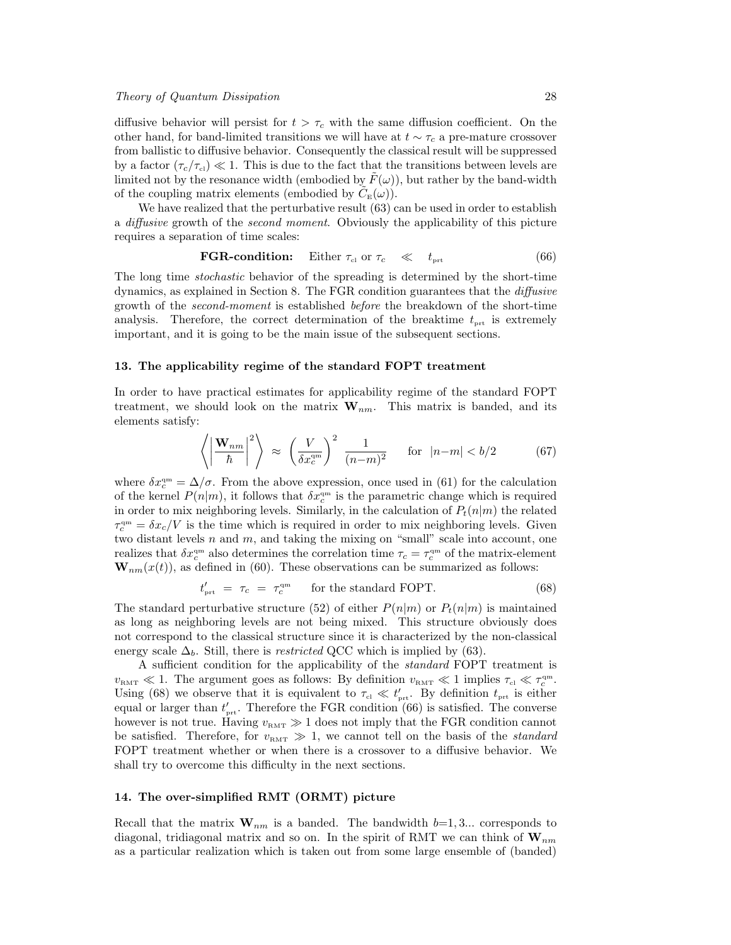diffusive behavior will persist for  $t > \tau_c$  with the same diffusion coefficient. On the other hand, for band-limited transitions we will have at  $t \sim \tau_c$  a pre-mature crossover from ballistic to diffusive behavior. Consequently the classical result will be suppressed by a factor  $(\tau_c/\tau_{\text{cl}}) \ll 1$ . This is due to the fact that the transitions between levels are limited not by the resonance width (embodied by  $F(\omega)$ ), but rather by the band-width of the coupling matrix elements (embodied by  $\tilde{C}_{E}(\omega)$ ).

We have realized that the perturbative result  $(63)$  can be used in order to establish a *diffusive* growth of the *second moment*. Obviously the applicability of this picture requires a separation of time scales:

**FGR-condition:** Either 
$$
\tau_{\text{cl}}
$$
 or  $\tau_c \ll t_{\text{prt}}$  (66)

The long time stochastic behavior of the spreading is determined by the short-time dynamics, as explained in Section 8. The FGR condition guarantees that the diffusive growth of the second-moment is established before the breakdown of the short-time analysis. Therefore, the correct determination of the breaktime  $t_{\text{prt}}$  is extremely important, and it is going to be the main issue of the subsequent sections.

#### 13. The applicability regime of the standard FOPT treatment

In order to have practical estimates for applicability regime of the standard FOPT treatment, we should look on the matrix  $W_{nm}$ . This matrix is banded, and its elements satisfy:

$$
\left\langle \left| \frac{\mathbf{W}_{nm}}{\hbar} \right|^2 \right\rangle \approx \left( \frac{V}{\delta x_c^{\text{qm}}} \right)^2 \frac{1}{(n-m)^2} \quad \text{for } |n-m| < b/2 \tag{67}
$$

where  $\delta x_c^{\rm qm} = \Delta/\sigma$ . From the above expression, once used in (61) for the calculation of the kernel  $P(n|m)$ , it follows that  $\delta x_c^{\rm qm}$  is the parametric change which is required in order to mix neighboring levels. Similarly, in the calculation of  $P_t(n|m)$  the related  $\tau_c^{\rm qm} = \delta x_c/V$  is the time which is required in order to mix neighboring levels. Given two distant levels  $n$  and  $m$ , and taking the mixing on "small" scale into account, one realizes that  $\delta x_c^{\text{qm}}$  also determines the correlation time  $\tau_c = \tau_c^{\text{qm}}$  of the matrix-element  $\mathbf{W}_{nm}(x(t))$ , as defined in (60). These observations can be summarized as follows:

$$
t'_{\text{prt}} = \tau_c = \tau_c^{\text{qm}} \quad \text{for the standard FOPT.} \tag{68}
$$

The standard perturbative structure (52) of either  $P(n|m)$  or  $P_t(n|m)$  is maintained as long as neighboring levels are not being mixed. This structure obviously does not correspond to the classical structure since it is characterized by the non-classical energy scale  $\Delta_b$ . Still, there is *restricted* QCC which is implied by (63).

A sufficient condition for the applicability of the standard FOPT treatment is  $v_{\text{RMT}} \ll 1$ . The argument goes as follows: By definition  $v_{\text{RMT}} \ll 1$  implies  $\tau_{\text{cl}} \ll \tau_c^{\text{qm}}$ . Using (68) we observe that it is equivalent to  $\tau_{\rm cl} \ll t'_{\rm prt}$ . By definition  $t_{\rm prt}$  is either equal or larger than  $t'_{\text{prt}}$ . Therefore the FGR condition (66) is satisfied. The converse however is not true. Having  $v_{RMT} \gg 1$  does not imply that the FGR condition cannot be satisfied. Therefore, for  $v_{RMT} \gg 1$ , we cannot tell on the basis of the *standard* FOPT treatment whether or when there is a crossover to a diffusive behavior. We shall try to overcome this difficulty in the next sections.

# 14. The over-simplified RMT (ORMT) picture

Recall that the matrix  $\mathbf{W}_{nm}$  is a banded. The bandwidth  $b=1, 3...$  corresponds to diagonal, tridiagonal matrix and so on. In the spirit of RMT we can think of  $\mathbf{W}_{nm}$ as a particular realization which is taken out from some large ensemble of (banded)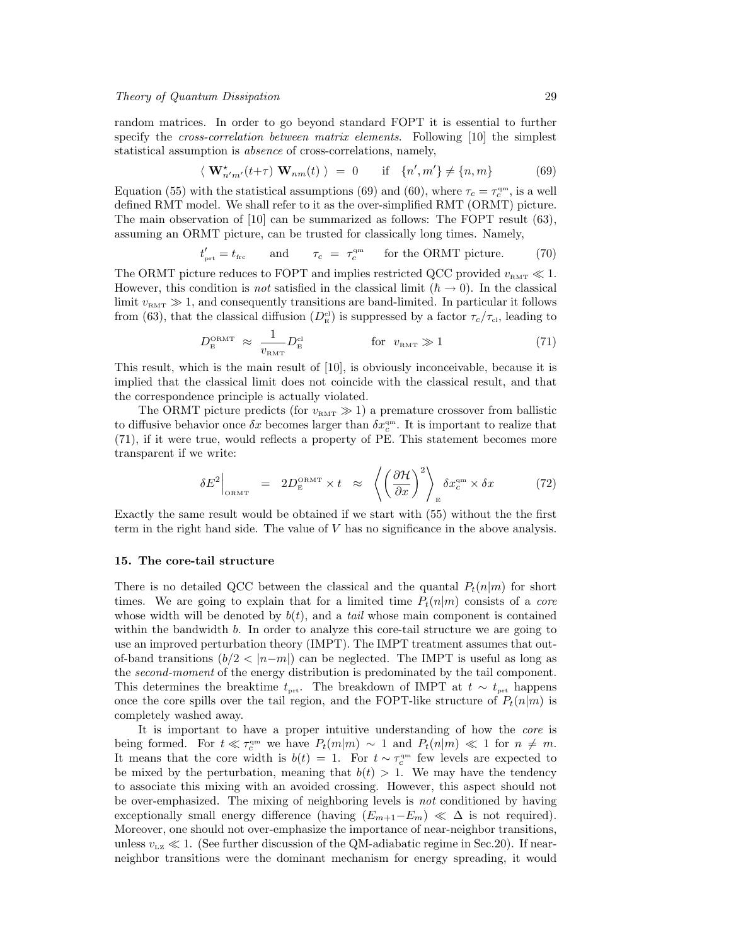# Theory of Quantum Dissipation 29

random matrices. In order to go beyond standard FOPT it is essential to further specify the *cross-correlation between matrix elements*. Following [10] the simplest statistical assumption is absence of cross-correlations, namely,

$$
\langle \mathbf{W}_{n'm'}^{\star}(t+\tau) \mathbf{W}_{nm}(t) \rangle = 0 \quad \text{if} \quad \{n',m'\} \neq \{n,m\} \tag{69}
$$

Equation (55) with the statistical assumptions (69) and (60), where  $\tau_c = \tau_c^{\rm qm}$ , is a well defined RMT model. We shall refer to it as the over-simplified RMT (ORMT) picture. The main observation of  $|10|$  can be summarized as follows: The FOPT result (63), assuming an ORMT picture, can be trusted for classically long times. Namely,

$$
t'_{\text{prt}} = t_{\text{frc}}
$$
 and  $\tau_c = \tau_c^{\text{qm}}$  for the ORMT picture. (70)

The ORMT picture reduces to FOPT and implies restricted QCC provided  $v_{\text{RMT}} \ll 1$ . However, this condition is *not* satisfied in the classical limit  $(h \to 0)$ . In the classical limit  $v<sub>RMT</sub> \gg 1$ , and consequently transitions are band-limited. In particular it follows from (63), that the classical diffusion  $(D_{\rm E}^{\rm cl})$  is suppressed by a factor  $\tau_c/\tau_{\rm cl}$ , leading to

$$
D_{\rm E}^{\rm ORMT} \approx \frac{1}{v_{\rm RMT}} D_{\rm E}^{\rm cl} \qquad \qquad \text{for} \ \ v_{\rm RMT} \gg 1 \tag{71}
$$

This result, which is the main result of [10], is obviously inconceivable, because it is implied that the classical limit does not coincide with the classical result, and that the correspondence principle is actually violated.

The ORMT picture predicts (for  $v_{\text{RMT}} \gg 1$ ) a premature crossover from ballistic to diffusive behavior once  $\delta x$  becomes larger than  $\delta x_c^{\text{qm}}$ . It is important to realize that (71), if it were true, would reflects a property of PE. This statement becomes more transparent if we write:

$$
\delta E^2\Big|_{\text{ORMT}} = 2D_{\text{E}}^{\text{ORMT}} \times t \approx \left\langle \left(\frac{\partial \mathcal{H}}{\partial x}\right)^2 \right\rangle_{\text{E}} \delta x_c^{\text{qm}} \times \delta x \tag{72}
$$

Exactly the same result would be obtained if we start with (55) without the the first term in the right hand side. The value of V has no significance in the above analysis.

# 15. The core-tail structure

There is no detailed QCC between the classical and the quantal  $P_t(n|m)$  for short times. We are going to explain that for a limited time  $P_t(n|m)$  consists of a *core* whose width will be denoted by  $b(t)$ , and a tail whose main component is contained within the bandwidth b. In order to analyze this core-tail structure we are going to use an improved perturbation theory (IMPT). The IMPT treatment assumes that outof-band transitions  $(b/2 < |n-m|)$  can be neglected. The IMPT is useful as long as the *second-moment* of the energy distribution is predominated by the tail component. This determines the breaktime  $t_{\text{prt}}$ . The breakdown of IMPT at  $t \sim t_{\text{prt}}$  happens once the core spills over the tail region, and the FOPT-like structure of  $P_t(n|m)$  is completely washed away.

It is important to have a proper intuitive understanding of how the core is being formed. For  $t \ll \tau_c^{qm}$  we have  $P_t(m|m) \sim 1$  and  $P_t(n|m) \ll 1$  for  $n \neq m$ . It means that the core width is  $b(t) = 1$ . For  $t \sim \tau_c^{qm}$  few levels are expected to be mixed by the perturbation, meaning that  $b(t) > 1$ . We may have the tendency to associate this mixing with an avoided crossing. However, this aspect should not be over-emphasized. The mixing of neighboring levels is not conditioned by having exceptionally small energy difference (having  $(E_{m+1}-E_m) \ll \Delta$  is not required). Moreover, one should not over-emphasize the importance of near-neighbor transitions, unless  $v_{\text{Lz}} \ll 1$ . (See further discussion of the QM-adiabatic regime in Sec.20). If nearneighbor transitions were the dominant mechanism for energy spreading, it would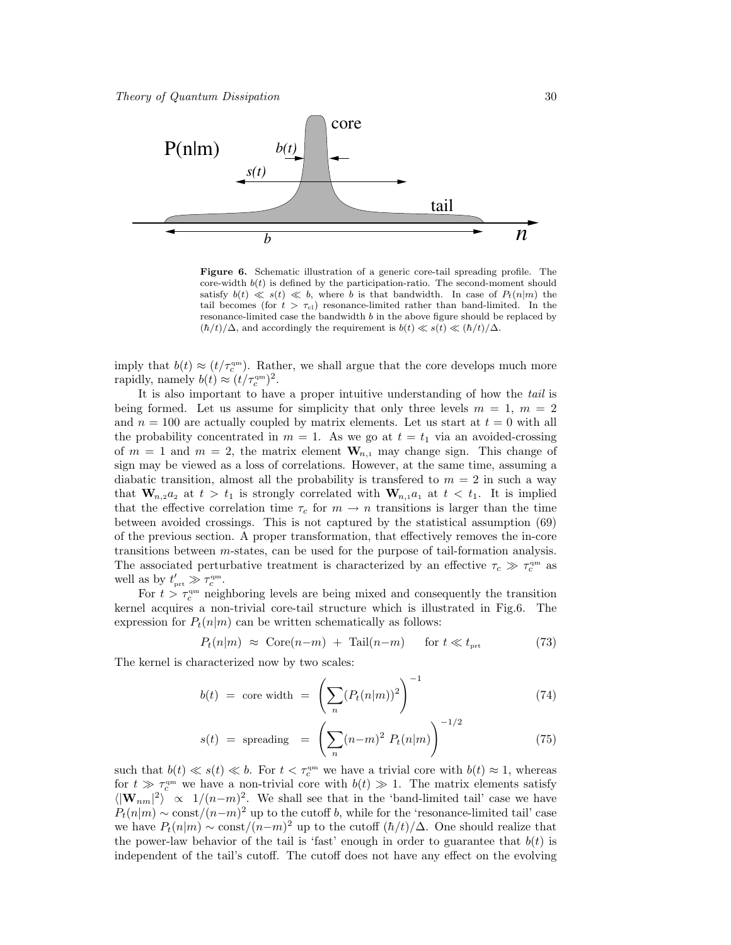

Figure 6. Schematic illustration of a generic core-tail spreading profile. The core-width  $b(t)$  is defined by the participation-ratio. The second-moment should satisfy  $b(t) \ll s(t) \ll b$ , where b is that bandwidth. In case of  $P_t(n|m)$  the tail becomes (for  $t > \tau_{\text{cl}}$ ) resonance-limited rather than band-limited. In the resonance-limited case the bandwidth  $b$  in the above figure should be replaced by  $(\hbar/t)/\Delta$ , and accordingly the requirement is  $b(t) \ll s(t) \ll (\hbar/t)/\Delta$ .

imply that  $b(t) \approx (t/\tau_c^{\text{qm}})$ . Rather, we shall argue that the core develops much more rapidly, namely  $b(t) \approx (t/\tau_c^{\rm qm})^2$ .

It is also important to have a proper intuitive understanding of how the tail is being formed. Let us assume for simplicity that only three levels  $m = 1, m = 2$ and  $n = 100$  are actually coupled by matrix elements. Let us start at  $t = 0$  with all the probability concentrated in  $m = 1$ . As we go at  $t = t_1$  via an avoided-crossing of  $m = 1$  and  $m = 2$ , the matrix element  $W_{n,1}$  may change sign. This change of sign may be viewed as a loss of correlations. However, at the same time, assuming a diabatic transition, almost all the probability is transferred to  $m = 2$  in such a way that  $\mathbf{W}_{n,2}a_2$  at  $t > t_1$  is strongly correlated with  $\mathbf{W}_{n,1}a_1$  at  $t < t_1$ . It is implied that the effective correlation time  $\tau_c$  for  $m \to n$  transitions is larger than the time between avoided crossings. This is not captured by the statistical assumption (69) of the previous section. A proper transformation, that effectively removes the in-core transitions between m-states, can be used for the purpose of tail-formation analysis. The associated perturbative treatment is characterized by an effective  $\tau_c \gg \tau_c^{\rm qm}$  as well as by  $t'_{\text{prt}} \gg \tau_c^{\text{qm}}$ .

For  $t > \tau_c^{\text{qm}}$  neighboring levels are being mixed and consequently the transition kernel acquires a non-trivial core-tail structure which is illustrated in Fig.6. The expression for  $P_t(n|m)$  can be written schematically as follows:

$$
P_t(n|m) \approx \text{Core}(n-m) + \text{Tail}(n-m) \quad \text{for } t \ll t_{\text{prt}} \tag{73}
$$

The kernel is characterized now by two scales:

$$
b(t) = \text{core width} = \left(\sum_{n} (P_t(n|m))^2\right)^{-1} \tag{74}
$$

$$
s(t) = \text{ spreading} = \left(\sum_{n} (n-m)^2 P_t(n|m)\right)^{-1/2} \tag{75}
$$

such that  $b(t) \ll s(t) \ll b$ . For  $t < \tau_c^{qm}$  we have a trivial core with  $b(t) \approx 1$ , whereas for  $t \gg \tau_c^{qm}$  we have a non-trivial core with  $b(t) \gg 1$ . The matrix elements satisfy  $\langle |\mathbf{W}_{nm}|^2 \rangle \propto 1/(n-m)^2$ . We shall see that in the 'band-limited tail' case we have  $P_t(n|m) \sim \text{const}/(n-m)^2$  up to the cutoff b, while for the 'resonance-limited tail' case we have  $P_t(n|m) \sim \text{const}/(n-m)^2$  up to the cutoff  $(\hbar/t)/\Delta$ . One should realize that the power-law behavior of the tail is 'fast' enough in order to guarantee that  $b(t)$  is independent of the tail's cutoff. The cutoff does not have any effect on the evolving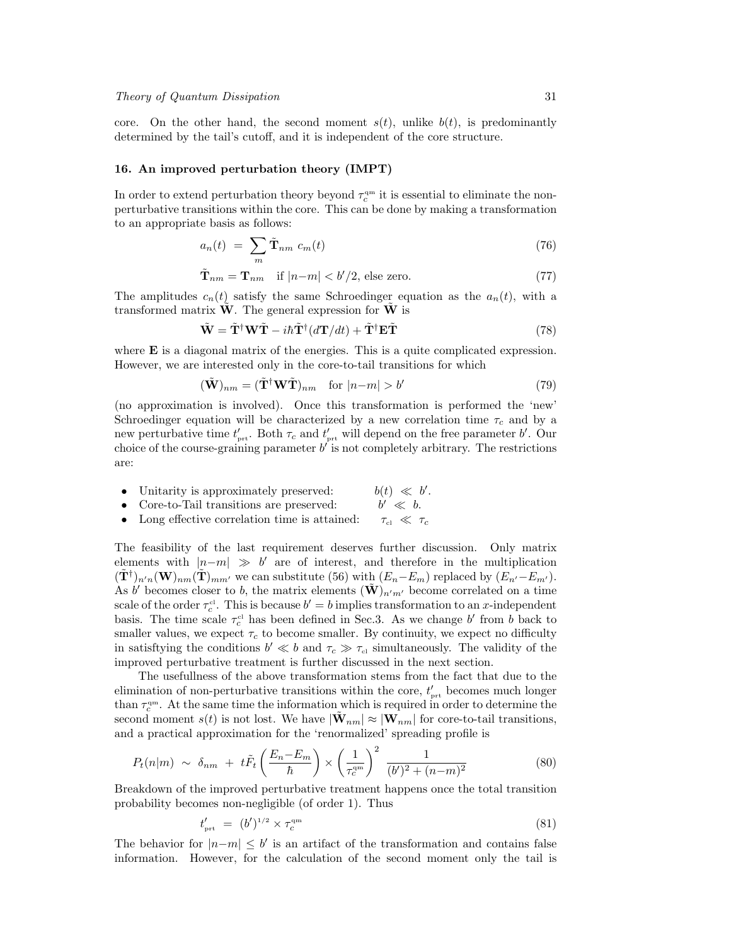core. On the other hand, the second moment  $s(t)$ , unlike  $b(t)$ , is predominantly determined by the tail's cutoff, and it is independent of the core structure.

# 16. An improved perturbation theory (IMPT)

In order to extend perturbation theory beyond  $\tau_c^{\text{qm}}$  it is essential to eliminate the nonperturbative transitions within the core. This can be done by making a transformation to an appropriate basis as follows:

$$
a_n(t) = \sum_m \tilde{\mathbf{T}}_{nm} c_m(t) \tag{76}
$$

$$
\tilde{\mathbf{T}}_{nm} = \mathbf{T}_{nm} \quad \text{if } |n-m| < b'/2 \text{, else zero.} \tag{77}
$$

The amplitudes  $c_n(t)$  satisfy the same Schroedinger equation as the  $a_n(t)$ , with a transformed matrix  $\hat{\mathbf{W}}$ . The general expression for  $\hat{\mathbf{W}}$  is

$$
\tilde{\mathbf{W}} = \tilde{\mathbf{T}}^{\dagger} \mathbf{W} \tilde{\mathbf{T}} - i\hbar \tilde{\mathbf{T}}^{\dagger} (d\mathbf{T}/dt) + \tilde{\mathbf{T}}^{\dagger} \mathbf{E} \tilde{\mathbf{T}} \tag{78}
$$

where  $E$  is a diagonal matrix of the energies. This is a quite complicated expression. However, we are interested only in the core-to-tail transitions for which

$$
(\tilde{\mathbf{W}})_{nm} = (\tilde{\mathbf{T}}^{\dagger} \mathbf{W} \tilde{\mathbf{T}})_{nm} \quad \text{for } |n-m| > b' \tag{79}
$$

(no approximation is involved). Once this transformation is performed the 'new' Schroedinger equation will be characterized by a new correlation time  $\tau_c$  and by a new perturbative time  $t'_{\text{prt}}$ . Both  $\tau_c$  and  $t'_{\text{prt}}$  will depend on the free parameter  $b'$ . Our choice of the course-graining parameter  $b'$  is not completely arbitrary. The restrictions are:

- $\bullet$  Unitarity is approximately preserved:  $\prime$ .  $\prime \ll b$ .
- Core-to-Tail transitions are preserved:
- Long effective correlation time is attained:  $\tau_{c} \ll \tau_c$

The feasibility of the last requirement deserves further discussion. Only matrix elements with  $|n-m| \gg b'$  are of interest, and therefore in the multiplication  $(\tilde{\mathbf{T}}^{\dagger})_{n'n}(\mathbf{W})_{nm}(\tilde{\mathbf{T}})_{mm'}$  we can substitute (56) with  $(E_n-E_m)$  replaced by  $(E_{n'}-E_{m'})$ . As b' becomes closer to b, the matrix elements  $(\tilde{\mathbf{W}})_{n'm'}$  become correlated on a time scale of the order  $\tau_c^{\text{cl}}$ . This is because  $b' = b$  implies transformation to an x-independent basis. The time scale  $\tau_c^{cl}$  has been defined in Sec.3. As we change b' from b back to smaller values, we expect  $\tau_c$  to become smaller. By continuity, we expect no difficulty in satisfitying the conditions  $b' \ll b$  and  $\tau_c \gg \tau_{\text{cl}}$  simultaneously. The validity of the improved perturbative treatment is further discussed in the next section.

The usefullness of the above transformation stems from the fact that due to the elimination of non-perturbative transitions within the core,  $t'_{\text{prt}}$  becomes much longer than  $\tau_c^{\rm qm}$ . At the same time the information which is required in order to determine the second moment  $s(t)$  is not lost. We have  $|\tilde{\mathbf{W}}_{nm}| \approx |\mathbf{W}_{nm}|$  for core-to-tail transitions, and a practical approximation for the 'renormalized' spreading profile is

$$
P_t(n|m) \sim \delta_{nm} + t\tilde{F}_t\left(\frac{E_n - E_m}{\hbar}\right) \times \left(\frac{1}{\tau_c^{\text{qm}}}\right)^2 \frac{1}{(b')^2 + (n-m)^2}
$$
(80)

Breakdown of the improved perturbative treatment happens once the total transition probability becomes non-negligible (of order 1). Thus

$$
t'_{\rm prt} = (b')^{1/2} \times \tau_c^{\rm qm} \tag{81}
$$

The behavior for  $|n-m| \leq b'$  is an artifact of the transformation and contains false information. However, for the calculation of the second moment only the tail is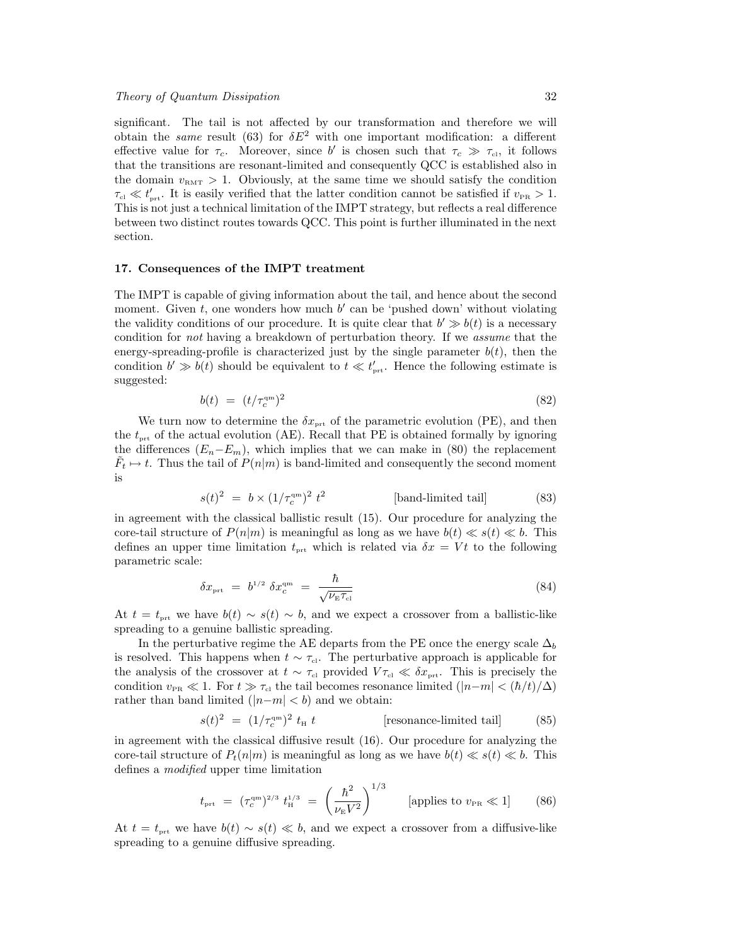significant. The tail is not affected by our transformation and therefore we will obtain the same result (63) for  $\delta E^2$  with one important modification: a different effective value for  $\tau_c$ . Moreover, since b' is chosen such that  $\tau_c \gg \tau_{\text{cl}}$ , it follows that the transitions are resonant-limited and consequently QCC is established also in the domain  $v<sub>RMT</sub> > 1$ . Obviously, at the same time we should satisfy the condition  $\tau_{\rm cl} \ll t'_{\rm prt}$ . It is easily verified that the latter condition cannot be satisfied if  $v_{\rm PR} > 1$ . This is not just a technical limitation of the IMPT strategy, but reflects a real difference between two distinct routes towards QCC. This point is further illuminated in the next section.

# 17. Consequences of the IMPT treatment

The IMPT is capable of giving information about the tail, and hence about the second moment. Given  $t$ , one wonders how much  $b'$  can be 'pushed down' without violating the validity conditions of our procedure. It is quite clear that  $b' \gg b(t)$  is a necessary condition for not having a breakdown of perturbation theory. If we assume that the energy-spreading-profile is characterized just by the single parameter  $b(t)$ , then the condition  $b' \gg b(t)$  should be equivalent to  $t \ll t'_{\text{prt}}$ . Hence the following estimate is suggested:

$$
b(t) = (t/\tau_c^{\rm qm})^2 \tag{82}
$$

We turn now to determine the  $\delta x_{\text{prt}}$  of the parametric evolution (PE), and then the  $t_{\text{prt}}$  of the actual evolution (AE). Recall that PE is obtained formally by ignoring the differences  $(E_n-E_m)$ , which implies that we can make in (80) the replacement  $\tilde{F}_t \mapsto t$ . Thus the tail of  $P(n|m)$  is band-limited and consequently the second moment is

$$
s(t)^{2} = b \times (1/\tau_c^{am})^{2} t^{2}
$$
 [band-limited tail] (83)

in agreement with the classical ballistic result (15). Our procedure for analyzing the core-tail structure of  $P(n|m)$  is meaningful as long as we have  $b(t) \ll s(t) \ll b$ . This defines an upper time limitation  $t_{\text{int}}$  which is related via  $\delta x = Vt$  to the following parametric scale:

$$
\delta x_{\rm pt} = b^{1/2} \delta x_c^{\rm qm} = \frac{\hbar}{\sqrt{\nu_{\rm E} \tau_{\rm cl}}} \tag{84}
$$

At  $t = t_{\text{prt}}$  we have  $b(t) \sim s(t) \sim b$ , and we expect a crossover from a ballistic-like spreading to a genuine ballistic spreading.

In the perturbative regime the AE departs from the PE once the energy scale  $\Delta_b$ is resolved. This happens when  $t \sim \tau_{\text{cl}}$ . The perturbative approach is applicable for the analysis of the crossover at  $t \sim \tau_{\rm cl}$  provided  $V \tau_{\rm cl} \ll \delta x_{\rm prt}$ . This is precisely the condition  $v_{PR} \ll 1$ . For  $t \gg \tau_{cl}$  the tail becomes resonance limited  $(|n-m| < (\hbar/t)/\Delta)$ rather than band limited  $(|n-m| < b)$  and we obtain:

$$
s(t)^{2} = (1/\tau_c^{\rm qm})^{2} t_{\rm H} t \qquad \qquad \text{[resonance-limited tail]} \tag{85}
$$

in agreement with the classical diffusive result (16). Our procedure for analyzing the core-tail structure of  $P_t(n|m)$  is meaningful as long as we have  $b(t) \ll s(t) \ll b$ . This defines a modified upper time limitation

$$
t_{\rm prt} = (\tau_c^{\rm qm})^{2/3} t_{\rm H}^{1/3} = \left(\frac{\hbar^2}{\nu_{\rm E} V^2}\right)^{1/3} \qquad \text{[applies to } v_{\rm PR} \ll 1] \qquad (86)
$$

At  $t = t_{\text{prt}}$  we have  $b(t) \sim s(t) \ll b$ , and we expect a crossover from a diffusive-like spreading to a genuine diffusive spreading.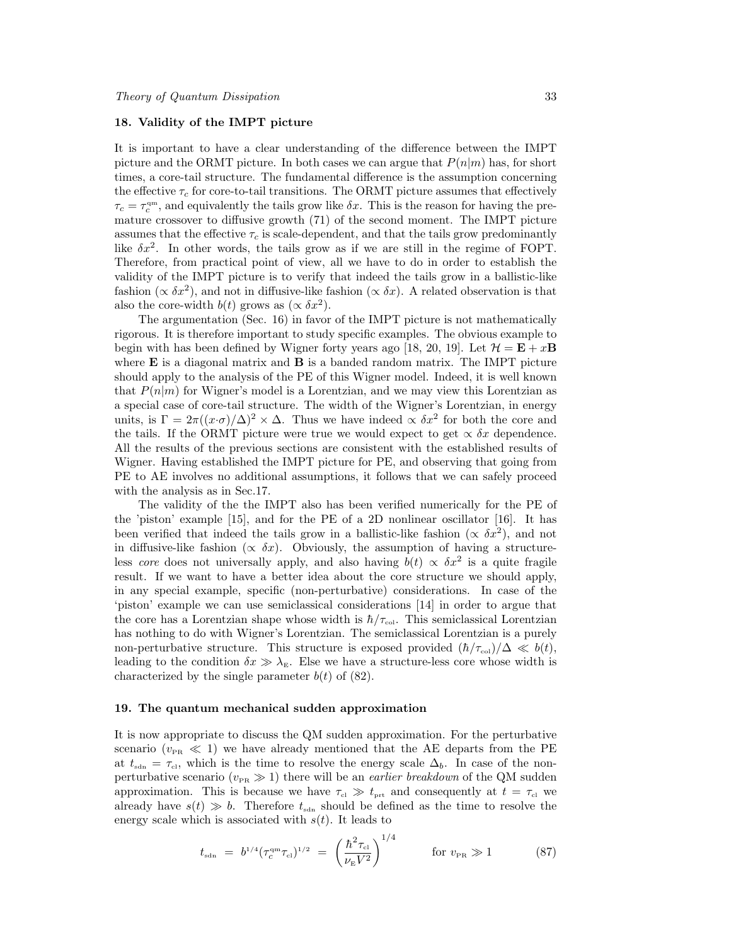# 18. Validity of the IMPT picture

It is important to have a clear understanding of the difference between the IMPT picture and the ORMT picture. In both cases we can argue that  $P(n|m)$  has, for short times, a core-tail structure. The fundamental difference is the assumption concerning the effective  $\tau_c$  for core-to-tail transitions. The ORMT picture assumes that effectively  $\tau_c = \tau_c^{\rm qm}$ , and equivalently the tails grow like  $\delta x$ . This is the reason for having the premature crossover to diffusive growth (71) of the second moment. The IMPT picture assumes that the effective  $\tau_c$  is scale-dependent, and that the tails grow predominantly like  $\delta x^2$ . In other words, the tails grow as if we are still in the regime of FOPT. Therefore, from practical point of view, all we have to do in order to establish the validity of the IMPT picture is to verify that indeed the tails grow in a ballistic-like fashion ( $\propto \delta x^2$ ), and not in diffusive-like fashion ( $\propto \delta x$ ). A related observation is that also the core-width  $b(t)$  grows as  $(\propto \delta x^2)$ .

The argumentation (Sec. 16) in favor of the IMPT picture is not mathematically rigorous. It is therefore important to study specific examples. The obvious example to begin with has been defined by Wigner forty years ago [18, 20, 19]. Let  $\mathcal{H} = \mathbf{E} + x\mathbf{B}$ where  $\bf{E}$  is a diagonal matrix and  $\bf{B}$  is a banded random matrix. The IMPT picture should apply to the analysis of the PE of this Wigner model. Indeed, it is well known that  $P(n|m)$  for Wigner's model is a Lorentzian, and we may view this Lorentzian as a special case of core-tail structure. The width of the Wigner's Lorentzian, in energy units, is  $\Gamma = 2\pi((x \cdot \sigma)/\Delta)^2 \times \Delta$ . Thus we have indeed  $\propto \delta x^2$  for both the core and the tails. If the ORMT picture were true we would expect to get  $\propto \delta x$  dependence. All the results of the previous sections are consistent with the established results of Wigner. Having established the IMPT picture for PE, and observing that going from PE to AE involves no additional assumptions, it follows that we can safely proceed with the analysis as in Sec.17.

The validity of the the IMPT also has been verified numerically for the PE of the 'piston' example [15], and for the PE of a 2D nonlinear oscillator [16]. It has been verified that indeed the tails grow in a ballistic-like fashion ( $\propto \delta x^2$ ), and not in diffusive-like fashion ( $\propto \delta x$ ). Obviously, the assumption of having a structureless core does not universally apply, and also having  $b(t) \propto \delta x^2$  is a quite fragile result. If we want to have a better idea about the core structure we should apply, in any special example, specific (non-perturbative) considerations. In case of the 'piston' example we can use semiclassical considerations [14] in order to argue that the core has a Lorentzian shape whose width is  $\hbar/\tau_{\text{col}}$ . This semiclassical Lorentzian has nothing to do with Wigner's Lorentzian. The semiclassical Lorentzian is a purely non-perturbative structure. This structure is exposed provided  $(\hbar/\tau_{\text{col}})/\Delta \ll b(t)$ , leading to the condition  $\delta x \gg \lambda_{\rm E}$ . Else we have a structure-less core whose width is characterized by the single parameter  $b(t)$  of (82).

# 19. The quantum mechanical sudden approximation

It is now appropriate to discuss the QM sudden approximation. For the perturbative scenario ( $v_{PR} \ll 1$ ) we have already mentioned that the AE departs from the PE at  $t_{\text{sdn}} = \tau_{\text{cl}}$ , which is the time to resolve the energy scale  $\Delta_b$ . In case of the nonperturbative scenario ( $v_{PR} \gg 1$ ) there will be an *earlier breakdown* of the QM sudden approximation. This is because we have  $\tau_{\rm cl} \gg t_{\rm prt}$  and consequently at  $t = \tau_{\rm cl}$  we already have  $s(t) \gg b$ . Therefore  $t_{\text{sdn}}$  should be defined as the time to resolve the energy scale which is associated with  $s(t)$ . It leads to

$$
t_{\rm sdn} = b^{1/4} (\tau_c^{\rm qm} \tau_{\rm cl})^{1/2} = \left(\frac{\hbar^2 \tau_{\rm cl}}{\nu_{\rm E} V^2}\right)^{1/4} \quad \text{for } v_{\rm PR} \gg 1 \tag{87}
$$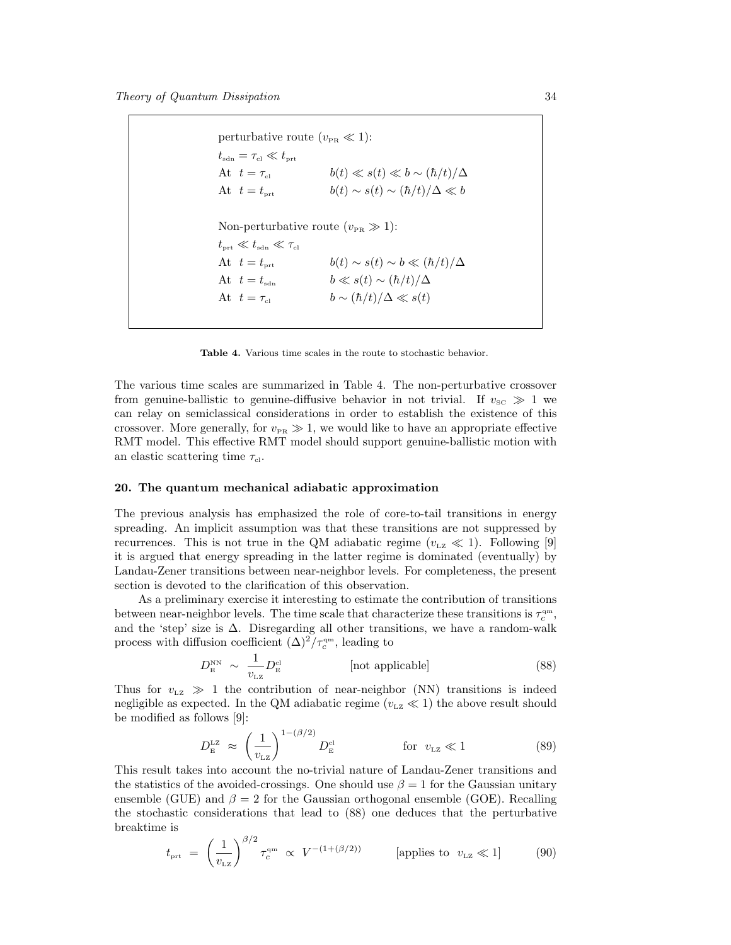perturbative route  $(v_{\text{PR}} \ll 1)$ :  $t_{\rm sdn}=\tau_{\rm cl}\ll t_{\rm prt}$ At  $t = \tau_{\text{cl}}$   $b(t) \ll s(t) \ll b \sim (\hbar/t)/\Delta$ At  $t = t_{\text{prt}}$   $b(t) \sim s(t) \sim (\hbar/t)/\Delta \ll b$ Non-perturbative route  $(v_{PR} \gg 1)$ :  $t_{\mbox{\tiny\rm prt}} \ll t_{\mbox{\tiny\rm sdn}} \ll \tau_{\mbox{\tiny\rm cl}}$ At  $t = t_{\text{prt}}$   $b(t) \sim s(t) \sim b \ll (\hbar/t)/\Delta$ At  $t = t_{\text{sdn}}$   $b \ll s(t) \sim (\hbar/t)/\Delta$ At  $t = \tau_{\text{cl}}$   $b \sim (\hbar/t)/\Delta \ll s(t)$ 

Table 4. Various time scales in the route to stochastic behavior.

The various time scales are summarized in Table 4. The non-perturbative crossover from genuine-ballistic to genuine-diffusive behavior in not trivial. If  $v_{\rm sc} \gg 1$  we can relay on semiclassical considerations in order to establish the existence of this crossover. More generally, for  $v_{PR} \gg 1$ , we would like to have an appropriate effective RMT model. This effective RMT model should support genuine-ballistic motion with an elastic scattering time  $\tau_{\rm cl}$ .

# 20. The quantum mechanical adiabatic approximation

The previous analysis has emphasized the role of core-to-tail transitions in energy spreading. An implicit assumption was that these transitions are not suppressed by recurrences. This is not true in the QM adiabatic regime  $(v_{\text{LZ}} \ll 1)$ . Following [9] it is argued that energy spreading in the latter regime is dominated (eventually) by Landau-Zener transitions between near-neighbor levels. For completeness, the present section is devoted to the clarification of this observation.

As a preliminary exercise it interesting to estimate the contribution of transitions between near-neighbor levels. The time scale that characterize these transitions is  $\tau_c^{\text{qm}},$ and the 'step' size is  $\Delta$ . Disregarding all other transitions, we have a random-walk process with diffusion coefficient  $(\Delta)^2/\tau_c^{\rm qm}$ , leading to

$$
D_{\rm E}^{\rm NN} \sim \frac{1}{v_{\rm LZ}} D_{\rm E}^{\rm cl} \qquad \qquad \text{[not applicable]} \tag{88}
$$

Thus for  $v_{\text{LZ}} \gg 1$  the contribution of near-neighbor (NN) transitions is indeed negligible as expected. In the QM adiabatic regime ( $v_{\text{LZ}} \ll 1$ ) the above result should be modified as follows [9]:

$$
D_{\rm E}^{\rm LZ} \approx \left(\frac{1}{v_{\rm LZ}}\right)^{1-(\beta/2)} D_{\rm E}^{\rm cl} \qquad \qquad \text{for} \ \ v_{\rm LZ} \ll 1 \tag{89}
$$

This result takes into account the no-trivial nature of Landau-Zener transitions and the statistics of the avoided-crossings. One should use  $\beta = 1$  for the Gaussian unitary ensemble (GUE) and  $\beta = 2$  for the Gaussian orthogonal ensemble (GOE). Recalling the stochastic considerations that lead to (88) one deduces that the perturbative breaktime is

$$
t_{\text{prt}} = \left(\frac{1}{v_{\text{LZ}}}\right)^{\beta/2} \tau_c^{\text{qm}} \propto V^{-(1+(\beta/2))} \qquad \text{[applies to } v_{\text{LZ}} \ll 1] \tag{90}
$$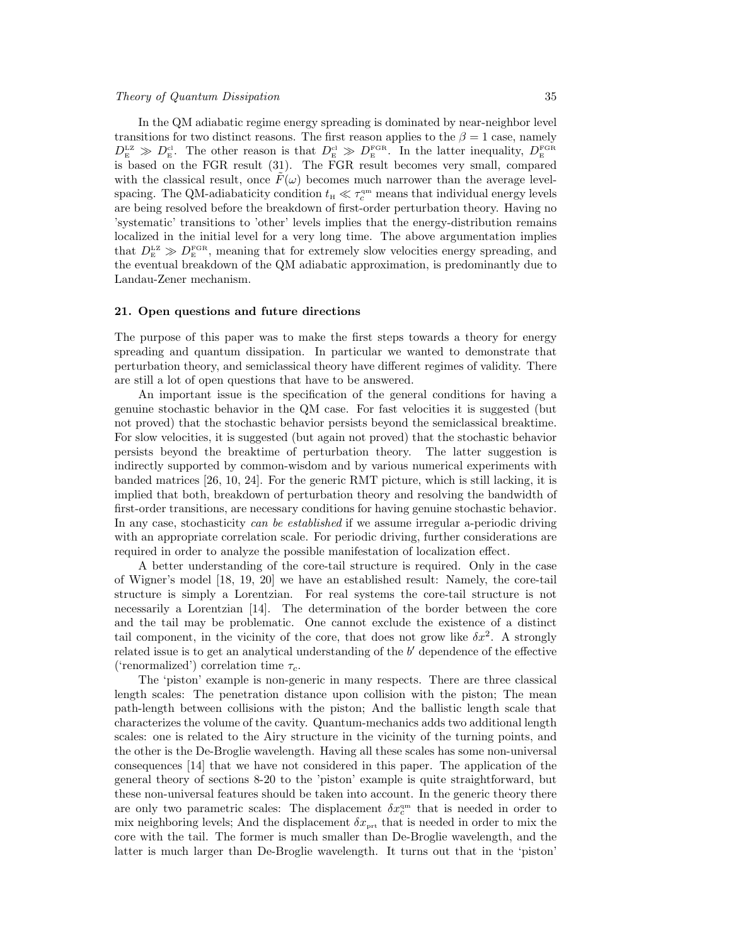In the QM adiabatic regime energy spreading is dominated by near-neighbor level transitions for two distinct reasons. The first reason applies to the  $\beta = 1$  case, namely  $D_{\rm E}^{\rm LZ} \gg D_{\rm E}^{\rm cl}$ . The other reason is that  $D_{\rm E}^{\rm cl} \gg D_{\rm E}^{\rm FGR}$ . In the latter inequality,  $D_{\rm E}^{\rm FGR}$ is based on the FGR result (31). The FGR result becomes very small, compared with the classical result, once  $F(\omega)$  becomes much narrower than the average levelspacing. The QM-adiabaticity condition  $t_{\text{H}} \ll \tau_c^{\text{qm}}$  means that individual energy levels are being resolved before the breakdown of first-order perturbation theory. Having no 'systematic' transitions to 'other' levels implies that the energy-distribution remains localized in the initial level for a very long time. The above argumentation implies that  $D_{\rm E}^{\rm LZ} \gg D_{\rm E}^{\rm FGR}$ , meaning that for extremely slow velocities energy spreading, and the eventual breakdown of the QM adiabatic approximation, is predominantly due to Landau-Zener mechanism.

#### 21. Open questions and future directions

The purpose of this paper was to make the first steps towards a theory for energy spreading and quantum dissipation. In particular we wanted to demonstrate that perturbation theory, and semiclassical theory have different regimes of validity. There are still a lot of open questions that have to be answered.

An important issue is the specification of the general conditions for having a genuine stochastic behavior in the QM case. For fast velocities it is suggested (but not proved) that the stochastic behavior persists beyond the semiclassical breaktime. For slow velocities, it is suggested (but again not proved) that the stochastic behavior persists beyond the breaktime of perturbation theory. The latter suggestion is indirectly supported by common-wisdom and by various numerical experiments with banded matrices [26, 10, 24]. For the generic RMT picture, which is still lacking, it is implied that both, breakdown of perturbation theory and resolving the bandwidth of first-order transitions, are necessary conditions for having genuine stochastic behavior. In any case, stochasticity can be established if we assume irregular a-periodic driving with an appropriate correlation scale. For periodic driving, further considerations are required in order to analyze the possible manifestation of localization effect.

A better understanding of the core-tail structure is required. Only in the case of Wigner's model [18, 19, 20] we have an established result: Namely, the core-tail structure is simply a Lorentzian. For real systems the core-tail structure is not necessarily a Lorentzian [14]. The determination of the border between the core and the tail may be problematic. One cannot exclude the existence of a distinct tail component, in the vicinity of the core, that does not grow like  $\delta x^2$ . A strongly related issue is to get an analytical understanding of the  $b'$  dependence of the effective ('renormalized') correlation time  $\tau_c$ .

The 'piston' example is non-generic in many respects. There are three classical length scales: The penetration distance upon collision with the piston; The mean path-length between collisions with the piston; And the ballistic length scale that characterizes the volume of the cavity. Quantum-mechanics adds two additional length scales: one is related to the Airy structure in the vicinity of the turning points, and the other is the De-Broglie wavelength. Having all these scales has some non-universal consequences [14] that we have not considered in this paper. The application of the general theory of sections 8-20 to the 'piston' example is quite straightforward, but these non-universal features should be taken into account. In the generic theory there are only two parametric scales: The displacement  $\delta x_c^{\text{qm}}$  that is needed in order to mix neighboring levels; And the displacement  $\delta x_{\text{prt}}$  that is needed in order to mix the core with the tail. The former is much smaller than De-Broglie wavelength, and the latter is much larger than De-Broglie wavelength. It turns out that in the 'piston'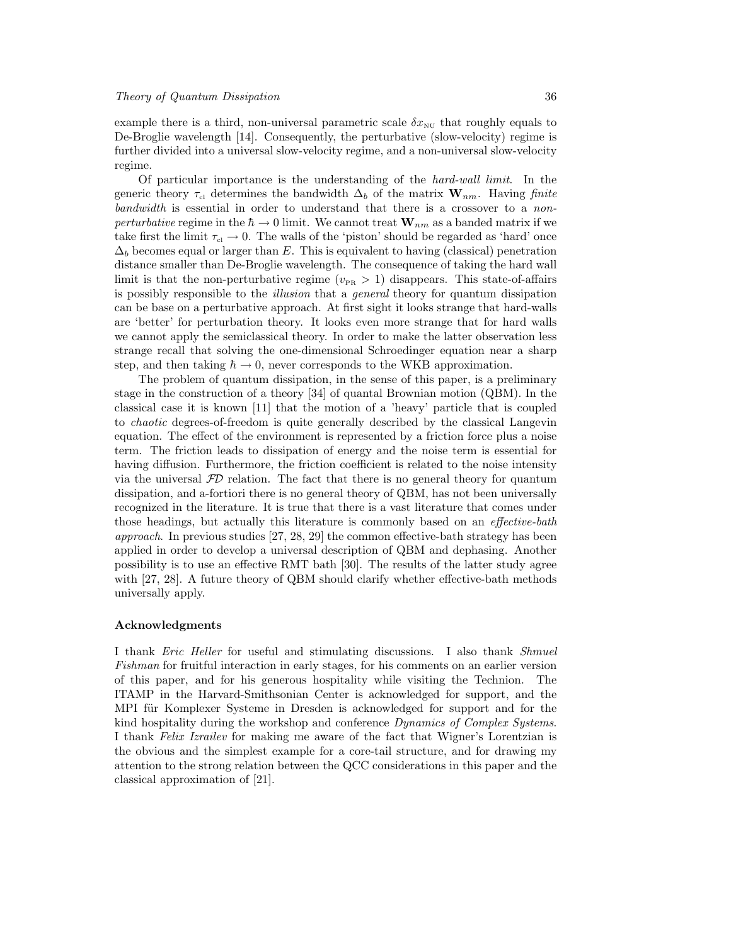example there is a third, non-universal parametric scale  $\delta x_{\text{NU}}$  that roughly equals to De-Broglie wavelength [14]. Consequently, the perturbative (slow-velocity) regime is further divided into a universal slow-velocity regime, and a non-universal slow-velocity regime.

Of particular importance is the understanding of the hard-wall limit. In the generic theory  $\tau_{c}$  determines the bandwidth  $\Delta_b$  of the matrix  $\mathbf{W}_{nm}$ . Having finite bandwidth is essential in order to understand that there is a crossover to a nonperturbative regime in the  $\hbar \to 0$  limit. We cannot treat  $\mathbf{W}_{nm}$  as a banded matrix if we take first the limit  $\tau_{\rm cl} \to 0$ . The walls of the 'piston' should be regarded as 'hard' once  $\Delta_b$  becomes equal or larger than E. This is equivalent to having (classical) penetration distance smaller than De-Broglie wavelength. The consequence of taking the hard wall limit is that the non-perturbative regime ( $v_{\text{PR}} > 1$ ) disappears. This state-of-affairs is possibly responsible to the *illusion* that a *general* theory for quantum dissipation can be base on a perturbative approach. At first sight it looks strange that hard-walls are 'better' for perturbation theory. It looks even more strange that for hard walls we cannot apply the semiclassical theory. In order to make the latter observation less strange recall that solving the one-dimensional Schroedinger equation near a sharp step, and then taking  $\hbar \rightarrow 0$ , never corresponds to the WKB approximation.

The problem of quantum dissipation, in the sense of this paper, is a preliminary stage in the construction of a theory [34] of quantal Brownian motion (QBM). In the classical case it is known [11] that the motion of a 'heavy' particle that is coupled to chaotic degrees-of-freedom is quite generally described by the classical Langevin equation. The effect of the environment is represented by a friction force plus a noise term. The friction leads to dissipation of energy and the noise term is essential for having diffusion. Furthermore, the friction coefficient is related to the noise intensity via the universal  $FD$  relation. The fact that there is no general theory for quantum dissipation, and a-fortiori there is no general theory of QBM, has not been universally recognized in the literature. It is true that there is a vast literature that comes under those headings, but actually this literature is commonly based on an *effective-bath* approach. In previous studies [27, 28, 29] the common effective-bath strategy has been applied in order to develop a universal description of QBM and dephasing. Another possibility is to use an effective RMT bath [30]. The results of the latter study agree with [27, 28]. A future theory of QBM should clarify whether effective-bath methods universally apply.

#### Acknowledgments

I thank *Eric Heller* for useful and stimulating discussions. I also thank *Shmuel* Fishman for fruitful interaction in early stages, for his comments on an earlier version of this paper, and for his generous hospitality while visiting the Technion. The ITAMP in the Harvard-Smithsonian Center is acknowledged for support, and the MPI für Komplexer Systeme in Dresden is acknowledged for support and for the kind hospitality during the workshop and conference Dynamics of Complex Systems. I thank Felix Izrailev for making me aware of the fact that Wigner's Lorentzian is the obvious and the simplest example for a core-tail structure, and for drawing my attention to the strong relation between the QCC considerations in this paper and the classical approximation of [21].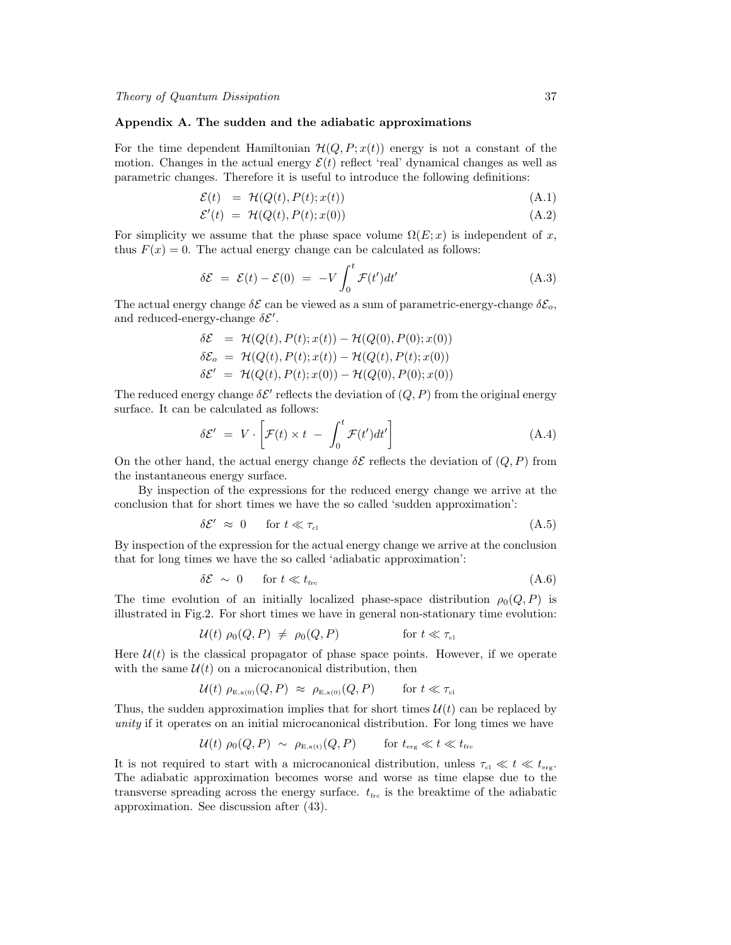# Appendix A. The sudden and the adiabatic approximations

For the time dependent Hamiltonian  $\mathcal{H}(Q, P; x(t))$  energy is not a constant of the motion. Changes in the actual energy  $\mathcal{E}(t)$  reflect 'real' dynamical changes as well as parametric changes. Therefore it is useful to introduce the following definitions:

$$
\mathcal{E}(t) = \mathcal{H}(Q(t), P(t); x(t)) \tag{A.1}
$$

$$
\mathcal{E}'(t) = \mathcal{H}(Q(t), P(t); x(0)) \tag{A.2}
$$

For simplicity we assume that the phase space volume  $\Omega(E; x)$  is independent of x, thus  $F(x) = 0$ . The actual energy change can be calculated as follows:

$$
\delta \mathcal{E} = \mathcal{E}(t) - \mathcal{E}(0) = -V \int_0^t \mathcal{F}(t')dt' \tag{A.3}
$$

The actual energy change  $\delta \mathcal{E}$  can be viewed as a sum of parametric-energy-change  $\delta \mathcal{E}_o$ , and reduced-energy-change  $\delta \mathcal{E}'$ .

$$
\delta \mathcal{E} = \mathcal{H}(Q(t), P(t); x(t)) - \mathcal{H}(Q(0), P(0); x(0)) \n\delta \mathcal{E}_o = \mathcal{H}(Q(t), P(t); x(t)) - \mathcal{H}(Q(t), P(t); x(0)) \n\delta \mathcal{E}' = \mathcal{H}(Q(t), P(t); x(0)) - \mathcal{H}(Q(0), P(0); x(0))
$$

The reduced energy change  $\delta \mathcal{E}'$  reflects the deviation of  $(Q, P)$  from the original energy surface. It can be calculated as follows:

$$
\delta \mathcal{E}' = V \cdot \left[ \mathcal{F}(t) \times t - \int_0^t \mathcal{F}(t') dt' \right]
$$
 (A.4)

On the other hand, the actual energy change  $\delta \mathcal{E}$  reflects the deviation of  $(Q, P)$  from the instantaneous energy surface.

By inspection of the expressions for the reduced energy change we arrive at the conclusion that for short times we have the so called 'sudden approximation':

$$
\delta \mathcal{E}' \approx 0 \quad \text{for } t \ll \tau_{\text{cl}} \tag{A.5}
$$

By inspection of the expression for the actual energy change we arrive at the conclusion that for long times we have the so called 'adiabatic approximation':

$$
\delta \mathcal{E} \sim 0 \quad \text{for } t \ll t_{\text{frc}} \tag{A.6}
$$

The time evolution of an initially localized phase-space distribution  $\rho_0(Q, P)$  is illustrated in Fig.2. For short times we have in general non-stationary time evolution:

$$
\mathcal{U}(t) \,\rho_0(Q,P) \ \neq \ \rho_0(Q,P) \qquad \qquad \text{for } t \ll \tau_{\text{cl}}
$$

Here  $\mathcal{U}(t)$  is the classical propagator of phase space points. However, if we operate with the same  $\mathcal{U}(t)$  on a microcanonical distribution, then

$$
\mathcal{U}(t) \, \rho_{\text{\tiny E},\text{\tiny x(0)}}(Q,P) \; \approx \; \rho_{\text{\tiny E},\text{\tiny x(0)}}(Q,P) \qquad \text{for } t \ll \tau_{\text{\tiny cl}}
$$

Thus, the sudden approximation implies that for short times  $\mathcal{U}(t)$  can be replaced by unity if it operates on an initial microcanonical distribution. For long times we have

$$
\mathcal{U}(t) \; \rho_0(Q, P) \; \sim \; \rho_{E, \mathbf{x(t)}}(Q, P) \qquad \text{for } t_{\text{erg}} \ll t \ll t_{\text{frc}}
$$

It is not required to start with a microcanonical distribution, unless  $\tau_{\rm cl} \ll t \ll t_{\rm erg}$ . The adiabatic approximation becomes worse and worse as time elapse due to the transverse spreading across the energy surface.  $t_{\rm frc}$  is the breaktime of the adiabatic approximation. See discussion after (43).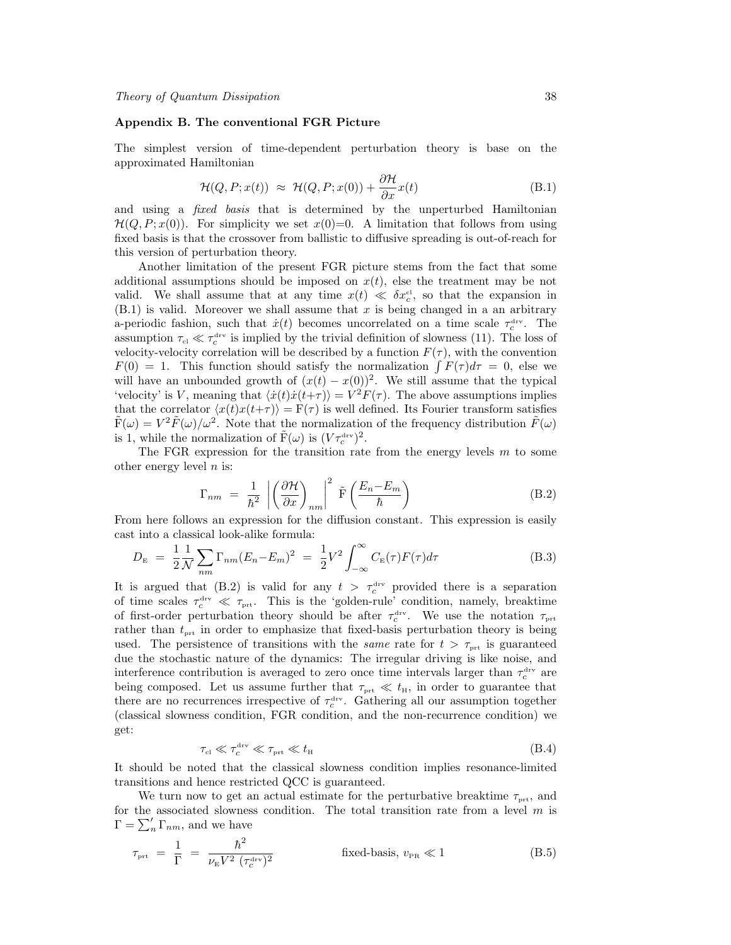#### Appendix B. The conventional FGR Picture

The simplest version of time-dependent perturbation theory is base on the approximated Hamiltonian

$$
\mathcal{H}(Q, P; x(t)) \approx \mathcal{H}(Q, P; x(0)) + \frac{\partial \mathcal{H}}{\partial x} x(t)
$$
 (B.1)

and using a *fixed basis* that is determined by the unperturbed Hamiltonian  $\mathcal{H}(Q, P; x(0))$ . For simplicity we set  $x(0)=0$ . A limitation that follows from using fixed basis is that the crossover from ballistic to diffusive spreading is out-of-reach for this version of perturbation theory.

Another limitation of the present FGR picture stems from the fact that some additional assumptions should be imposed on  $x(t)$ , else the treatment may be not valid. We shall assume that at any time  $x(t) \ll \delta x_c^{\text{cl}}$ , so that the expansion in  $(B.1)$  is valid. Moreover we shall assume that x is being changed in a an arbitrary a-periodic fashion, such that  $\dot{x}(t)$  becomes uncorrelated on a time scale  $\tau_c^{\text{dv}}$ . The assumption  $\tau_{\rm cl} \ll \tau_c^{\rm dry}$  is implied by the trivial definition of slowness (11). The loss of velocity-velocity correlation will be described by a function  $F(\tau)$ , with the convention  $F(0) = 1$ . This function should satisfy the normalization  $\int F(\tau) d\tau = 0$ , else we will have an unbounded growth of  $(x(t) - x(0))^2$ . We still assume that the typical 'velocity' is V, meaning that  $\langle \dot{x}(t)\dot{x}(t+\tau) \rangle = V^2F(\tau)$ . The above assumptions implies that the correlator  $\langle x(t)x(t+\tau) \rangle = F(\tau)$  is well defined. Its Fourier transform satisfies  $\tilde{F}(\omega) = V^2 \tilde{F}(\omega) / \omega^2$ . Note that the normalization of the frequency distribution  $\tilde{F}(\omega)$ is 1, while the normalization of  $\tilde{F}(\omega)$  is  $(V\tau_c^{\text{drv}})^2$ .

The FGR expression for the transition rate from the energy levels  $m$  to some other energy level  $n$  is:

$$
\Gamma_{nm} = \frac{1}{\hbar^2} \left| \left( \frac{\partial \mathcal{H}}{\partial x} \right)_{nm} \right|^2 \tilde{F} \left( \frac{E_n - E_m}{\hbar} \right) \tag{B.2}
$$

From here follows an expression for the diffusion constant. This expression is easily cast into a classical look-alike formula:

$$
D_{\rm E} = \frac{1}{2} \frac{1}{N} \sum_{nm} \Gamma_{nm} (E_n - E_m)^2 = \frac{1}{2} V^2 \int_{-\infty}^{\infty} C_{\rm E}(\tau) F(\tau) d\tau
$$
 (B.3)

It is argued that (B.2) is valid for any  $t > \tau_c^{\text{drv}}$  provided there is a separation of time scales  $\tau_c^{\text{drv}} \ll \tau_{\text{prt}}$ . This is the 'golden-rule' condition, namely, breaktime of first-order perturbation theory should be after  $\tau_c^{\text{drv}}$ . We use the notation  $\tau_{\text{prt}}$ rather than  $t_{\text{prt}}$  in order to emphasize that fixed-basis perturbation theory is being used. The persistence of transitions with the *same* rate for  $t > \tau_{\text{prt}}$  is guaranteed due the stochastic nature of the dynamics: The irregular driving is like noise, and interference contribution is averaged to zero once time intervals larger than  $\tau_c^{\text{drv}}$  are being composed. Let us assume further that  $\tau_{\text{prt}} \ll t_{\text{H}}$ , in order to guarantee that there are no recurrences irrespective of  $\tau_c^{\text{drv}}$ . Gathering all our assumption together (classical slowness condition, FGR condition, and the non-recurrence condition) we get:

$$
\tau_{\rm cl} \ll \tau_c^{\rm trv} \ll \tau_{\rm prt} \ll t_{\rm H} \tag{B.4}
$$

It should be noted that the classical slowness condition implies resonance-limited transitions and hence restricted QCC is guaranteed.

We turn now to get an actual estimate for the perturbative breaktime  $\tau_{\text{prt}}$ , and for the associated slowness condition. The total transition rate from a level  $m$  is  $\Gamma = \sum_{n}' \Gamma_{nm}$ , and we have

$$
\tau_{\text{prt}} = \frac{1}{\Gamma} = \frac{\hbar^2}{\nu_{\text{E}} V^2 \left(\tau_c^{\text{drv}}\right)^2} \qquad \text{fixed-basis, } v_{\text{PR}} \ll 1 \qquad (B.5)
$$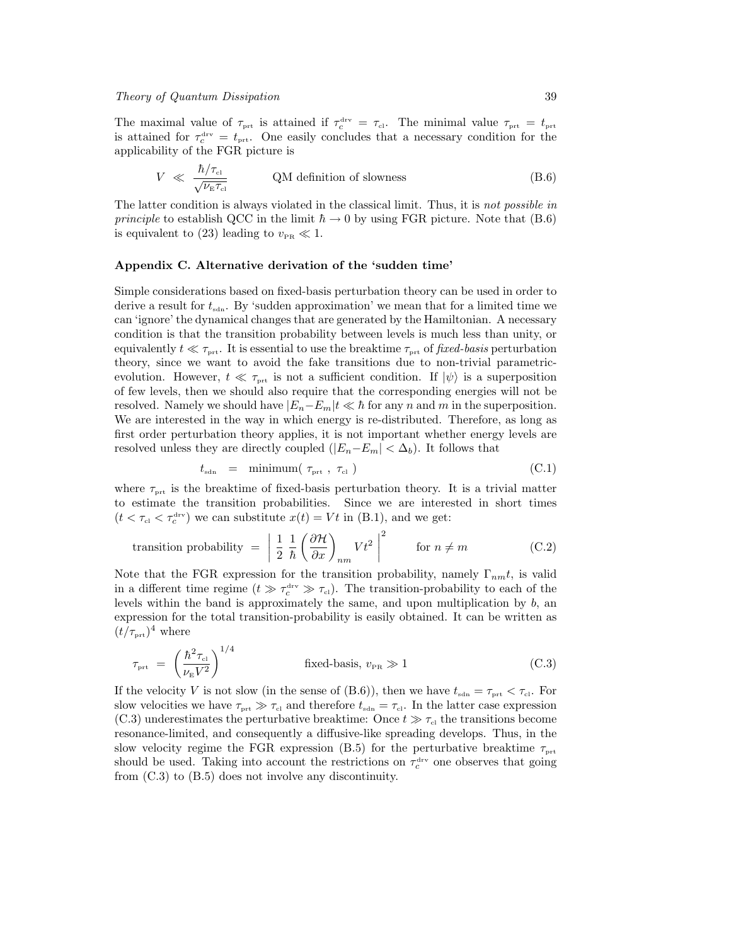The maximal value of  $\tau_{\text{prt}}$  is attained if  $\tau_c^{\text{drv}} = \tau_{\text{cl}}$ . The minimal value  $\tau_{\text{prt}} = t_{\text{prt}}$ is attained for  $\tau_c^{\text{drv}} = t_{\text{prt}}$ . One easily concludes that a necessary condition for the applicability of the FGR picture is

$$
V \ll \frac{\hbar/\tau_{\text{cl}}}{\sqrt{\nu_{\text{E}}\tau_{\text{cl}}}}
$$
 QM definition of slowness (B.6)

The latter condition is always violated in the classical limit. Thus, it is not possible in principle to establish QCC in the limit  $\hbar \to 0$  by using FGR picture. Note that (B.6) is equivalent to (23) leading to  $v_{\text{PR}} \ll 1$ .

# Appendix C. Alternative derivation of the 'sudden time'

Simple considerations based on fixed-basis perturbation theory can be used in order to derive a result for  $t_{\text{sdn}}$ . By 'sudden approximation' we mean that for a limited time we can 'ignore' the dynamical changes that are generated by the Hamiltonian. A necessary condition is that the transition probability between levels is much less than unity, or equivalently  $t \ll \tau_{\text{prt}}$ . It is essential to use the breaktime  $\tau_{\text{prt}}$  of fixed-basis perturbation theory, since we want to avoid the fake transitions due to non-trivial parametricevolution. However,  $t \ll \tau_{\text{prt}}$  is not a sufficient condition. If  $|\psi\rangle$  is a superposition of few levels, then we should also require that the corresponding energies will not be resolved. Namely we should have  $|E_n-E_m|t \ll \hbar$  for any n and m in the superposition. We are interested in the way in which energy is re-distributed. Therefore, as long as first order perturbation theory applies, it is not important whether energy levels are resolved unless they are directly coupled  $(|E_n-E_m| < \Delta_b)$ . It follows that

$$
t_{\rm sdn} = \min_{\tau_{\rm prt}} (\tau_{\rm prt}, \tau_{\rm cl}) \tag{C.1}
$$

where  $\tau_{\text{prt}}$  is the breaktime of fixed-basis perturbation theory. It is a trivial matter to estimate the transition probabilities. Since we are interested in short times  $(t < \tau_{\text{cl}} < \tau_c^{\text{drv}})$  we can substitute  $x(t) = Vt$  in (B.1), and we get:

transition probability 
$$
= \left| \frac{1}{2} \frac{1}{\hbar} \left( \frac{\partial \mathcal{H}}{\partial x} \right)_{nm} V t^2 \right|^2
$$
 for  $n \neq m$  (C.2)

Note that the FGR expression for the transition probability, namely  $\Gamma_{nm}t$ , is valid in a different time regime  $(t \gg \tau_c^{\text{drv}} \gg \tau_{\text{cl}})$ . The transition-probability to each of the levels within the band is approximately the same, and upon multiplication by  $b$ , an expression for the total transition-probability is easily obtained. It can be written as  $(t/\tau_{\text{prt}})^4$  where

$$
\tau_{\text{prt}} = \left(\frac{\hbar^2 \tau_{\text{cl}}}{\nu_{\text{E}} V^2}\right)^{1/4} \qquad \text{fixed-basis, } v_{\text{PR}} \gg 1 \qquad (C.3)
$$

If the velocity V is not slow (in the sense of (B.6)), then we have  $t_{\text{sdn}} = \tau_{\text{prt}} < \tau_{\text{cl}}$ . For slow velocities we have  $\tau_{\text{prt}} \gg \tau_{\text{cl}}$  and therefore  $t_{\text{sdn}} = \tau_{\text{cl}}$ . In the latter case expression (C.3) underestimates the perturbative breaktime: Once  $t \gg \tau_{c}$  the transitions become resonance-limited, and consequently a diffusive-like spreading develops. Thus, in the slow velocity regime the FGR expression (B.5) for the perturbative breaktime  $\tau_{\text{prt}}$ should be used. Taking into account the restrictions on  $\tau_c^{\text{drv}}$  one observes that going from (C.3) to (B.5) does not involve any discontinuity.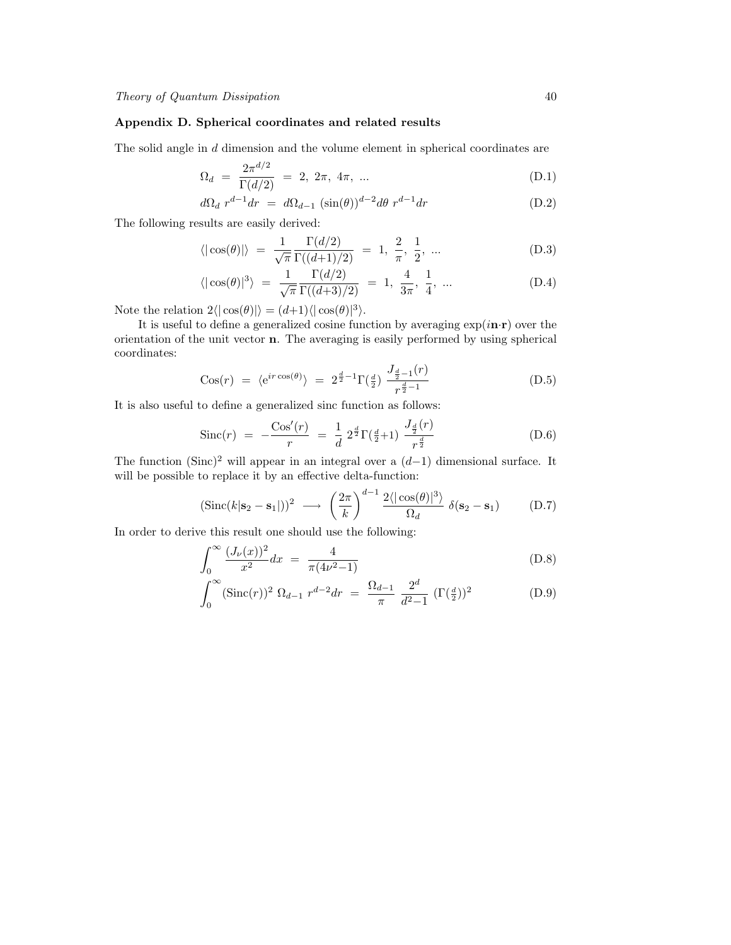# Appendix D. Spherical coordinates and related results

The solid angle in d dimension and the volume element in spherical coordinates are

$$
\Omega_d = \frac{2\pi^{d/2}}{\Gamma(d/2)} = 2, 2\pi, 4\pi, ... \tag{D.1}
$$

$$
d\Omega_d r^{d-1} dr = d\Omega_{d-1} (\sin(\theta))^{d-2} d\theta r^{d-1} dr \qquad (D.2)
$$

The following results are easily derived:

$$
\langle |\cos(\theta)| \rangle = \frac{1}{\sqrt{\pi}} \frac{\Gamma(d/2)}{\Gamma((d+1)/2)} = 1, \frac{2}{\pi}, \frac{1}{2}, \dots
$$
 (D.3)

$$
\langle |\cos(\theta)|^3 \rangle = \frac{1}{\sqrt{\pi}} \frac{\Gamma(d/2)}{\Gamma((d+3)/2)} = 1, \frac{4}{3\pi}, \frac{1}{4}, ... \tag{D.4}
$$

Note the relation  $2\langle |\cos(\theta)| \rangle = (d+1)\langle |\cos(\theta)|^3 \rangle$ .

It is useful to define a generalized cosine function by averaging  $\exp(i\mathbf{n}\cdot\mathbf{r})$  over the orientation of the unit vector n. The averaging is easily performed by using spherical coordinates:  $\lambda$ 

$$
Cos(r) = \langle e^{ir \cos(\theta)} \rangle = 2^{\frac{d}{2}-1} \Gamma(\frac{d}{2}) \frac{J_{\frac{d}{2}-1}(r)}{r^{\frac{d}{2}-1}}
$$
(D.5)

It is also useful to define a generalized sinc function as follows:

Since 
$$
(r)
$$
 =  $-\frac{\cos'(r)}{r} = \frac{1}{d} 2^{\frac{d}{2}} \Gamma(\frac{d}{2}+1) \frac{J_{\frac{d}{2}}(r)}{r^{\frac{d}{2}}}$  (D.6)

The function (Sinc)<sup>2</sup> will appear in an integral over a  $(d-1)$  dimensional surface. It will be possible to replace it by an effective delta-function:

$$
(\text{Sinc}(k|\mathbf{s}_2 - \mathbf{s}_1|))^2 \longrightarrow \left(\frac{2\pi}{k}\right)^{d-1} \frac{2\langle|\cos(\theta)|^3\rangle}{\Omega_d} \delta(\mathbf{s}_2 - \mathbf{s}_1) \tag{D.7}
$$

In order to derive this result one should use the following:

$$
\int_0^\infty \frac{(J_\nu(x))^2}{x^2} dx = \frac{4}{\pi (4\nu^2 - 1)}\tag{D.8}
$$

$$
\int_0^\infty (\text{Sinc}(r))^2 \ \Omega_{d-1} \ r^{d-2} dr = \frac{\Omega_{d-1}}{\pi} \ \frac{2^d}{d^2 - 1} \ (\Gamma(\frac{d}{2}))^2 \tag{D.9}
$$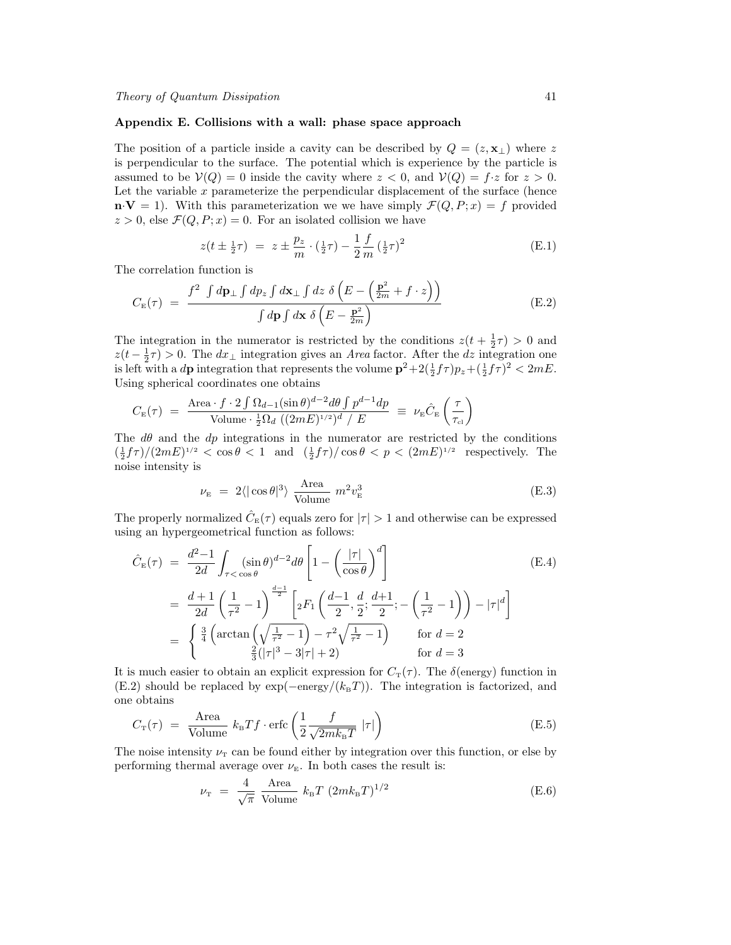#### Appendix E. Collisions with a wall: phase space approach

The position of a particle inside a cavity can be described by  $Q = (z, x<sub>⊥</sub>)$  where z is perpendicular to the surface. The potential which is experience by the particle is assumed to be  $V(Q) = 0$  inside the cavity where  $z < 0$ , and  $V(Q) = f \cdot z$  for  $z > 0$ . Let the variable  $x$  parameterize the perpendicular displacement of the surface (hence  $\mathbf{n} \cdot \mathbf{V} = 1$ . With this parameterization we we have simply  $\mathcal{F}(Q, P; x) = f$  provided  $z > 0$ , else  $\mathcal{F}(Q, P; x) = 0$ . For an isolated collision we have

$$
z(t \pm \frac{1}{2}\tau) = z \pm \frac{p_z}{m} \cdot (\frac{1}{2}\tau) - \frac{1}{2} \frac{f}{m} (\frac{1}{2}\tau)^2
$$
 (E.1)

The correlation function is

$$
C_{\rm E}(\tau) = \frac{f^2 \int d\mathbf{p}_{\perp} \int d\mathbf{p}_z \int d\mathbf{x}_{\perp} \int dz \ \delta \left( E - \left( \frac{\mathbf{p}^2}{2m} + f \cdot z \right) \right)}{\int d\mathbf{p} \int d\mathbf{x} \ \delta \left( E - \frac{\mathbf{p}^2}{2m} \right)} \tag{E.2}
$$

The integration in the numerator is restricted by the conditions  $z(t + \frac{1}{2}\tau) > 0$  and  $z(t-\frac{1}{2}\tau) > 0$ . The  $dx_{\perp}$  integration gives an Area factor. After the dz integration one is left with a d**p** integration that represents the volume  $p^2 + 2(\frac{1}{2}f\tau)p_z + (\frac{1}{2}f\tau)^2 < 2mE$ . Using spherical coordinates one obtains

$$
C_{\scriptscriptstyle{\rm E}}(\tau) = \frac{\text{Area} \cdot f \cdot 2 \int \Omega_{d-1}(\sin \theta)^{d-2} d\theta \int p^{d-1} dp}{\text{Volume} \cdot \frac{1}{2} \Omega_d \left( (2mE)^{1/2} \right)^d / E} \equiv \nu_{\scriptscriptstyle{\rm E}} \hat{C}_{\scriptscriptstyle{\rm E}} \left( \frac{\tau}{\tau_{\scriptscriptstyle{\rm cl}}} \right)
$$

The  $d\theta$  and the  $dp$  integrations in the numerator are restricted by the conditions  $\left(\frac{1}{2} f \tau\right)/(2mE)^{1/2} < \cos \theta < 1$  and  $\left(\frac{1}{2} f \tau\right)/\cos \theta < p < (2mE)^{1/2}$  respectively. The noise intensity is

$$
\nu_{\rm E} = 2 \langle |\cos \theta|^3 \rangle \frac{\text{Area}}{\text{Volume}} m^2 v_{\rm E}^3 \tag{E.3}
$$

The properly normalized  $\hat{C}_{\text{\tiny E}}(\tau)$  equals zero for  $|\tau| > 1$  and otherwise can be expressed using an hypergeometrical function as follows:

$$
\hat{C}_{\rm E}(\tau) = \frac{d^2 - 1}{2d} \int_{\tau < \cos \theta} (\sin \theta)^{d-2} d\theta \left[ 1 - \left( \frac{|\tau|}{\cos \theta} \right)^d \right]
$$
\n
$$
= \frac{d+1}{2d} \left( \frac{1}{\tau^2} - 1 \right)^{\frac{d-1}{2}} \left[ {}_2F_1 \left( \frac{d-1}{2}, \frac{d}{2}; \frac{d+1}{2}; - \left( \frac{1}{\tau^2} - 1 \right) \right) - |\tau|^d \right]
$$
\n
$$
= \begin{cases}\n\frac{3}{4} \left( \arctan\left( \sqrt{\frac{1}{\tau^2} - 1} \right) - \tau^2 \sqrt{\frac{1}{\tau^2} - 1} \right) & \text{for } d = 2 \\
\frac{2}{3} (|\tau|^3 - 3|\tau| + 2) & \text{for } d = 3\n\end{cases}
$$

It is much easier to obtain an explicit expression for  $C_{\text{T}}(\tau)$ . The  $\delta$ (energy) function in (E.2) should be replaced by  $\exp(-\text{energy}/(k_{\text{B}}T))$ . The integration is factorized, and one obtains

$$
C_{\rm T}(\tau) = \frac{\text{Area}}{\text{Volume}} k_{\rm B} T f \cdot \text{erfc}\left(\frac{1}{2} \frac{f}{\sqrt{2m k_{\rm B} T}} |\tau|\right)
$$
(E.5)

The noise intensity  $\nu_{\rm T}$  can be found either by integration over this function, or else by performing thermal average over  $\nu_{\rm E}$ . In both cases the result is:

$$
\nu_{\rm T} = \frac{4}{\sqrt{\pi}} \frac{\text{Area}}{\text{Volume}} k_{\rm B} T (2mk_{\rm B}T)^{1/2}
$$
 (E.6)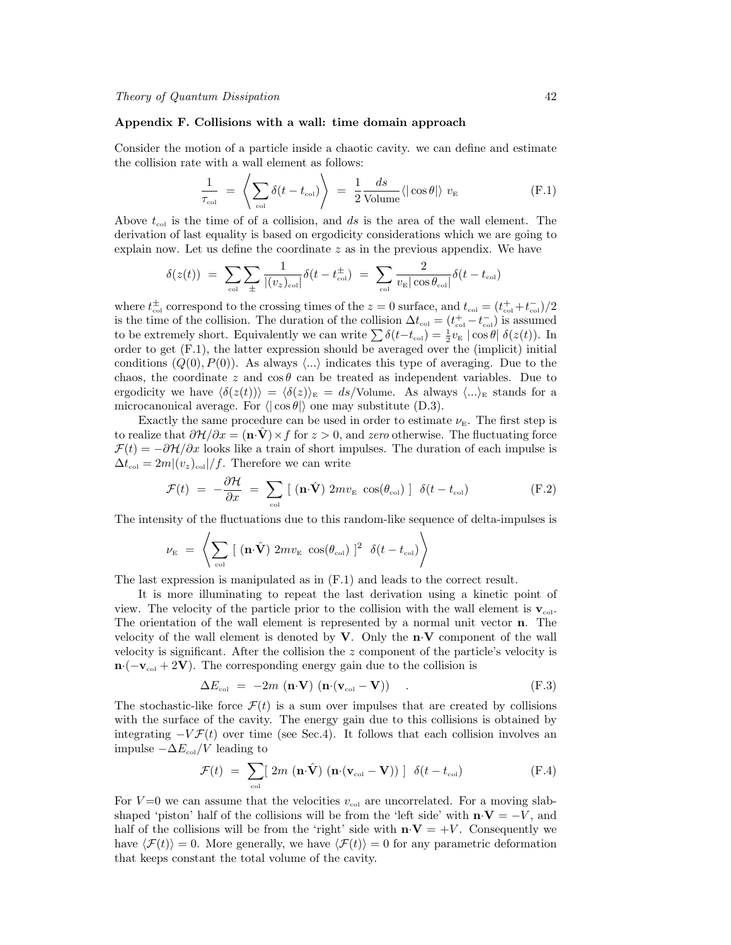#### Appendix F. Collisions with a wall: time domain approach

Consider the motion of a particle inside a chaotic cavity. we can define and estimate the collision rate with a wall element as follows:

$$
\frac{1}{\tau_{\text{col}}} = \left\langle \sum_{\text{col}} \delta(t - t_{\text{col}}) \right\rangle = \frac{1}{2} \frac{ds}{\text{Volume}} \langle |\cos \theta| \rangle v_{\text{E}}
$$
(F.1)

Above  $t_{\text{col}}$  is the time of of a collision, and ds is the area of the wall element. The derivation of last equality is based on ergodicity considerations which we are going to explain now. Let us define the coordinate  $z$  as in the previous appendix. We have

$$
\delta(z(t)) = \sum_{\text{col}} \sum_{\pm} \frac{1}{|(v_z)_{\text{col}}|} \delta(t - t_{\text{col}}^{\pm}) = \sum_{\text{col}} \frac{2}{v_{\text{E}} |\cos \theta_{\text{col}}|} \delta(t - t_{\text{col}})
$$

where  $t_{\text{col}}^{\pm}$  correspond to the crossing times of the  $z = 0$  surface, and  $t_{\text{col}} = (t_{\text{col}}^{+} + t_{\text{col}}^{-})/2$ is the time of the collision. The duration of the collision  $\Delta t_{\text{col}} = (t_{\text{col}}^+ - t_{\text{col}}^-)$  is assumed to be extremely short. Equivalently we can write  $\sum \delta(t-t_{\text{col}}) = \frac{1}{2}v_{\text{E}} \cos \theta |\delta(z(t))$ . In order to get (F.1), the latter expression should be averaged over the (implicit) initial conditions  $(Q(0), P(0))$ . As always  $\langle ... \rangle$  indicates this type of averaging. Due to the chaos, the coordinate z and  $\cos \theta$  can be treated as independent variables. Due to ergodicity we have  $\langle \delta(z(t)) \rangle = \langle \delta(z) \rangle_E = ds/V$ olume. As always  $\langle ... \rangle_E$  stands for a microcanonical average. For  $\langle \cdot | \cos \theta \rangle$  one may substitute (D.3).

Exactly the same procedure can be used in order to estimate  $\nu_{\rm E}$ . The first step is to realize that  $\partial \mathcal{H}/\partial x = (\mathbf{n} \cdot \mathbf{V}) \times f$  for  $z > 0$ , and zero otherwise. The fluctuating force  $\mathcal{F}(t) = -\partial \mathcal{H}/\partial x$  looks like a train of short impulses. The duration of each impulse is  $\Delta t_{\rm col} = 2m|(v_z)_{\rm col}|/f$ . Therefore we can write

$$
\mathcal{F}(t) = -\frac{\partial \mathcal{H}}{\partial x} = \sum_{\text{col}} [(\mathbf{n} \cdot \hat{\mathbf{V}}) 2m v_{\text{E}} \cos(\theta_{\text{col}})] \delta(t - t_{\text{col}})
$$
(F.2)

The intensity of the fluctuations due to this random-like sequence of delta-impulses is

$$
\nu_{\rm E} = \left\langle \sum_{\rm col} \left[ \left( \mathbf{n} \cdot \hat{\mathbf{V}} \right) 2 m v_{\rm E} \cos(\theta_{\rm col}) \right]^2 \delta(t - t_{\rm col}) \right\rangle
$$

The last expression is manipulated as in (F.1) and leads to the correct result.

It is more illuminating to repeat the last derivation using a kinetic point of view. The velocity of the particle prior to the collision with the wall element is  $\mathbf{v}_{\text{col}}$ . The orientation of the wall element is represented by a normal unit vector n. The velocity of the wall element is denoted by  $V$ . Only the  $n \cdot V$  component of the wall velocity is significant. After the collision the z component of the particle's velocity is  $\mathbf{n} \cdot (-\mathbf{v}_{\text{col}} + 2\mathbf{V})$ . The corresponding energy gain due to the collision is

$$
\Delta E_{\text{col}} = -2m \left( \mathbf{n} \cdot \mathbf{V} \right) \left( \mathbf{n} \cdot (\mathbf{v}_{\text{col}} - \mathbf{V}) \right) \tag{F.3}
$$

The stochastic-like force  $\mathcal{F}(t)$  is a sum over impulses that are created by collisions with the surface of the cavity. The energy gain due to this collisions is obtained by integrating  $-V\mathcal{F}(t)$  over time (see Sec.4). It follows that each collision involves an impulse  $-\Delta E_{\text{col}}/V$  leading to

$$
\mathcal{F}(t) = \sum_{\text{col}} [\ 2m (\mathbf{n} \cdot \hat{\mathbf{V}}) (\mathbf{n} \cdot (\mathbf{v}_{\text{col}} - \mathbf{V})) \ ] \ \delta(t - t_{\text{col}}) \tag{F.4}
$$

For  $V=0$  we can assume that the velocities  $v_{\text{col}}$  are uncorrelated. For a moving slabshaped 'piston' half of the collisions will be from the 'left side' with  $\mathbf{n} \cdot \mathbf{V} = -V$ , and half of the collisions will be from the 'right' side with  $\mathbf{n} \cdot \mathbf{V} = +V$ . Consequently we have  $\langle \mathcal{F}(t) \rangle = 0$ . More generally, we have  $\langle \mathcal{F}(t) \rangle = 0$  for any parametric deformation that keeps constant the total volume of the cavity.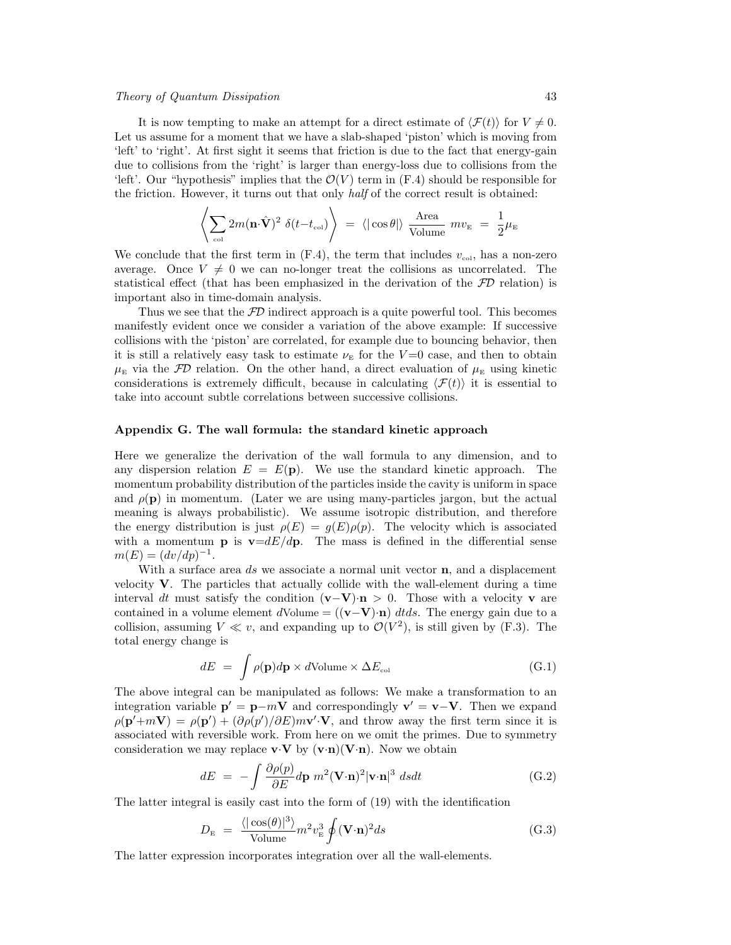# Theory of Quantum Dissipation 43

It is now tempting to make an attempt for a direct estimate of  $\langle \mathcal{F}(t) \rangle$  for  $V \neq 0$ . Let us assume for a moment that we have a slab-shaped 'piston' which is moving from 'left' to 'right'. At first sight it seems that friction is due to the fact that energy-gain due to collisions from the 'right' is larger than energy-loss due to collisions from the 'left'. Our "hypothesis" implies that the  $\mathcal{O}(V)$  term in  $(F.4)$  should be responsible for the friction. However, it turns out that only half of the correct result is obtained:

$$
\left\langle \sum_{\text{col}} 2m(\mathbf{n}\cdot\hat{\mathbf{V}})^2 \delta(t-t_{\text{col}}) \right\rangle = \left\langle |\cos\theta| \right\rangle \frac{\text{Area}}{\text{Volume}} m v_{\text{E}} = \frac{1}{2}\mu_{\text{E}}
$$

We conclude that the first term in  $(F.4)$ , the term that includes  $v_{\text{col}}$ , has a non-zero average. Once  $V \neq 0$  we can no-longer treat the collisions as uncorrelated. The statistical effect (that has been emphasized in the derivation of the  $\mathcal{FD}$  relation) is important also in time-domain analysis.

Thus we see that the  $FD$  indirect approach is a quite powerful tool. This becomes manifestly evident once we consider a variation of the above example: If successive collisions with the 'piston' are correlated, for example due to bouncing behavior, then it is still a relatively easy task to estimate  $\nu_{\text{E}}$  for the  $V=0$  case, and then to obtain  $\mu_{\rm E}$  via the FD relation. On the other hand, a direct evaluation of  $\mu_{\rm E}$  using kinetic considerations is extremely difficult, because in calculating  $\langle \mathcal{F}(t) \rangle$  it is essential to take into account subtle correlations between successive collisions.

#### Appendix G. The wall formula: the standard kinetic approach

Here we generalize the derivation of the wall formula to any dimension, and to any dispersion relation  $E = E(\mathbf{p})$ . We use the standard kinetic approach. The momentum probability distribution of the particles inside the cavity is uniform in space and  $\rho(\mathbf{p})$  in momentum. (Later we are using many-particles jargon, but the actual meaning is always probabilistic). We assume isotropic distribution, and therefore the energy distribution is just  $\rho(E) = g(E)\rho(p)$ . The velocity which is associated with a momentum **p** is  $v=dE/dp$ . The mass is defined in the differential sense  $m(E) = (dv/dp)^{-1}.$ 

With a surface area ds we associate a normal unit vector  $n$ , and a displacement velocity  $V$ . The particles that actually collide with the wall-element during a time interval dt must satisfy the condition  $(\mathbf{v}-\mathbf{V})\cdot \mathbf{n} > 0$ . Those with a velocity v are contained in a volume element dVolume =  $((v-V)\cdot n)$  dtds. The energy gain due to a collision, assuming  $V \ll v$ , and expanding up to  $\mathcal{O}(V^2)$ , is still given by (F.3). The total energy change is

$$
dE = \int \rho(\mathbf{p})d\mathbf{p} \times d\text{Volume} \times \Delta E_{\text{col}} \tag{G.1}
$$

The above integral can be manipulated as follows: We make a transformation to an integration variable  $\mathbf{p}' = \mathbf{p} - m\mathbf{V}$  and correspondingly  $\mathbf{v}' = \mathbf{v} - \mathbf{V}$ . Then we expand  $\rho(\mathbf{p'}+m\mathbf{V}) = \rho(\mathbf{p'}) + (\partial \rho(\mathbf{p'})/\partial E) m\mathbf{v'}\cdot \mathbf{V}$ , and throw away the first term since it is associated with reversible work. From here on we omit the primes. Due to symmetry consideration we may replace  $\mathbf{v} \cdot \mathbf{V}$  by  $(\mathbf{v} \cdot \mathbf{n})(\mathbf{V} \cdot \mathbf{n})$ . Now we obtain

$$
dE = -\int \frac{\partial \rho(p)}{\partial E} d\mathbf{p} \ m^2 (\mathbf{V} \cdot \mathbf{n})^2 |\mathbf{v} \cdot \mathbf{n}|^3 \ ds dt \tag{G.2}
$$

The latter integral is easily cast into the form of (19) with the identification

$$
D_{\rm E} = \frac{\langle |\cos(\theta)|^3 \rangle}{\text{Volume}} m^2 v_{\rm E}^3 \oint (\mathbf{V} \cdot \mathbf{n})^2 ds \tag{G.3}
$$

The latter expression incorporates integration over all the wall-elements.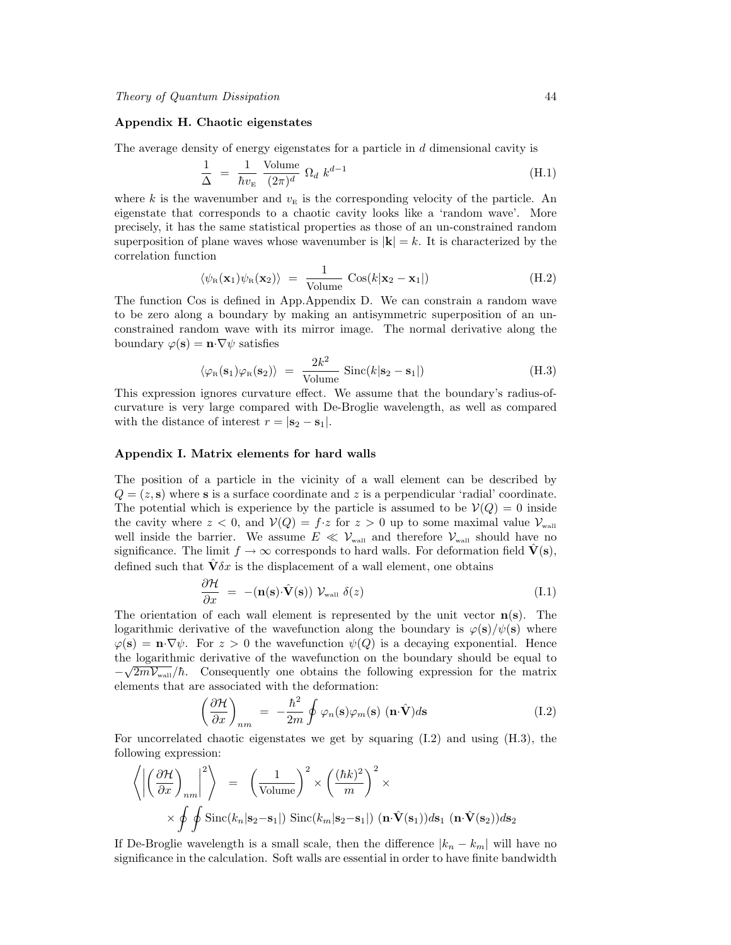# Appendix H. Chaotic eigenstates

The average density of energy eigenstates for a particle in d dimensional cavity is

$$
\frac{1}{\Delta} = \frac{1}{\hbar v_{\rm E}} \frac{\text{Volume}}{(2\pi)^d} \Omega_d \ k^{d-1}
$$
\n(H.1)

where k is the wavenumber and  $v_{\rm E}$  is the corresponding velocity of the particle. An eigenstate that corresponds to a chaotic cavity looks like a 'random wave'. More precisely, it has the same statistical properties as those of an un-constrained random superposition of plane waves whose wavenumber is  $|\mathbf{k}| = k$ . It is characterized by the correlation function

$$
\langle \psi_{R}(\mathbf{x}_{1})\psi_{R}(\mathbf{x}_{2})\rangle = \frac{1}{\text{Volume}}\cos(k|\mathbf{x}_{2}-\mathbf{x}_{1}|) \tag{H.2}
$$

The function Cos is defined in App.Appendix D. We can constrain a random wave to be zero along a boundary by making an antisymmetric superposition of an unconstrained random wave with its mirror image. The normal derivative along the boundary  $\varphi(\mathbf{s}) = \mathbf{n} \cdot \nabla \psi$  satisfies

$$
\langle \varphi_{\rm R}(\mathbf{s}_1)\varphi_{\rm R}(\mathbf{s}_2)\rangle = \frac{2k^2}{\text{Volume}}\,\text{Sinc}(k|\mathbf{s}_2 - \mathbf{s}_1|) \tag{H.3}
$$

This expression ignores curvature effect. We assume that the boundary's radius-ofcurvature is very large compared with De-Broglie wavelength, as well as compared with the distance of interest  $r = |\mathbf{s}_2 - \mathbf{s}_1|$ .

# Appendix I. Matrix elements for hard walls

The position of a particle in the vicinity of a wall element can be described by  $Q = (z, s)$  where s is a surface coordinate and z is a perpendicular 'radial' coordinate. The potential which is experience by the particle is assumed to be  $\mathcal{V}(Q) = 0$  inside the cavity where  $z < 0$ , and  $V(Q) = f \cdot z$  for  $z > 0$  up to some maximal value  $V_{\text{wall}}$ well inside the barrier. We assume  $E \ll V_{\text{wall}}$  and therefore  $V_{\text{wall}}$  should have no significance. The limit  $f \to \infty$  corresponds to hard walls. For deformation field  $\dot{V}(s)$ , defined such that  $\hat{\mathbf{V}} \delta x$  is the displacement of a wall element, one obtains

$$
\frac{\partial \mathcal{H}}{\partial x} = -(\mathbf{n}(\mathbf{s}) \cdot \hat{\mathbf{V}}(\mathbf{s})) \mathcal{V}_{\text{wall}} \delta(z)
$$
\n(I.1)

The orientation of each wall element is represented by the unit vector  $n(s)$ . The logarithmic derivative of the wavefunction along the boundary is  $\varphi(s)/\psi(s)$  where  $\varphi(s) = \mathbf{n} \cdot \nabla \psi$ . For  $z > 0$  the wavefunction  $\psi(Q)$  is a decaying exponential. Hence the logarithmic derivative of the wavefunction on the boundary should be equal to  $\sqrt{2\pi}$  $-\sqrt{2mV_{\text{wall}}}/\hbar$ . Consequently one obtains the following expression for the matrix elements that are associated with the deformation:

$$
\left(\frac{\partial \mathcal{H}}{\partial x}\right)_{nm} = -\frac{\hbar^2}{2m} \oint \varphi_n(\mathbf{s}) \varphi_m(\mathbf{s}) \ (\mathbf{n} \cdot \hat{\mathbf{V}}) d\mathbf{s}
$$
\n(1.2)

For uncorrelated chaotic eigenstates we get by squaring (I.2) and using (H.3), the following expression:

$$
\left\langle \left| \left( \frac{\partial \mathcal{H}}{\partial x} \right)_{nm} \right|^2 \right\rangle = \left( \frac{1}{\text{Volume}} \right)^2 \times \left( \frac{(\hbar k)^2}{m} \right)^2 \times \left( \frac{\partial \mathcal{H}}{\partial x} \right)^2 \times \left( \frac{\partial \mathcal{H}}{\partial x} \right)^2 \times \left( \frac{\partial \mathcal{H}}{\partial x} \right)^2 \times \left( \frac{\partial \mathcal{H}}{\partial x} \right)^2 \times \left( \frac{\partial \mathcal{H}}{\partial x} \right)^2 \times \left( \frac{\partial \mathcal{H}}{\partial x} \right)^2 \times \left( \frac{\partial \mathcal{H}}{\partial x} \right)^2 \times \left( \frac{\partial \mathcal{H}}{\partial x} \right)^2 \times \left( \frac{\partial \mathcal{H}}{\partial x} \right)^2 \times \left( \frac{\partial \mathcal{H}}{\partial x} \right)^2 \times \left( \frac{\partial \mathcal{H}}{\partial x} \right)^2 \times \left( \frac{\partial \mathcal{H}}{\partial x} \right)^2 \times \left( \frac{\partial \mathcal{H}}{\partial x} \right)^2 \times \left( \frac{\partial \mathcal{H}}{\partial x} \right)^2 \times \left( \frac{\partial \mathcal{H}}{\partial x} \right)^2 \times \left( \frac{\partial \mathcal{H}}{\partial x} \right)^2 \times \left( \frac{\partial \mathcal{H}}{\partial x} \right)^2 \times \left( \frac{\partial \mathcal{H}}{\partial x} \right)^2 \times \left( \frac{\partial \mathcal{H}}{\partial x} \right)^2 \times \left( \frac{\partial \mathcal{H}}{\partial x} \right)^2 \times \left( \frac{\partial \mathcal{H}}{\partial x} \right)^2 \times \left( \frac{\partial \mathcal{H}}{\partial x} \right)^2 \times \left( \frac{\partial \mathcal{H}}{\partial x} \right)^2 \times \left( \frac{\partial \mathcal{H}}{\partial x} \right)^2 \times \left( \frac{\partial \mathcal{H}}{\partial x} \right)^2 \times \left( \frac{\partial \mathcal{H}}{\partial x} \right)^2 \times \left( \frac{\partial \mathcal{H}}{\partial x} \right)^2 \times \left( \frac{\partial \mathcal{H}}{\partial x} \right)^2 \times \left( \frac{\partial \mathcal{H}}{\partial x} \right)^2 \times \left( \frac{\partial \mathcal{H}}{\
$$

If De-Broglie wavelength is a small scale, then the difference  $|k_n - k_m|$  will have no significance in the calculation. Soft walls are essential in order to have finite bandwidth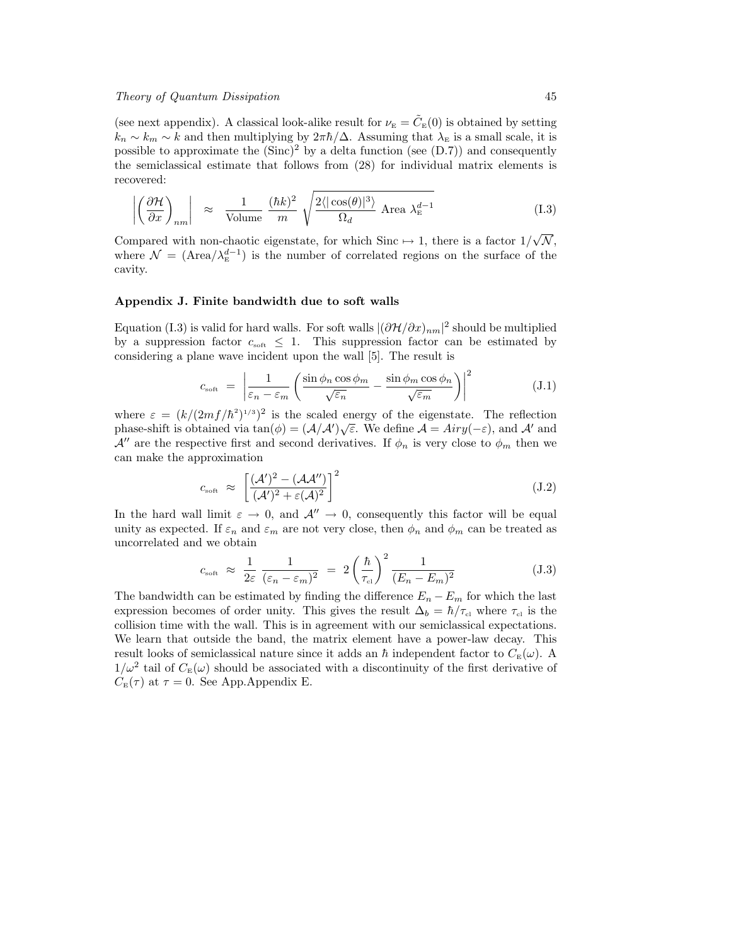# Theory of Quantum Dissipation 45

(see next appendix). A classical look-alike result for  $\nu_{\rm E} = \tilde{C}_{\rm E}(0)$  is obtained by setting  $k_n \sim k_m \sim k$  and then multiplying by  $2\pi\hbar/\Delta$ . Assuming that  $\lambda_E$  is a small scale, it is possible to approximate the  $(Sinc)^2$  by a delta function (see  $(D.7)$ ) and consequently the semiclassical estimate that follows from (28) for individual matrix elements is recovered:

$$
\left| \left( \frac{\partial \mathcal{H}}{\partial x} \right)_{nm} \right| \approx \frac{1}{\text{Volume}} \frac{(\hbar k)^2}{m} \sqrt{\frac{2 \langle |\cos(\theta)|^3 \rangle}{\Omega_d} \text{ Area } \lambda_{\rm E}^{d-1}}
$$
(I.3)

Compared with non-chaotic eigenstate, for which Sinc  $\mapsto$  1, there is a factor 1/  $\mathcal{N},$ where  $\mathcal{N} = (\text{Area}/\lambda_{\text{E}}^{d-1})$  is the number of correlated regions on the surface of the cavity.

# Appendix J. Finite bandwidth due to soft walls

Equation (I.3) is valid for hard walls. For soft walls  $|(\partial \mathcal{H}/\partial x)_{nm}|^2$  should be multiplied by a suppression factor  $c_{\text{soft}} \leq 1$ . This suppression factor can be estimated by considering a plane wave incident upon the wall [5]. The result is

$$
c_{\rm soft} = \left| \frac{1}{\varepsilon_n - \varepsilon_m} \left( \frac{\sin \phi_n \cos \phi_m}{\sqrt{\varepsilon_n}} - \frac{\sin \phi_m \cos \phi_n}{\sqrt{\varepsilon_m}} \right) \right|^2 \tag{J.1}
$$

where  $\varepsilon = (k/(2mf/\hbar^2)^{1/3})^2$  is the scaled energy of the eigenstate. The reflection phase-shift is obtained via  $tan(\phi) = (\mathcal{A}/\mathcal{A}')\sqrt{\varepsilon}$ . We define  $\mathcal{A} = Airy(-\varepsilon)$ , and  $\mathcal{A}'$  and  $\mathcal{A}^{\prime\prime}$  are the respective first and second derivatives. If  $\phi_n$  is very close to  $\phi_m$  then we can make the approximation

$$
c_{\rm soft} \approx \left[ \frac{(\mathcal{A}')^2 - (\mathcal{A}\mathcal{A}'')}{(\mathcal{A}')^2 + \varepsilon(\mathcal{A})^2} \right]^2 \tag{J.2}
$$

In the hard wall limit  $\varepsilon \to 0$ , and  $\mathcal{A}'' \to 0$ , consequently this factor will be equal unity as expected. If  $\varepsilon_n$  and  $\varepsilon_m$  are not very close, then  $\phi_n$  and  $\phi_m$  can be treated as uncorrelated and we obtain

$$
c_{\rm soft} \approx \frac{1}{2\varepsilon} \frac{1}{(\varepsilon_n - \varepsilon_m)^2} = 2 \left(\frac{\hbar}{\tau_{\rm cl}}\right)^2 \frac{1}{(E_n - E_m)^2}
$$
(J.3)

The bandwidth can be estimated by finding the difference  $E_n - E_m$  for which the last expression becomes of order unity. This gives the result  $\Delta_b = \hbar / \tau_{\text{cl}}$  where  $\tau_{\text{cl}}$  is the collision time with the wall. This is in agreement with our semiclassical expectations. We learn that outside the band, the matrix element have a power-law decay. This result looks of semiclassical nature since it adds an  $\hbar$  independent factor to  $C_{\text{E}}(\omega)$ . A  $1/\omega^2$  tail of  $C_{\rm E}(\omega)$  should be associated with a discontinuity of the first derivative of  $C_{\rm E}(\tau)$  at  $\tau = 0$ . See App.Appendix E.